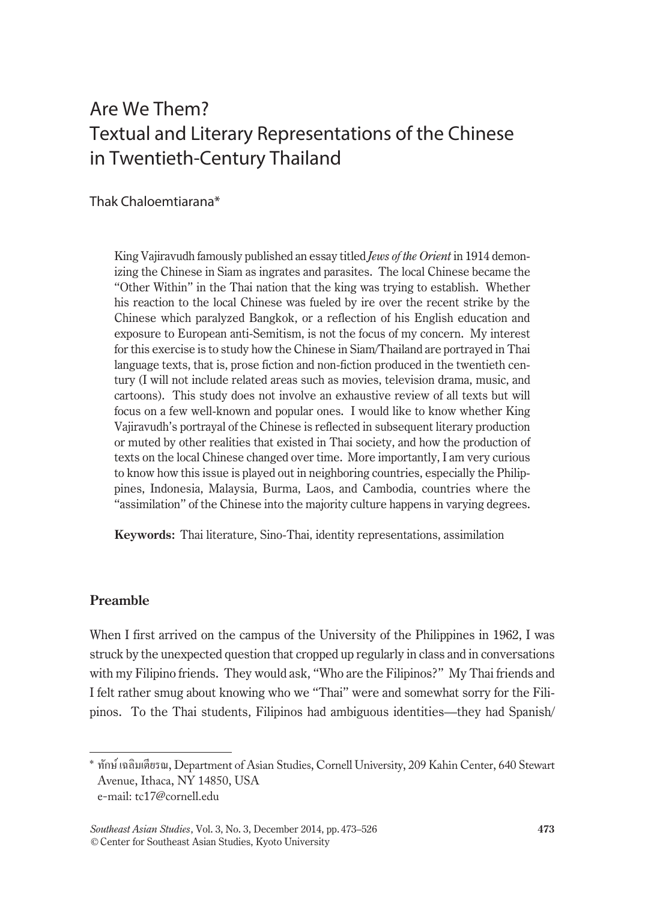# Are We Them? Textual and Literary Representations of the Chinese in Twentieth-Century Thailand

Thak Chaloemtiarana\*

King Vajiravudh famously published an essay titled *Jews of the Orient* in 1914 demonizing the Chinese in Siam as ingrates and parasites. The local Chinese became the "Other Within" in the Thai nation that the king was trying to establish. Whether his reaction to the local Chinese was fueled by ire over the recent strike by the Chinese which paralyzed Bangkok, or a reflection of his English education and exposure to European anti-Semitism, is not the focus of my concern. My interest for this exercise is to study how the Chinese in Siam/Thailand are portrayed in Thai language texts, that is, prose fiction and non-fiction produced in the twentieth century (I will not include related areas such as movies, television drama, music, and cartoons). This study does not involve an exhaustive review of all texts but will focus on a few well-known and popular ones. I would like to know whether King Vajiravudh's portrayal of the Chinese is reflected in subsequent literary production or muted by other realities that existed in Thai society, and how the production of texts on the local Chinese changed over time. More importantly, I am very curious to know how this issue is played out in neighboring countries, especially the Philippines, Indonesia, Malaysia, Burma, Laos, and Cambodia, countries where the "assimilation" of the Chinese into the majority culture happens in varying degrees.

**Keywords:** Thai literature, Sino-Thai, identity representations, assimilation

#### **Preamble**

When I first arrived on the campus of the University of the Philippines in 1962, I was struck by the unexpected question that cropped up regularly in class and in conversations with my Filipino friends. They would ask, "Who are the Filipinos?" My Thai friends and I felt rather smug about knowing who we "Thai" were and somewhat sorry for the Filipinos. To the Thai students, Filipinos had ambiguous identities—they had Spanish/

<sup>\*</sup> ทักษ์ เฉลิมเตียรณ, Department of Asian Studies, Cornell University, 209 Kahin Center, 640 Stewart Avenue, Ithaca, NY 14850, USA

e-mail: tc17@cornell.edu

*Southeast Asian Studies*, Vol. 3, No. 3, December 2014, pp. 473–526 **473** ©Center for Southeast Asian Studies, Kyoto University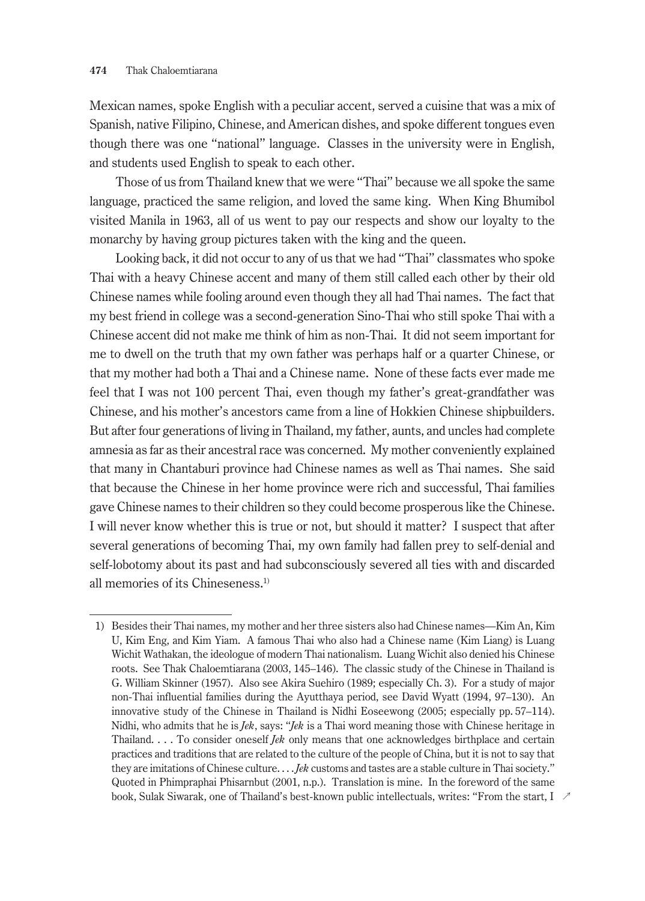Mexican names, spoke English with a peculiar accent, served a cuisine that was a mix of Spanish, native Filipino, Chinese, and American dishes, and spoke different tongues even though there was one "national" language. Classes in the university were in English, and students used English to speak to each other.

Those of us from Thailand knew that we were "Thai" because we all spoke the same language, practiced the same religion, and loved the same king. When King Bhumibol visited Manila in 1963, all of us went to pay our respects and show our loyalty to the monarchy by having group pictures taken with the king and the queen.

Looking back, it did not occur to any of us that we had "Thai" classmates who spoke Thai with a heavy Chinese accent and many of them still called each other by their old Chinese names while fooling around even though they all had Thai names. The fact that my best friend in college was a second-generation Sino-Thai who still spoke Thai with a Chinese accent did not make me think of him as non-Thai. It did not seem important for me to dwell on the truth that my own father was perhaps half or a quarter Chinese, or that my mother had both a Thai and a Chinese name. None of these facts ever made me feel that I was not 100 percent Thai, even though my father's great-grandfather was Chinese, and his mother's ancestors came from a line of Hokkien Chinese shipbuilders. But after four generations of living in Thailand, my father, aunts, and uncles had complete amnesia as far as their ancestral race was concerned. My mother conveniently explained that many in Chantaburi province had Chinese names as well as Thai names. She said that because the Chinese in her home province were rich and successful, Thai families gave Chinese names to their children so they could become prosperous like the Chinese. I will never know whether this is true or not, but should it matter? I suspect that after several generations of becoming Thai, my own family had fallen prey to self-denial and self-lobotomy about its past and had subconsciously severed all ties with and discarded all memories of its Chineseness.<sup>1)</sup>

<sup>1)</sup> Besides their Thai names, my mother and her three sisters also had Chinese names—Kim An, Kim U, Kim Eng, and Kim Yiam. A famous Thai who also had a Chinese name (Kim Liang) is Luang Wichit Wathakan, the ideologue of modern Thai nationalism. Luang Wichit also denied his Chinese roots. See Thak Chaloemtiarana (2003, 145–146). The classic study of the Chinese in Thailand is G. William Skinner (1957). Also see Akira Suehiro (1989; especially Ch. 3). For a study of major non-Thai influential families during the Ayutthaya period, see David Wyatt (1994, 97–130). An innovative study of the Chinese in Thailand is Nidhi Eoseewong (2005; especially pp. 57–114). Nidhi, who admits that he is *Jek*, says: "*Jek* is a Thai word meaning those with Chinese heritage in Thailand. . . . To consider oneself *Jek* only means that one acknowledges birthplace and certain practices and traditions that are related to the culture of the people of China, but it is not to say that they are imitations of Chinese culture. . . . *Jek* customs and tastes are a stable culture in Thai society." Quoted in Phimpraphai Phisarnbut (2001, n.p.). Translation is mine. In the foreword of the same book, Sulak Siwarak, one of Thailand's best-known public intellectuals, writes: "From the start, I ↗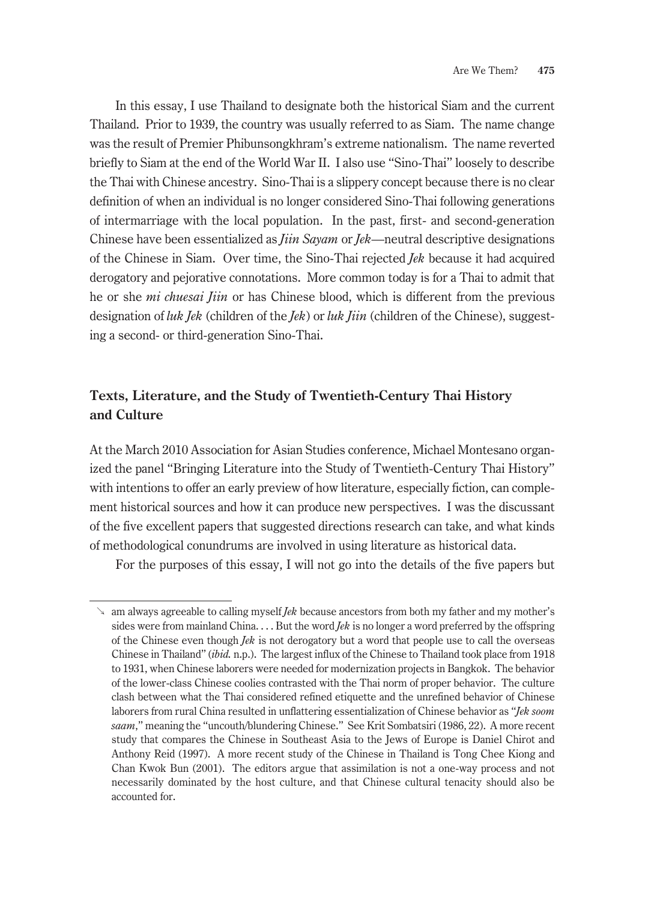In this essay, I use Thailand to designate both the historical Siam and the current Thailand. Prior to 1939, the country was usually referred to as Siam. The name change was the result of Premier Phibunsongkhram's extreme nationalism. The name reverted briefly to Siam at the end of the World War II. I also use "Sino-Thai" loosely to describe the Thai with Chinese ancestry. Sino-Thai is a slippery concept because there is no clear definition of when an individual is no longer considered Sino-Thai following generations of intermarriage with the local population. In the past, first- and second-generation Chinese have been essentialized as *Jiin Sayam* or *Jek*—neutral descriptive designations of the Chinese in Siam. Over time, the Sino-Thai rejected *Jek* because it had acquired derogatory and pejorative connotations. More common today is for a Thai to admit that he or she *mi chuesai Jiin* or has Chinese blood, which is different from the previous designation of *luk Jek* (children of the *Jek*) or *luk Jiin* (children of the Chinese), suggesting a second- or third-generation Sino-Thai.

## **Texts, Literature, and the Study of Twentieth-Century Thai History and Culture**

At the March 2010 Association for Asian Studies conference, Michael Montesano organized the panel "Bringing Literature into the Study of Twentieth-Century Thai History" with intentions to offer an early preview of how literature, especially fiction, can complement historical sources and how it can produce new perspectives. I was the discussant of the five excellent papers that suggested directions research can take, and what kinds of methodological conundrums are involved in using literature as historical data.

For the purposes of this essay, I will not go into the details of the five papers but

<sup>↘</sup> am always agreeable to calling myself *Jek* because ancestors from both my father and my mother's sides were from mainland China. . . . But the word *Jek* is no longer a word preferred by the offspring of the Chinese even though *Jek* is not derogatory but a word that people use to call the overseas Chinese in Thailand" (*ibid.* n.p.). The largest influx of the Chinese to Thailand took place from 1918 to 1931, when Chinese laborers were needed for modernization projects in Bangkok. The behavior of the lower-class Chinese coolies contrasted with the Thai norm of proper behavior. The culture clash between what the Thai considered refined etiquette and the unrefined behavior of Chinese laborers from rural China resulted in unflattering essentialization of Chinese behavior as "*Jek soom saam*," meaning the "uncouth/blundering Chinese." See Krit Sombatsiri (1986, 22). A more recent study that compares the Chinese in Southeast Asia to the Jews of Europe is Daniel Chirot and Anthony Reid (1997). A more recent study of the Chinese in Thailand is Tong Chee Kiong and Chan Kwok Bun (2001). The editors argue that assimilation is not a one-way process and not necessarily dominated by the host culture, and that Chinese cultural tenacity should also be accounted for.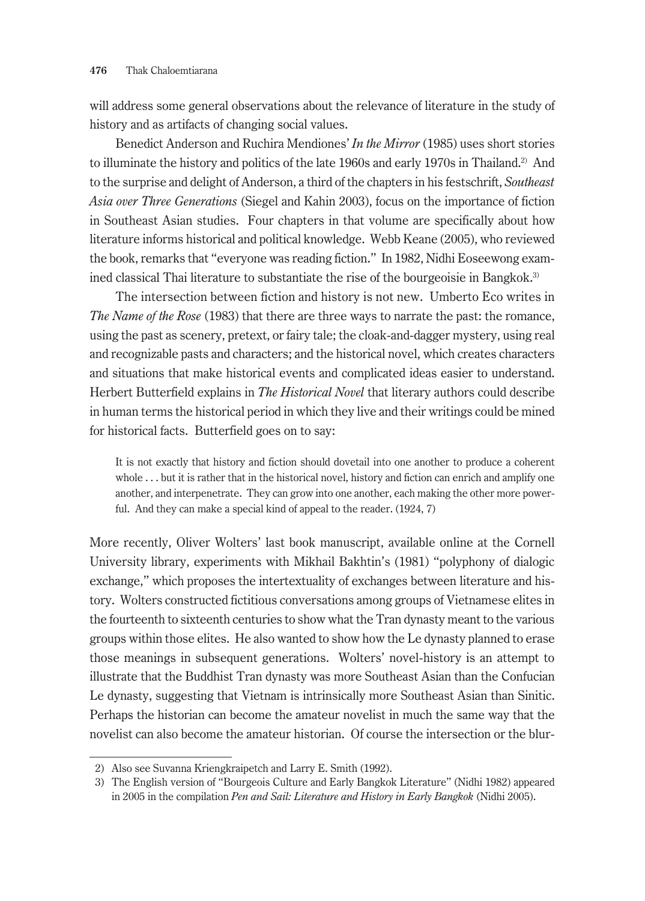will address some general observations about the relevance of literature in the study of history and as artifacts of changing social values.

Benedict Anderson and Ruchira Mendiones' *In the Mirror* (1985) uses short stories to illuminate the history and politics of the late 1960s and early 1970s in Thailand.<sup>2)</sup> And to the surprise and delight of Anderson, a third of the chapters in his festschrift, *Southeast Asia over Three Generations* (Siegel and Kahin 2003), focus on the importance of fiction in Southeast Asian studies. Four chapters in that volume are specifically about how literature informs historical and political knowledge. Webb Keane (2005), who reviewed the book, remarks that "everyone was reading fiction." In 1982, Nidhi Eoseewong examined classical Thai literature to substantiate the rise of the bourgeoisie in Bangkok.<sup>3)</sup>

The intersection between fiction and history is not new. Umberto Eco writes in *The Name of the Rose* (1983) that there are three ways to narrate the past: the romance, using the past as scenery, pretext, or fairy tale; the cloak-and-dagger mystery, using real and recognizable pasts and characters; and the historical novel, which creates characters and situations that make historical events and complicated ideas easier to understand. Herbert Butterfield explains in *The Historical Novel* that literary authors could describe in human terms the historical period in which they live and their writings could be mined for historical facts. Butterfield goes on to say:

It is not exactly that history and fiction should dovetail into one another to produce a coherent whole . . . but it is rather that in the historical novel, history and fiction can enrich and amplify one another, and interpenetrate. They can grow into one another, each making the other more powerful. And they can make a special kind of appeal to the reader. (1924, 7)

More recently, Oliver Wolters' last book manuscript, available online at the Cornell University library, experiments with Mikhail Bakhtin's (1981) "polyphony of dialogic exchange," which proposes the intertextuality of exchanges between literature and history. Wolters constructed fictitious conversations among groups of Vietnamese elites in the fourteenth to sixteenth centuries to show what the Tran dynasty meant to the various groups within those elites. He also wanted to show how the Le dynasty planned to erase those meanings in subsequent generations. Wolters' novel-history is an attempt to illustrate that the Buddhist Tran dynasty was more Southeast Asian than the Confucian Le dynasty, suggesting that Vietnam is intrinsically more Southeast Asian than Sinitic. Perhaps the historian can become the amateur novelist in much the same way that the novelist can also become the amateur historian. Of course the intersection or the blur-

<sup>2)</sup> Also see Suvanna Kriengkraipetch and Larry E. Smith (1992).

<sup>3)</sup> The English version of "Bourgeois Culture and Early Bangkok Literature" (Nidhi 1982) appeared in 2005 in the compilation *Pen and Sail: Literature and History in Early Bangkok* (Nidhi 2005).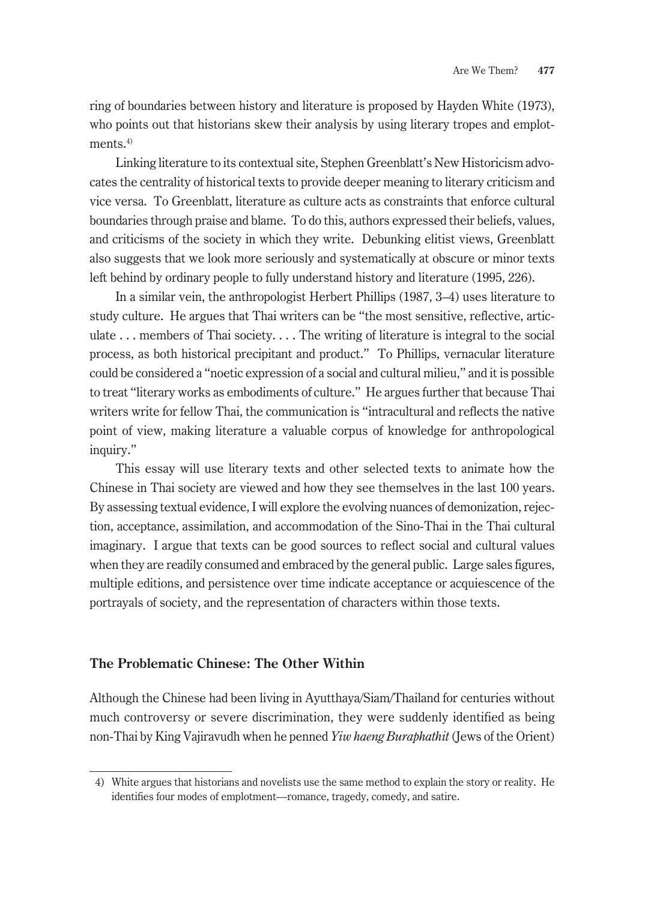ring of boundaries between history and literature is proposed by Hayden White (1973), who points out that historians skew their analysis by using literary tropes and emplotments.<sup>4)</sup>

Linking literature to its contextual site, Stephen Greenblatt's New Historicism advocates the centrality of historical texts to provide deeper meaning to literary criticism and vice versa. To Greenblatt, literature as culture acts as constraints that enforce cultural boundaries through praise and blame. To do this, authors expressed their beliefs, values, and criticisms of the society in which they write. Debunking elitist views, Greenblatt also suggests that we look more seriously and systematically at obscure or minor texts left behind by ordinary people to fully understand history and literature (1995, 226).

In a similar vein, the anthropologist Herbert Phillips (1987, 3–4) uses literature to study culture. He argues that Thai writers can be "the most sensitive, reflective, articulate ... members of Thai society.... The writing of literature is integral to the social process, as both historical precipitant and product." To Phillips, vernacular literature could be considered a "noetic expression of a social and cultural milieu," and it is possible to treat "literary works as embodiments of culture." He argues further that because Thai writers write for fellow Thai, the communication is "intracultural and reflects the native point of view, making literature a valuable corpus of knowledge for anthropological inquiry."

This essay will use literary texts and other selected texts to animate how the Chinese in Thai society are viewed and how they see themselves in the last 100 years. By assessing textual evidence, I will explore the evolving nuances of demonization, rejection, acceptance, assimilation, and accommodation of the Sino-Thai in the Thai cultural imaginary. I argue that texts can be good sources to reflect social and cultural values when they are readily consumed and embraced by the general public. Large sales figures, multiple editions, and persistence over time indicate acceptance or acquiescence of the portrayals of society, and the representation of characters within those texts.

### **The Problematic Chinese: The Other Within**

Although the Chinese had been living in Ayutthaya/Siam/Thailand for centuries without much controversy or severe discrimination, they were suddenly identified as being non-Thai by King Vajiravudh when he penned *Yiw haeng Buraphathit* (Jews of the Orient)

<sup>4)</sup> White argues that historians and novelists use the same method to explain the story or reality. He identifies four modes of emplotment—romance, tragedy, comedy, and satire.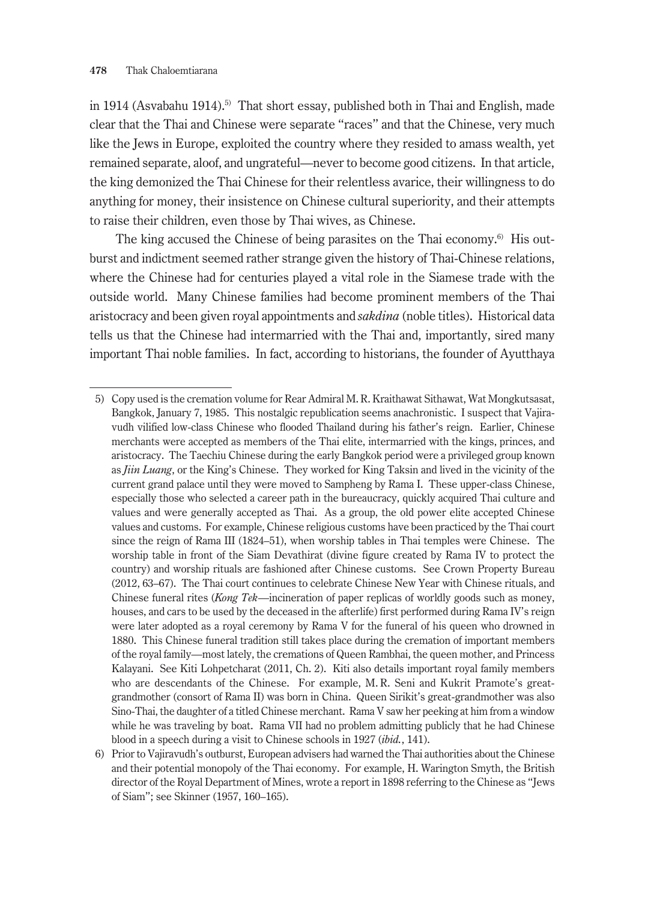in 1914 (Asvabahu 1914).<sup>5)</sup> That short essay, published both in Thai and English, made clear that the Thai and Chinese were separate "races" and that the Chinese, very much like the Jews in Europe, exploited the country where they resided to amass wealth, yet remained separate, aloof, and ungrateful—never to become good citizens. In that article, the king demonized the Thai Chinese for their relentless avarice, their willingness to do anything for money, their insistence on Chinese cultural superiority, and their attempts to raise their children, even those by Thai wives, as Chinese.

The king accused the Chinese of being parasites on the Thai economy.<sup>6)</sup> His outburst and indictment seemed rather strange given the history of Thai-Chinese relations, where the Chinese had for centuries played a vital role in the Siamese trade with the outside world. Many Chinese families had become prominent members of the Thai aristocracy and been given royal appointments and *sakdina* (noble titles). Historical data tells us that the Chinese had intermarried with the Thai and, importantly, sired many important Thai noble families. In fact, according to historians, the founder of Ayutthaya

<sup>5)</sup> Copy used is the cremation volume for Rear Admiral M.R. Kraithawat Sithawat, Wat Mongkutsasat, Bangkok, January 7, 1985. This nostalgic republication seems anachronistic. I suspect that Vajiravudh vilified low-class Chinese who flooded Thailand during his father's reign. Earlier, Chinese merchants were accepted as members of the Thai elite, intermarried with the kings, princes, and aristocracy. The Taechiu Chinese during the early Bangkok period were a privileged group known as *Jiin Luang*, or the King's Chinese. They worked for King Taksin and lived in the vicinity of the current grand palace until they were moved to Sampheng by Rama I. These upper-class Chinese, especially those who selected a career path in the bureaucracy, quickly acquired Thai culture and values and were generally accepted as Thai. As a group, the old power elite accepted Chinese values and customs. For example, Chinese religious customs have been practiced by the Thai court since the reign of Rama III (1824–51), when worship tables in Thai temples were Chinese. The worship table in front of the Siam Devathirat (divine figure created by Rama IV to protect the country) and worship rituals are fashioned after Chinese customs. See Crown Property Bureau (2012, 63–67). The Thai court continues to celebrate Chinese New Year with Chinese rituals, and Chinese funeral rites (*Kong Tek*—incineration of paper replicas of worldly goods such as money, houses, and cars to be used by the deceased in the afterlife) first performed during Rama IV's reign were later adopted as a royal ceremony by Rama V for the funeral of his queen who drowned in 1880. This Chinese funeral tradition still takes place during the cremation of important members of the royal family—most lately, the cremations of Queen Rambhai, the queen mother, and Princess Kalayani. See Kiti Lohpetcharat (2011, Ch. 2). Kiti also details important royal family members who are descendants of the Chinese. For example, M. R. Seni and Kukrit Pramote's greatgrandmother (consort of Rama II) was born in China. Queen Sirikit's great-grandmother was also Sino-Thai, the daughter of a titled Chinese merchant. Rama V saw her peeking at him from a window while he was traveling by boat. Rama VII had no problem admitting publicly that he had Chinese blood in a speech during a visit to Chinese schools in 1927 (*ibid.*, 141).

<sup>6)</sup> Prior to Vajiravudh's outburst, European advisers had warned the Thai authorities about the Chinese and their potential monopoly of the Thai economy. For example, H. Warington Smyth, the British director of the Royal Department of Mines, wrote a report in 1898 referring to the Chinese as "Jews of Siam"; see Skinner (1957, 160–165).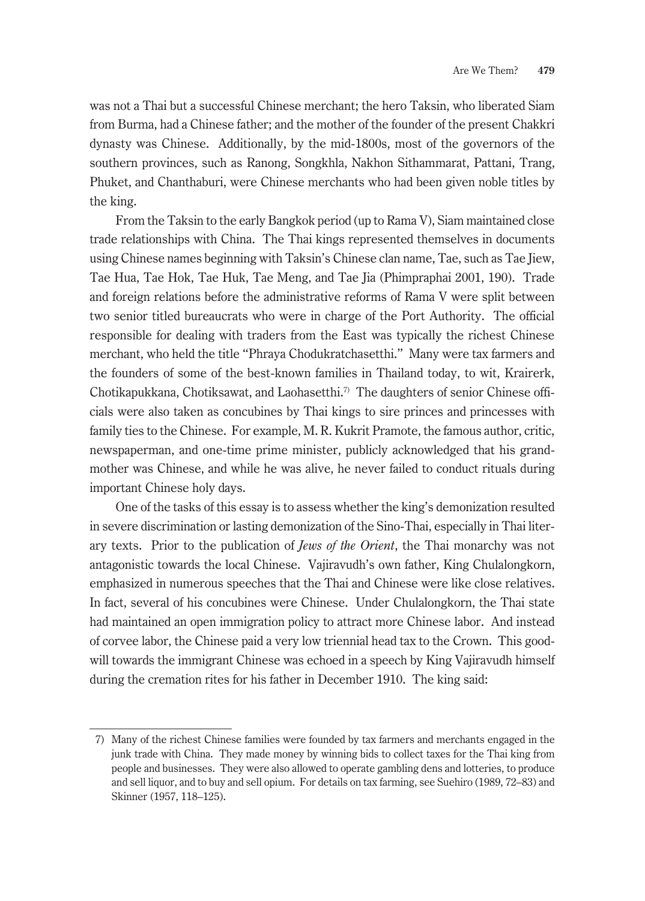was not a Thai but a successful Chinese merchant; the hero Taksin, who liberated Siam from Burma, had a Chinese father; and the mother of the founder of the present Chakkri dynasty was Chinese. Additionally, by the mid-1800s, most of the governors of the southern provinces, such as Ranong, Songkhla, Nakhon Sithammarat, Pattani, Trang, Phuket, and Chanthaburi, were Chinese merchants who had been given noble titles by the king.

From the Taksin to the early Bangkok period (up to Rama V), Siam maintained close trade relationships with China. The Thai kings represented themselves in documents using Chinese names beginning with Taksin's Chinese clan name, Tae, such as Tae Jiew, Tae Hua, Tae Hok, Tae Huk, Tae Meng, and Tae Jia (Phimpraphai 2001, 190). Trade and foreign relations before the administrative reforms of Rama V were split between two senior titled bureaucrats who were in charge of the Port Authority. The official responsible for dealing with traders from the East was typically the richest Chinese merchant, who held the title "Phraya Chodukratchasetthi." Many were tax farmers and the founders of some of the best-known families in Thailand today, to wit, Krairerk, Chotikapukkana, Chotiksawat, and Laohasetthi.<sup>7</sup> The daughters of senior Chinese officials were also taken as concubines by Thai kings to sire princes and princesses with family ties to the Chinese. For example, M. R. Kukrit Pramote, the famous author, critic, newspaperman, and one-time prime minister, publicly acknowledged that his grandmother was Chinese, and while he was alive, he never failed to conduct rituals during important Chinese holy days.

One of the tasks of this essay is to assess whether the king's demonization resulted in severe discrimination or lasting demonization of the Sino-Thai, especially in Thai literary texts. Prior to the publication of *Jews of the Orient*, the Thai monarchy was not antagonistic towards the local Chinese. Vajiravudh's own father, King Chulalongkorn, emphasized in numerous speeches that the Thai and Chinese were like close relatives. In fact, several of his concubines were Chinese. Under Chulalongkorn, the Thai state had maintained an open immigration policy to attract more Chinese labor. And instead of corvee labor, the Chinese paid a very low triennial head tax to the Crown. This goodwill towards the immigrant Chinese was echoed in a speech by King Vajiravudh himself during the cremation rites for his father in December 1910. The king said:

<sup>7)</sup> Many of the richest Chinese families were founded by tax farmers and merchants engaged in the junk trade with China. They made money by winning bids to collect taxes for the Thai king from people and businesses. They were also allowed to operate gambling dens and lotteries, to produce and sell liquor, and to buy and sell opium. For details on tax farming, see Suehiro (1989, 72–83) and Skinner (1957, 118–125).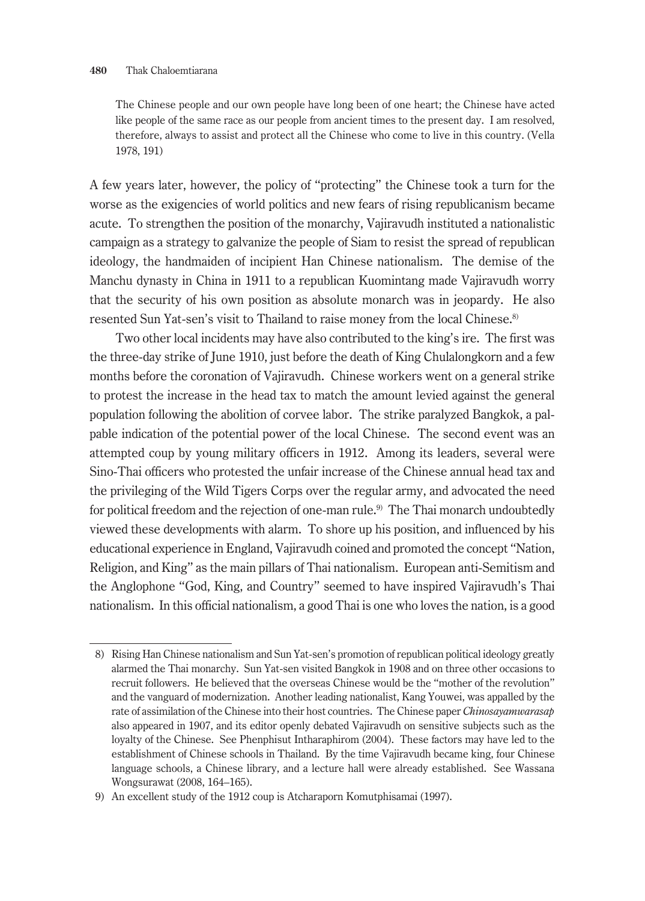The Chinese people and our own people have long been of one heart; the Chinese have acted like people of the same race as our people from ancient times to the present day. I am resolved, therefore, always to assist and protect all the Chinese who come to live in this country. (Vella 1978, 191)

A few years later, however, the policy of "protecting" the Chinese took a turn for the worse as the exigencies of world politics and new fears of rising republicanism became acute. To strengthen the position of the monarchy, Vajiravudh instituted a nationalistic campaign as a strategy to galvanize the people of Siam to resist the spread of republican ideology, the handmaiden of incipient Han Chinese nationalism. The demise of the Manchu dynasty in China in 1911 to a republican Kuomintang made Vajiravudh worry that the security of his own position as absolute monarch was in jeopardy. He also resented Sun Yat-sen's visit to Thailand to raise money from the local Chinese.8)

Two other local incidents may have also contributed to the king's ire. The first was the three-day strike of June 1910, just before the death of King Chulalongkorn and a few months before the coronation of Vajiravudh. Chinese workers went on a general strike to protest the increase in the head tax to match the amount levied against the general population following the abolition of corvee labor. The strike paralyzed Bangkok, a palpable indication of the potential power of the local Chinese. The second event was an attempted coup by young military officers in 1912. Among its leaders, several were Sino-Thai officers who protested the unfair increase of the Chinese annual head tax and the privileging of the Wild Tigers Corps over the regular army, and advocated the need for political freedom and the rejection of one-man rule.<sup>9)</sup> The Thai monarch undoubtedly viewed these developments with alarm. To shore up his position, and influenced by his educational experience in England, Vajiravudh coined and promoted the concept "Nation, Religion, and King" as the main pillars of Thai nationalism. European anti-Semitism and the Anglophone "God, King, and Country" seemed to have inspired Vajiravudh's Thai nationalism. In this official nationalism, a good Thai is one who loves the nation, is a good

<sup>8)</sup> Rising Han Chinese nationalism and Sun Yat-sen's promotion of republican political ideology greatly alarmed the Thai monarchy. Sun Yat-sen visited Bangkok in 1908 and on three other occasions to recruit followers. He believed that the overseas Chinese would be the "mother of the revolution" and the vanguard of modernization. Another leading nationalist, Kang Youwei, was appalled by the rate of assimilation of the Chinese into their host countries. The Chinese paper *Chinosayamwarasap* also appeared in 1907, and its editor openly debated Vajiravudh on sensitive subjects such as the loyalty of the Chinese. See Phenphisut Intharaphirom (2004). These factors may have led to the establishment of Chinese schools in Thailand. By the time Vajiravudh became king, four Chinese language schools, a Chinese library, and a lecture hall were already established. See Wassana Wongsurawat (2008, 164–165).

<sup>9)</sup> An excellent study of the 1912 coup is Atcharaporn Komutphisamai (1997).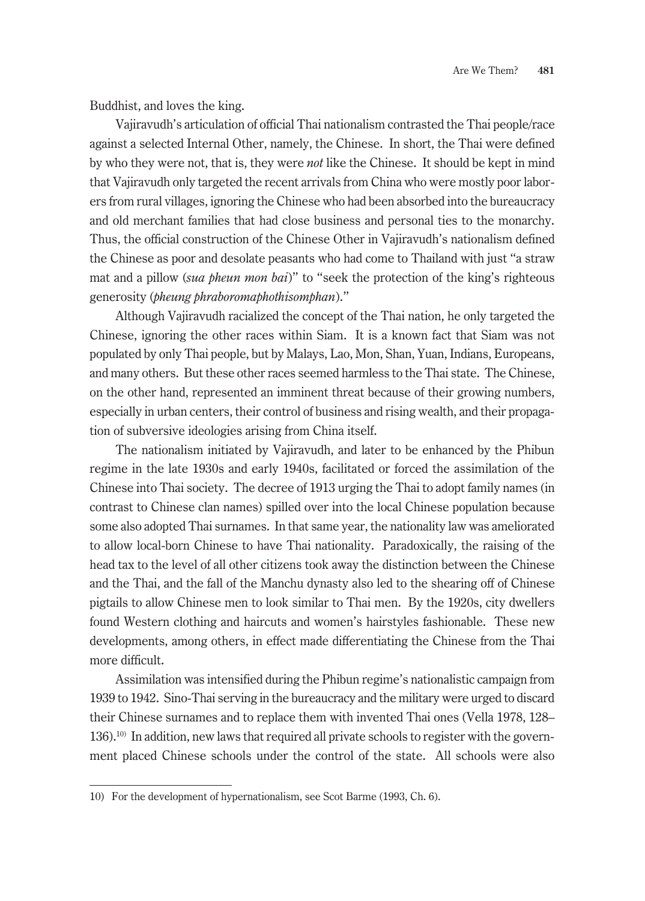Buddhist, and loves the king.

Vajiravudh's articulation of official Thai nationalism contrasted the Thai people/race against a selected Internal Other, namely, the Chinese. In short, the Thai were defined by who they were not, that is, they were *not* like the Chinese. It should be kept in mind that Vajiravudh only targeted the recent arrivals from China who were mostly poor laborers from rural villages, ignoring the Chinese who had been absorbed into the bureaucracy and old merchant families that had close business and personal ties to the monarchy. Thus, the official construction of the Chinese Other in Vajiravudh's nationalism defined the Chinese as poor and desolate peasants who had come to Thailand with just "a straw mat and a pillow (*sua pheun mon bai*)" to "seek the protection of the king's righteous generosity (*pheung phraboromaphothisomphan*)."

Although Vajiravudh racialized the concept of the Thai nation, he only targeted the Chinese, ignoring the other races within Siam. It is a known fact that Siam was not populated by only Thai people, but by Malays, Lao, Mon, Shan, Yuan, Indians, Europeans, and many others. But these other races seemed harmless to the Thai state. The Chinese, on the other hand, represented an imminent threat because of their growing numbers, especially in urban centers, their control of business and rising wealth, and their propagation of subversive ideologies arising from China itself.

The nationalism initiated by Vajiravudh, and later to be enhanced by the Phibun regime in the late 1930s and early 1940s, facilitated or forced the assimilation of the Chinese into Thai society. The decree of 1913 urging the Thai to adopt family names (in contrast to Chinese clan names) spilled over into the local Chinese population because some also adopted Thai surnames. In that same year, the nationality law was ameliorated to allow local-born Chinese to have Thai nationality. Paradoxically, the raising of the head tax to the level of all other citizens took away the distinction between the Chinese and the Thai, and the fall of the Manchu dynasty also led to the shearing off of Chinese pigtails to allow Chinese men to look similar to Thai men. By the 1920s, city dwellers found Western clothing and haircuts and women's hairstyles fashionable. These new developments, among others, in effect made differentiating the Chinese from the Thai more difficult.

Assimilation was intensified during the Phibun regime's nationalistic campaign from 1939 to 1942. Sino-Thai serving in the bureaucracy and the military were urged to discard their Chinese surnames and to replace them with invented Thai ones (Vella 1978, 128– 136).10) In addition, new laws that required all private schools to register with the government placed Chinese schools under the control of the state. All schools were also

<sup>10)</sup> For the development of hypernationalism, see Scot Barme (1993, Ch. 6).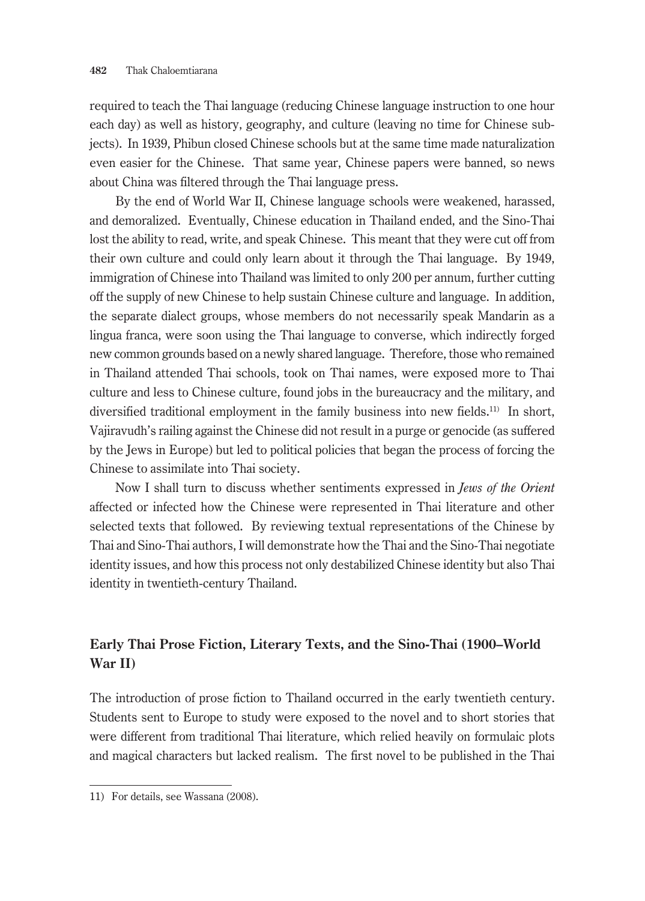required to teach the Thai language (reducing Chinese language instruction to one hour each day) as well as history, geography, and culture (leaving no time for Chinese subjects). In 1939, Phibun closed Chinese schools but at the same time made naturalization even easier for the Chinese. That same year, Chinese papers were banned, so news about China was filtered through the Thai language press.

By the end of World War II, Chinese language schools were weakened, harassed, and demoralized. Eventually, Chinese education in Thailand ended, and the Sino-Thai lost the ability to read, write, and speak Chinese. This meant that they were cut off from their own culture and could only learn about it through the Thai language. By 1949, immigration of Chinese into Thailand was limited to only 200 per annum, further cutting off the supply of new Chinese to help sustain Chinese culture and language. In addition, the separate dialect groups, whose members do not necessarily speak Mandarin as a lingua franca, were soon using the Thai language to converse, which indirectly forged new common grounds based on a newly shared language. Therefore, those who remained in Thailand attended Thai schools, took on Thai names, were exposed more to Thai culture and less to Chinese culture, found jobs in the bureaucracy and the military, and diversified traditional employment in the family business into new fields.<sup>11)</sup> In short, Vajiravudh's railing against the Chinese did not result in a purge or genocide (as suffered by the Jews in Europe) but led to political policies that began the process of forcing the Chinese to assimilate into Thai society.

Now I shall turn to discuss whether sentiments expressed in *Jews of the Orient* affected or infected how the Chinese were represented in Thai literature and other selected texts that followed. By reviewing textual representations of the Chinese by Thai and Sino-Thai authors, I will demonstrate how the Thai and the Sino-Thai negotiate identity issues, and how this process not only destabilized Chinese identity but also Thai identity in twentieth-century Thailand.

# **Early Thai Prose Fiction, Literary Texts, and the Sino-Thai (1900–World War II)**

The introduction of prose fiction to Thailand occurred in the early twentieth century. Students sent to Europe to study were exposed to the novel and to short stories that were different from traditional Thai literature, which relied heavily on formulaic plots and magical characters but lacked realism. The first novel to be published in the Thai

<sup>11)</sup> For details, see Wassana (2008).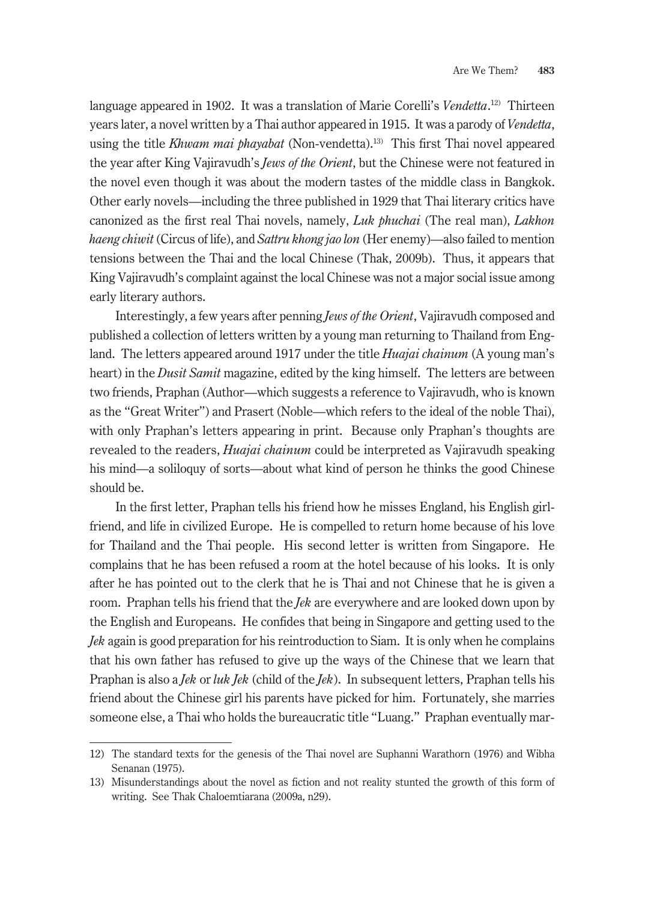language appeared in 1902. It was a translation of Marie Corelli's *Vendetta*. 12) Thirteen years later, a novel written by a Thai author appeared in 1915. It was a parody of *Vendetta*, using the title *Khwam mai phayabat* (Non-vendetta).<sup>13)</sup> This first Thai novel appeared the year after King Vajiravudh's *Jews of the Orient*, but the Chinese were not featured in the novel even though it was about the modern tastes of the middle class in Bangkok. Other early novels—including the three published in 1929 that Thai literary critics have canonized as the first real Thai novels, namely, *Luk phuchai* (The real man), *Lakhon haeng chiwit* (Circus of life), and *Sattru khong jao lon* (Her enemy)—also failed to mention tensions between the Thai and the local Chinese (Thak, 2009b). Thus, it appears that King Vajiravudh's complaint against the local Chinese was not a major social issue among early literary authors.

Interestingly, a few years after penning *Jews of the Orient*, Vajiravudh composed and published a collection of letters written by a young man returning to Thailand from England. The letters appeared around 1917 under the title *Huajai chainum* (A young man's heart) in the *Dusit Samit* magazine, edited by the king himself. The letters are between two friends, Praphan (Author—which suggests a reference to Vajiravudh, who is known as the "Great Writer") and Prasert (Noble—which refers to the ideal of the noble Thai), with only Praphan's letters appearing in print. Because only Praphan's thoughts are revealed to the readers, *Huajai chainum* could be interpreted as Vajiravudh speaking his mind—a soliloquy of sorts—about what kind of person he thinks the good Chinese should be.

In the first letter, Praphan tells his friend how he misses England, his English girlfriend, and life in civilized Europe. He is compelled to return home because of his love for Thailand and the Thai people. His second letter is written from Singapore. He complains that he has been refused a room at the hotel because of his looks. It is only after he has pointed out to the clerk that he is Thai and not Chinese that he is given a room. Praphan tells his friend that the *Jek* are everywhere and are looked down upon by the English and Europeans. He confides that being in Singapore and getting used to the *Jek* again is good preparation for his reintroduction to Siam. It is only when he complains that his own father has refused to give up the ways of the Chinese that we learn that Praphan is also a *Jek* or *luk Jek* (child of the *Jek*). In subsequent letters, Praphan tells his friend about the Chinese girl his parents have picked for him. Fortunately, she marries someone else, a Thai who holds the bureaucratic title "Luang." Praphan eventually mar-

<sup>12)</sup> The standard texts for the genesis of the Thai novel are Suphanni Warathorn (1976) and Wibha Senanan (1975).

<sup>13)</sup> Misunderstandings about the novel as fiction and not reality stunted the growth of this form of writing. See Thak Chaloemtiarana (2009a, n29).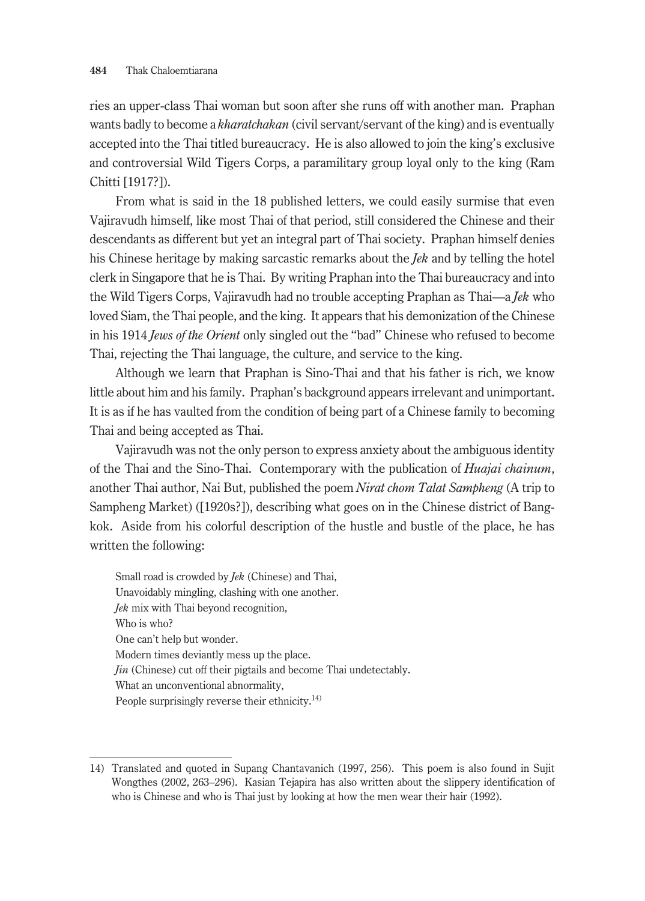ries an upper-class Thai woman but soon after she runs off with another man. Praphan wants badly to become a *kharatchakan* (civil servant/servant of the king) and is eventually accepted into the Thai titled bureaucracy. He is also allowed to join the king's exclusive and controversial Wild Tigers Corps, a paramilitary group loyal only to the king (Ram Chitti [1917?]).

From what is said in the 18 published letters, we could easily surmise that even Vajiravudh himself, like most Thai of that period, still considered the Chinese and their descendants as different but yet an integral part of Thai society. Praphan himself denies his Chinese heritage by making sarcastic remarks about the *Jek* and by telling the hotel clerk in Singapore that he is Thai. By writing Praphan into the Thai bureaucracy and into the Wild Tigers Corps, Vajiravudh had no trouble accepting Praphan as Thai—a *Jek* who loved Siam, the Thai people, and the king. It appears that his demonization of the Chinese in his 1914 *Jews of the Orient* only singled out the "bad" Chinese who refused to become Thai, rejecting the Thai language, the culture, and service to the king.

Although we learn that Praphan is Sino-Thai and that his father is rich, we know little about him and his family. Praphan's background appears irrelevant and unimportant. It is as if he has vaulted from the condition of being part of a Chinese family to becoming Thai and being accepted as Thai.

Vajiravudh was not the only person to express anxiety about the ambiguous identity of the Thai and the Sino-Thai. Contemporary with the publication of *Huajai chainum*, another Thai author, Nai But, published the poem *Nirat chom Talat Sampheng* (A trip to Sampheng Market) ([1920s?]), describing what goes on in the Chinese district of Bangkok. Aside from his colorful description of the hustle and bustle of the place, he has written the following:

Small road is crowded by *Jek* (Chinese) and Thai, Unavoidably mingling, clashing with one another. *Jek* mix with Thai beyond recognition, Who is who? One can't help but wonder. Modern times deviantly mess up the place. *Jin* (Chinese) cut off their pigtails and become Thai undetectably. What an unconventional abnormality, People surprisingly reverse their ethnicity.<sup>14)</sup>

<sup>14)</sup> Translated and quoted in Supang Chantavanich (1997, 256). This poem is also found in Sujit Wongthes (2002, 263–296). Kasian Tejapira has also written about the slippery identification of who is Chinese and who is Thai just by looking at how the men wear their hair (1992).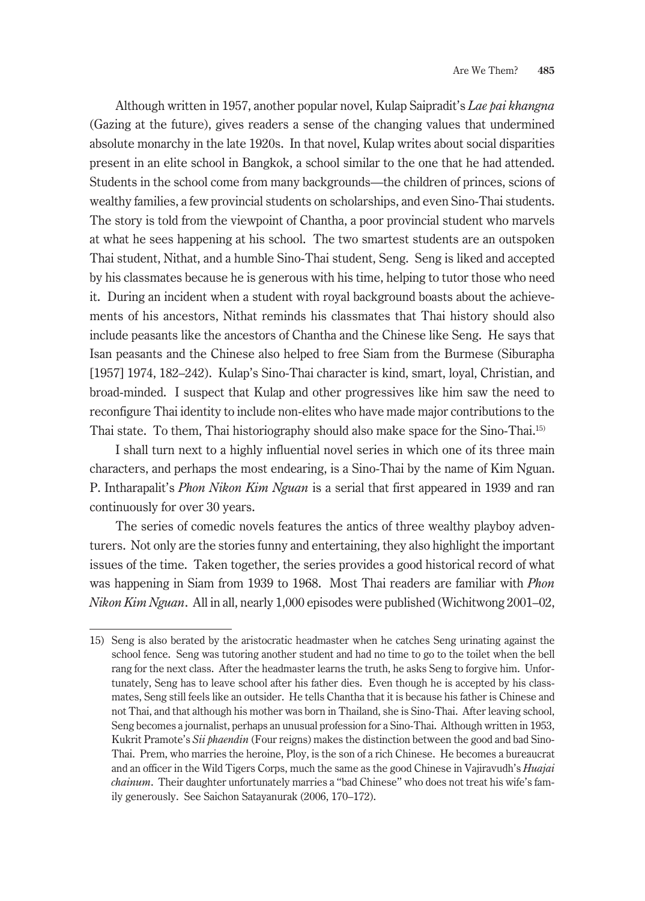Although written in 1957, another popular novel, Kulap Saipradit's *Lae pai khangna* (Gazing at the future), gives readers a sense of the changing values that undermined absolute monarchy in the late 1920s. In that novel, Kulap writes about social disparities present in an elite school in Bangkok, a school similar to the one that he had attended. Students in the school come from many backgrounds—the children of princes, scions of wealthy families, a few provincial students on scholarships, and even Sino-Thai students. The story is told from the viewpoint of Chantha, a poor provincial student who marvels at what he sees happening at his school. The two smartest students are an outspoken Thai student, Nithat, and a humble Sino-Thai student, Seng. Seng is liked and accepted by his classmates because he is generous with his time, helping to tutor those who need it. During an incident when a student with royal background boasts about the achievements of his ancestors, Nithat reminds his classmates that Thai history should also include peasants like the ancestors of Chantha and the Chinese like Seng. He says that Isan peasants and the Chinese also helped to free Siam from the Burmese (Siburapha [1957] 1974, 182–242). Kulap's Sino-Thai character is kind, smart, loyal, Christian, and broad-minded. I suspect that Kulap and other progressives like him saw the need to reconfigure Thai identity to include non-elites who have made major contributions to the Thai state. To them, Thai historiography should also make space for the Sino-Thai.15)

I shall turn next to a highly influential novel series in which one of its three main characters, and perhaps the most endearing, is a Sino-Thai by the name of Kim Nguan. P. Intharapalit's *Phon Nikon Kim Nguan* is a serial that first appeared in 1939 and ran continuously for over 30 years.

The series of comedic novels features the antics of three wealthy playboy adventurers. Not only are the stories funny and entertaining, they also highlight the important issues of the time. Taken together, the series provides a good historical record of what was happening in Siam from 1939 to 1968. Most Thai readers are familiar with *Phon Nikon Kim Nguan*. All in all, nearly 1,000 episodes were published (Wichitwong 2001–02,

<sup>15)</sup> Seng is also berated by the aristocratic headmaster when he catches Seng urinating against the school fence. Seng was tutoring another student and had no time to go to the toilet when the bell rang for the next class. After the headmaster learns the truth, he asks Seng to forgive him. Unfortunately, Seng has to leave school after his father dies. Even though he is accepted by his classmates, Seng still feels like an outsider. He tells Chantha that it is because his father is Chinese and not Thai, and that although his mother was born in Thailand, she is Sino-Thai. After leaving school, Seng becomes a journalist, perhaps an unusual profession for a Sino-Thai. Although written in 1953, Kukrit Pramote's *Sii phaendin* (Four reigns) makes the distinction between the good and bad Sino-Thai. Prem, who marries the heroine, Ploy, is the son of a rich Chinese. He becomes a bureaucrat and an officer in the Wild Tigers Corps, much the same as the good Chinese in Vajiravudh's *Huajai chainum*. Their daughter unfortunately marries a "bad Chinese" who does not treat his wife's family generously. See Saichon Satayanurak (2006, 170–172).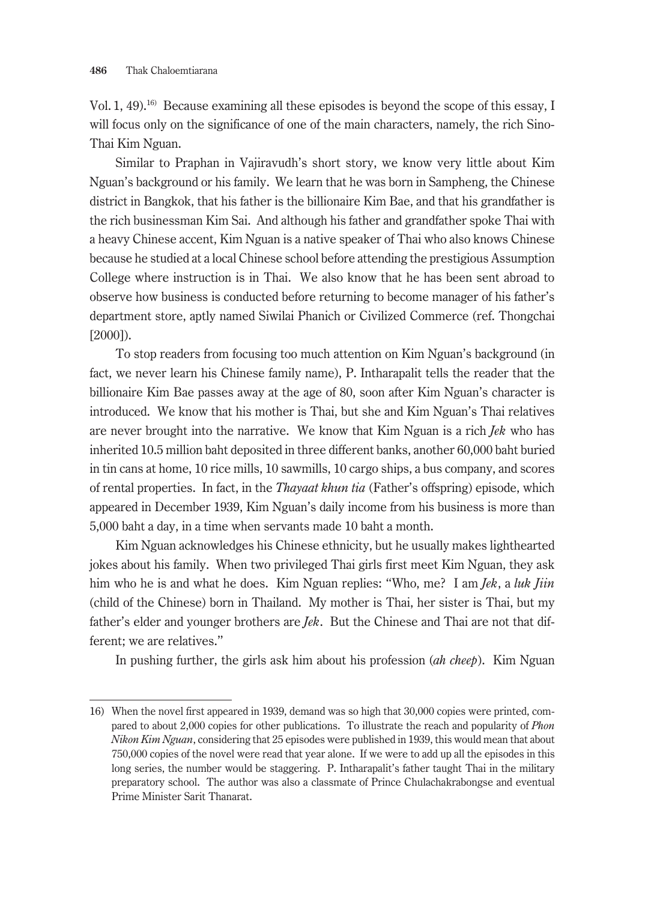Vol. 1, 49).<sup>16)</sup> Because examining all these episodes is beyond the scope of this essay, I will focus only on the significance of one of the main characters, namely, the rich Sino-Thai Kim Nguan.

Similar to Praphan in Vajiravudh's short story, we know very little about Kim Nguan's background or his family. We learn that he was born in Sampheng, the Chinese district in Bangkok, that his father is the billionaire Kim Bae, and that his grandfather is the rich businessman Kim Sai. And although his father and grandfather spoke Thai with a heavy Chinese accent, Kim Nguan is a native speaker of Thai who also knows Chinese because he studied at a local Chinese school before attending the prestigious Assumption College where instruction is in Thai. We also know that he has been sent abroad to observe how business is conducted before returning to become manager of his father's department store, aptly named Siwilai Phanich or Civilized Commerce (ref. Thongchai [2000]).

To stop readers from focusing too much attention on Kim Nguan's background (in fact, we never learn his Chinese family name), P. Intharapalit tells the reader that the billionaire Kim Bae passes away at the age of 80, soon after Kim Nguan's character is introduced. We know that his mother is Thai, but she and Kim Nguan's Thai relatives are never brought into the narrative. We know that Kim Nguan is a rich *Jek* who has inherited 10.5 million baht deposited in three different banks, another 60,000 baht buried in tin cans at home, 10 rice mills, 10 sawmills, 10 cargo ships, a bus company, and scores of rental properties. In fact, in the *Thayaat khun tia* (Father's offspring) episode, which appeared in December 1939, Kim Nguan's daily income from his business is more than 5,000 baht a day, in a time when servants made 10 baht a month.

Kim Nguan acknowledges his Chinese ethnicity, but he usually makes lighthearted jokes about his family. When two privileged Thai girls first meet Kim Nguan, they ask him who he is and what he does. Kim Nguan replies: "Who, me? I am *Jek*, a *luk Jiin* (child of the Chinese) born in Thailand. My mother is Thai, her sister is Thai, but my father's elder and younger brothers are *Jek*. But the Chinese and Thai are not that different; we are relatives."

In pushing further, the girls ask him about his profession (*ah cheep*). Kim Nguan

<sup>16)</sup> When the novel first appeared in 1939, demand was so high that 30,000 copies were printed, compared to about 2,000 copies for other publications. To illustrate the reach and popularity of *Phon Nikon Kim Nguan*, considering that 25 episodes were published in 1939, this would mean that about 750,000 copies of the novel were read that year alone. If we were to add up all the episodes in this long series, the number would be staggering. P. Intharapalit's father taught Thai in the military preparatory school. The author was also a classmate of Prince Chulachakrabongse and eventual Prime Minister Sarit Thanarat.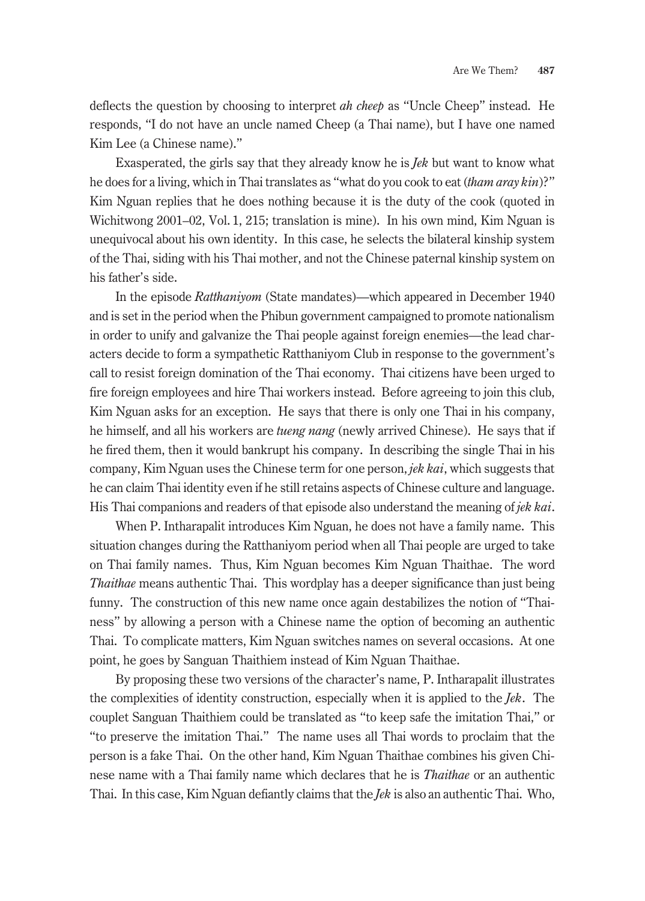deflects the question by choosing to interpret *ah cheep* as "Uncle Cheep" instead. He responds, "I do not have an uncle named Cheep (a Thai name), but I have one named Kim Lee (a Chinese name)."

Exasperated, the girls say that they already know he is *Jek* but want to know what he does for a living, which in Thai translates as "what do you cook to eat (*tham aray kin*)?" Kim Nguan replies that he does nothing because it is the duty of the cook (quoted in Wichitwong 2001–02, Vol. 1, 215; translation is mine). In his own mind, Kim Nguan is unequivocal about his own identity. In this case, he selects the bilateral kinship system of the Thai, siding with his Thai mother, and not the Chinese paternal kinship system on his father's side.

In the episode *Ratthaniyom* (State mandates)—which appeared in December 1940 and is set in the period when the Phibun government campaigned to promote nationalism in order to unify and galvanize the Thai people against foreign enemies—the lead characters decide to form a sympathetic Ratthaniyom Club in response to the government's call to resist foreign domination of the Thai economy. Thai citizens have been urged to fire foreign employees and hire Thai workers instead. Before agreeing to join this club, Kim Nguan asks for an exception. He says that there is only one Thai in his company, he himself, and all his workers are *tueng nang* (newly arrived Chinese). He says that if he fired them, then it would bankrupt his company. In describing the single Thai in his company, Kim Nguan uses the Chinese term for one person, *jek kai*, which suggests that he can claim Thai identity even if he still retains aspects of Chinese culture and language. His Thai companions and readers of that episode also understand the meaning of *jek kai*.

When P. Intharapalit introduces Kim Nguan, he does not have a family name. This situation changes during the Ratthaniyom period when all Thai people are urged to take on Thai family names. Thus, Kim Nguan becomes Kim Nguan Thaithae. The word *Thaithae* means authentic Thai. This wordplay has a deeper significance than just being funny. The construction of this new name once again destabilizes the notion of "Thainess" by allowing a person with a Chinese name the option of becoming an authentic Thai. To complicate matters, Kim Nguan switches names on several occasions. At one point, he goes by Sanguan Thaithiem instead of Kim Nguan Thaithae.

By proposing these two versions of the character's name, P. Intharapalit illustrates the complexities of identity construction, especially when it is applied to the *Jek*. The couplet Sanguan Thaithiem could be translated as "to keep safe the imitation Thai," or "to preserve the imitation Thai." The name uses all Thai words to proclaim that the person is a fake Thai. On the other hand, Kim Nguan Thaithae combines his given Chinese name with a Thai family name which declares that he is *Thaithae* or an authentic Thai. In this case, Kim Nguan defiantly claims that the *Jek* is also an authentic Thai. Who,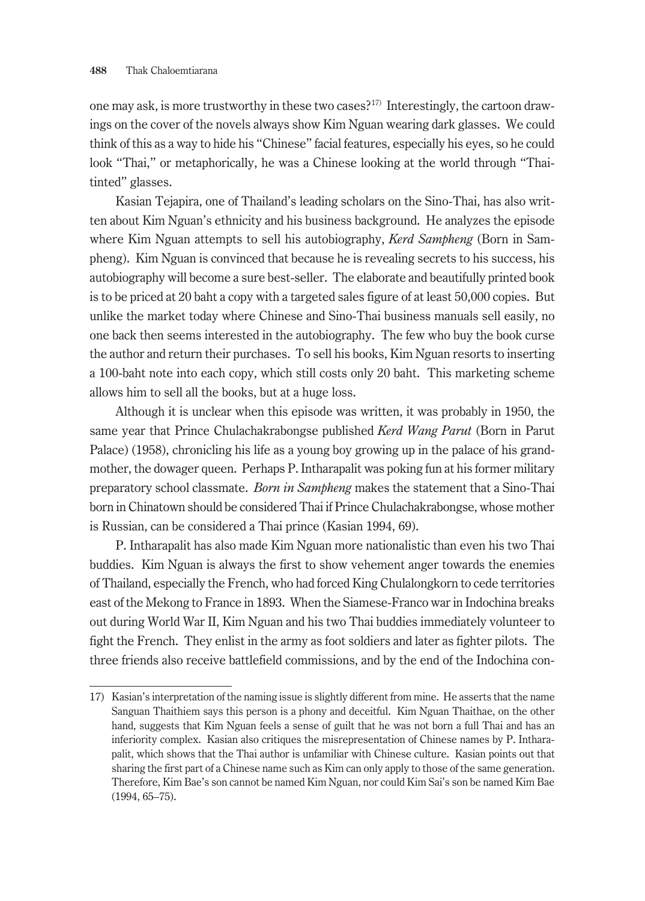one may ask, is more trustworthy in these two cases?17) Interestingly, the cartoon drawings on the cover of the novels always show Kim Nguan wearing dark glasses. We could think of this as a way to hide his "Chinese" facial features, especially his eyes, so he could look "Thai," or metaphorically, he was a Chinese looking at the world through "Thaitinted" glasses.

Kasian Tejapira, one of Thailand's leading scholars on the Sino-Thai, has also written about Kim Nguan's ethnicity and his business background. He analyzes the episode where Kim Nguan attempts to sell his autobiography, *Kerd Sampheng* (Born in Sampheng). Kim Nguan is convinced that because he is revealing secrets to his success, his autobiography will become a sure best-seller. The elaborate and beautifully printed book is to be priced at 20 baht a copy with a targeted sales figure of at least 50,000 copies. But unlike the market today where Chinese and Sino-Thai business manuals sell easily, no one back then seems interested in the autobiography. The few who buy the book curse the author and return their purchases. To sell his books, Kim Nguan resorts to inserting a 100-baht note into each copy, which still costs only 20 baht. This marketing scheme allows him to sell all the books, but at a huge loss.

Although it is unclear when this episode was written, it was probably in 1950, the same year that Prince Chulachakrabongse published *Kerd Wang Parut* (Born in Parut Palace) (1958), chronicling his life as a young boy growing up in the palace of his grandmother, the dowager queen. Perhaps P. Intharapalit was poking fun at his former military preparatory school classmate. *Born in Sampheng* makes the statement that a Sino-Thai born in Chinatown should be considered Thai if Prince Chulachakrabongse, whose mother is Russian, can be considered a Thai prince (Kasian 1994, 69).

P. Intharapalit has also made Kim Nguan more nationalistic than even his two Thai buddies. Kim Nguan is always the first to show vehement anger towards the enemies of Thailand, especially the French, who had forced King Chulalongkorn to cede territories east of the Mekong to France in 1893. When the Siamese-Franco war in Indochina breaks out during World War II, Kim Nguan and his two Thai buddies immediately volunteer to fight the French. They enlist in the army as foot soldiers and later as fighter pilots. The three friends also receive battlefield commissions, and by the end of the Indochina con-

<sup>17)</sup> Kasian's interpretation of the naming issue is slightly different from mine. He asserts that the name Sanguan Thaithiem says this person is a phony and deceitful. Kim Nguan Thaithae, on the other hand, suggests that Kim Nguan feels a sense of guilt that he was not born a full Thai and has an inferiority complex. Kasian also critiques the misrepresentation of Chinese names by P. Intharapalit, which shows that the Thai author is unfamiliar with Chinese culture. Kasian points out that sharing the first part of a Chinese name such as Kim can only apply to those of the same generation. Therefore, Kim Bae's son cannot be named Kim Nguan, nor could Kim Sai's son be named Kim Bae (1994, 65–75).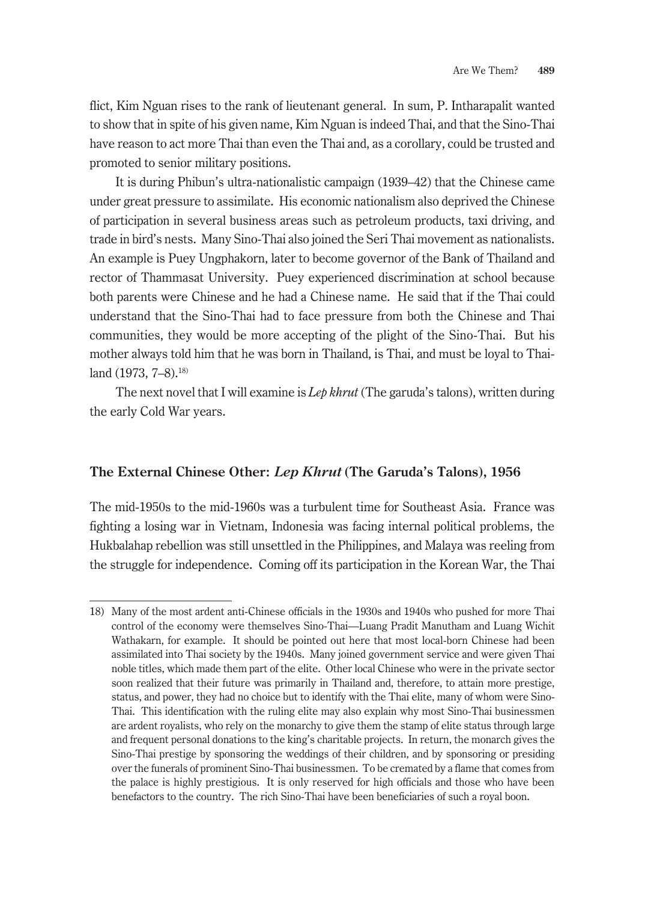flict, Kim Nguan rises to the rank of lieutenant general. In sum, P. Intharapalit wanted to show that in spite of his given name, Kim Nguan is indeed Thai, and that the Sino-Thai have reason to act more Thai than even the Thai and, as a corollary, could be trusted and promoted to senior military positions.

It is during Phibun's ultra-nationalistic campaign (1939–42) that the Chinese came under great pressure to assimilate. His economic nationalism also deprived the Chinese of participation in several business areas such as petroleum products, taxi driving, and trade in bird's nests. Many Sino-Thai also joined the Seri Thai movement as nationalists. An example is Puey Ungphakorn, later to become governor of the Bank of Thailand and rector of Thammasat University. Puey experienced discrimination at school because both parents were Chinese and he had a Chinese name. He said that if the Thai could understand that the Sino-Thai had to face pressure from both the Chinese and Thai communities, they would be more accepting of the plight of the Sino-Thai. But his mother always told him that he was born in Thailand, is Thai, and must be loyal to Thailand (1973, 7-8).<sup>18)</sup>

The next novel that I will examine is *Lep khrut* (The garuda's talons), written during the early Cold War years.

### **The External Chinese Other:** *Lep Khrut* **(The Garuda's Talons), 1956**

The mid-1950s to the mid-1960s was a turbulent time for Southeast Asia. France was fighting a losing war in Vietnam, Indonesia was facing internal political problems, the Hukbalahap rebellion was still unsettled in the Philippines, and Malaya was reeling from the struggle for independence. Coming off its participation in the Korean War, the Thai

<sup>18)</sup> Many of the most ardent anti-Chinese officials in the 1930s and 1940s who pushed for more Thai control of the economy were themselves Sino-Thai—Luang Pradit Manutham and Luang Wichit Wathakarn, for example. It should be pointed out here that most local-born Chinese had been assimilated into Thai society by the 1940s. Many joined government service and were given Thai noble titles, which made them part of the elite. Other local Chinese who were in the private sector soon realized that their future was primarily in Thailand and, therefore, to attain more prestige, status, and power, they had no choice but to identify with the Thai elite, many of whom were Sino-Thai. This identification with the ruling elite may also explain why most Sino-Thai businessmen are ardent royalists, who rely on the monarchy to give them the stamp of elite status through large and frequent personal donations to the king's charitable projects. In return, the monarch gives the Sino-Thai prestige by sponsoring the weddings of their children, and by sponsoring or presiding over the funerals of prominent Sino-Thai businessmen. To be cremated by a flame that comes from the palace is highly prestigious. It is only reserved for high officials and those who have been benefactors to the country. The rich Sino-Thai have been beneficiaries of such a royal boon.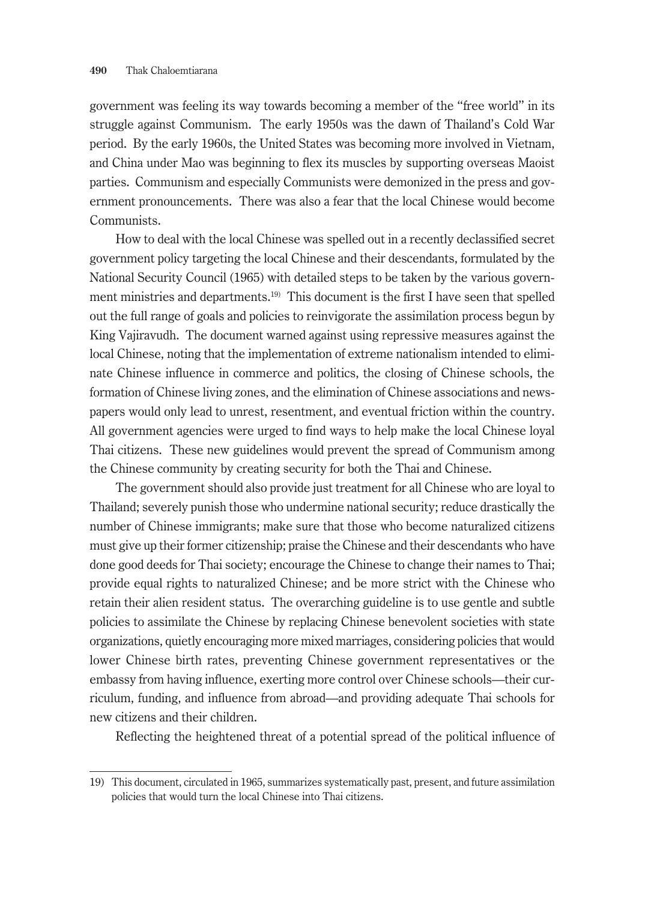government was feeling its way towards becoming a member of the "free world" in its struggle against Communism. The early 1950s was the dawn of Thailand's Cold War period. By the early 1960s, the United States was becoming more involved in Vietnam, and China under Mao was beginning to flex its muscles by supporting overseas Maoist parties. Communism and especially Communists were demonized in the press and government pronouncements. There was also a fear that the local Chinese would become Communists.

How to deal with the local Chinese was spelled out in a recently declassified secret government policy targeting the local Chinese and their descendants, formulated by the National Security Council (1965) with detailed steps to be taken by the various government ministries and departments.<sup>19)</sup> This document is the first I have seen that spelled out the full range of goals and policies to reinvigorate the assimilation process begun by King Vajiravudh. The document warned against using repressive measures against the local Chinese, noting that the implementation of extreme nationalism intended to eliminate Chinese influence in commerce and politics, the closing of Chinese schools, the formation of Chinese living zones, and the elimination of Chinese associations and newspapers would only lead to unrest, resentment, and eventual friction within the country. All government agencies were urged to find ways to help make the local Chinese loyal Thai citizens. These new guidelines would prevent the spread of Communism among the Chinese community by creating security for both the Thai and Chinese.

The government should also provide just treatment for all Chinese who are loyal to Thailand; severely punish those who undermine national security; reduce drastically the number of Chinese immigrants; make sure that those who become naturalized citizens must give up their former citizenship; praise the Chinese and their descendants who have done good deeds for Thai society; encourage the Chinese to change their names to Thai; provide equal rights to naturalized Chinese; and be more strict with the Chinese who retain their alien resident status. The overarching guideline is to use gentle and subtle policies to assimilate the Chinese by replacing Chinese benevolent societies with state organizations, quietly encouraging more mixed marriages, considering policies that would lower Chinese birth rates, preventing Chinese government representatives or the embassy from having influence, exerting more control over Chinese schools—their curriculum, funding, and influence from abroad—and providing adequate Thai schools for new citizens and their children.

Reflecting the heightened threat of a potential spread of the political influence of

<sup>19)</sup> This document, circulated in 1965, summarizes systematically past, present, and future assimilation policies that would turn the local Chinese into Thai citizens.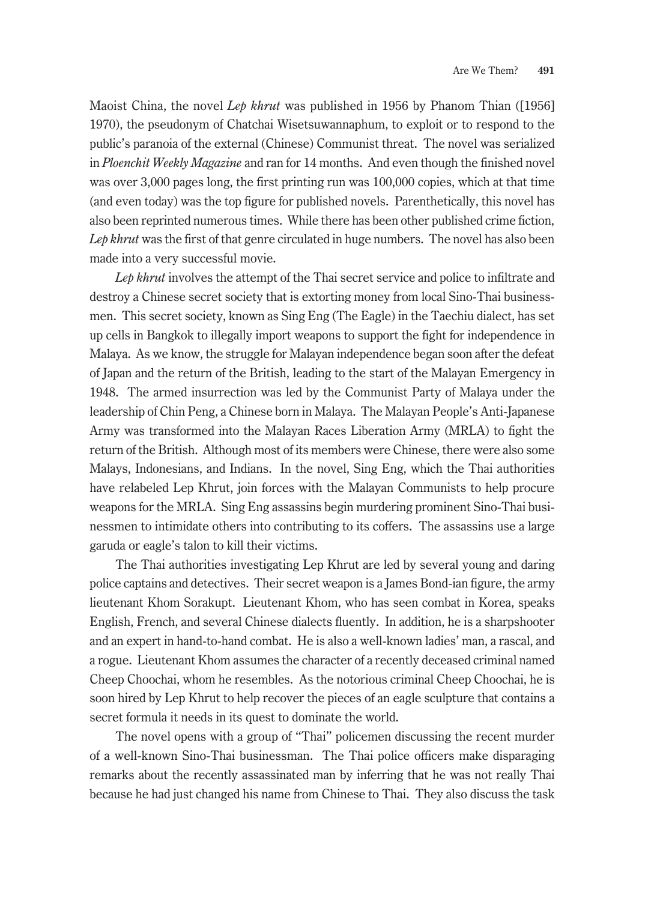Maoist China, the novel *Lep khrut* was published in 1956 by Phanom Thian ([1956] 1970), the pseudonym of Chatchai Wisetsuwannaphum, to exploit or to respond to the public's paranoia of the external (Chinese) Communist threat. The novel was serialized in *Ploenchit Weekly Magazine* and ran for 14 months. And even though the finished novel was over 3,000 pages long, the first printing run was 100,000 copies, which at that time (and even today) was the top figure for published novels. Parenthetically, this novel has also been reprinted numerous times. While there has been other published crime fiction, Lep khrut was the first of that genre circulated in huge numbers. The novel has also been made into a very successful movie.

*Lep khrut* involves the attempt of the Thai secret service and police to infiltrate and destroy a Chinese secret society that is extorting money from local Sino-Thai businessmen. This secret society, known as Sing Eng (The Eagle) in the Taechiu dialect, has set up cells in Bangkok to illegally import weapons to support the fight for independence in Malaya. As we know, the struggle for Malayan independence began soon after the defeat of Japan and the return of the British, leading to the start of the Malayan Emergency in 1948. The armed insurrection was led by the Communist Party of Malaya under the leadership of Chin Peng, a Chinese born in Malaya. The Malayan People's Anti-Japanese Army was transformed into the Malayan Races Liberation Army (MRLA) to fight the return of the British. Although most of its members were Chinese, there were also some Malays, Indonesians, and Indians. In the novel, Sing Eng, which the Thai authorities have relabeled Lep Khrut, join forces with the Malayan Communists to help procure weapons for the MRLA. Sing Eng assassins begin murdering prominent Sino-Thai businessmen to intimidate others into contributing to its coffers. The assassins use a large garuda or eagle's talon to kill their victims.

The Thai authorities investigating Lep Khrut are led by several young and daring police captains and detectives. Their secret weapon is a James Bond-ian figure, the army lieutenant Khom Sorakupt. Lieutenant Khom, who has seen combat in Korea, speaks English, French, and several Chinese dialects fluently. In addition, he is a sharpshooter and an expert in hand-to-hand combat. He is also a well-known ladies' man, a rascal, and a rogue. Lieutenant Khom assumes the character of a recently deceased criminal named Cheep Choochai, whom he resembles. As the notorious criminal Cheep Choochai, he is soon hired by Lep Khrut to help recover the pieces of an eagle sculpture that contains a secret formula it needs in its quest to dominate the world.

The novel opens with a group of "Thai" policemen discussing the recent murder of a well-known Sino-Thai businessman. The Thai police officers make disparaging remarks about the recently assassinated man by inferring that he was not really Thai because he had just changed his name from Chinese to Thai. They also discuss the task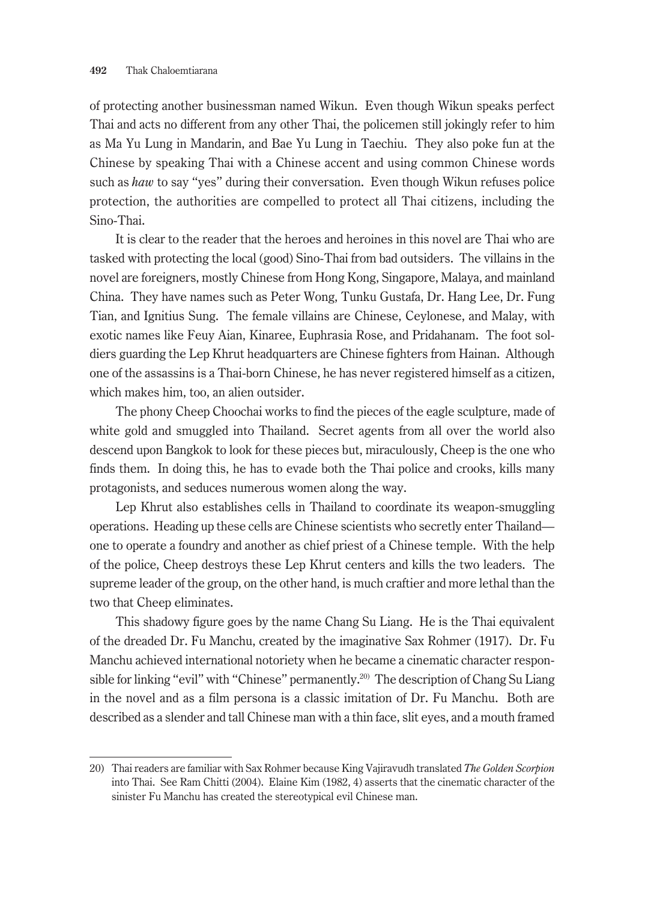of protecting another businessman named Wikun. Even though Wikun speaks perfect Thai and acts no different from any other Thai, the policemen still jokingly refer to him as Ma Yu Lung in Mandarin, and Bae Yu Lung in Taechiu. They also poke fun at the Chinese by speaking Thai with a Chinese accent and using common Chinese words such as *haw* to say "yes" during their conversation. Even though Wikun refuses police protection, the authorities are compelled to protect all Thai citizens, including the Sino-Thai.

It is clear to the reader that the heroes and heroines in this novel are Thai who are tasked with protecting the local (good) Sino-Thai from bad outsiders. The villains in the novel are foreigners, mostly Chinese from Hong Kong, Singapore, Malaya, and mainland China. They have names such as Peter Wong, Tunku Gustafa, Dr. Hang Lee, Dr. Fung Tian, and Ignitius Sung. The female villains are Chinese, Ceylonese, and Malay, with exotic names like Feuy Aian, Kinaree, Euphrasia Rose, and Pridahanam. The foot soldiers guarding the Lep Khrut headquarters are Chinese fighters from Hainan. Although one of the assassins is a Thai-born Chinese, he has never registered himself as a citizen, which makes him, too, an alien outsider.

The phony Cheep Choochai works to find the pieces of the eagle sculpture, made of white gold and smuggled into Thailand. Secret agents from all over the world also descend upon Bangkok to look for these pieces but, miraculously, Cheep is the one who finds them. In doing this, he has to evade both the Thai police and crooks, kills many protagonists, and seduces numerous women along the way.

Lep Khrut also establishes cells in Thailand to coordinate its weapon-smuggling operations. Heading up these cells are Chinese scientists who secretly enter Thailand one to operate a foundry and another as chief priest of a Chinese temple. With the help of the police, Cheep destroys these Lep Khrut centers and kills the two leaders. The supreme leader of the group, on the other hand, is much craftier and more lethal than the two that Cheep eliminates.

This shadowy figure goes by the name Chang Su Liang. He is the Thai equivalent of the dreaded Dr. Fu Manchu, created by the imaginative Sax Rohmer (1917). Dr. Fu Manchu achieved international notoriety when he became a cinematic character responsible for linking "evil" with "Chinese" permanently.<sup>20)</sup> The description of Chang Su Liang in the novel and as a film persona is a classic imitation of Dr. Fu Manchu. Both are described as a slender and tall Chinese man with a thin face, slit eyes, and a mouth framed

<sup>20)</sup> Thai readers are familiar with Sax Rohmer because King Vajiravudh translated *The Golden Scorpion* into Thai. See Ram Chitti (2004). Elaine Kim (1982, 4) asserts that the cinematic character of the sinister Fu Manchu has created the stereotypical evil Chinese man.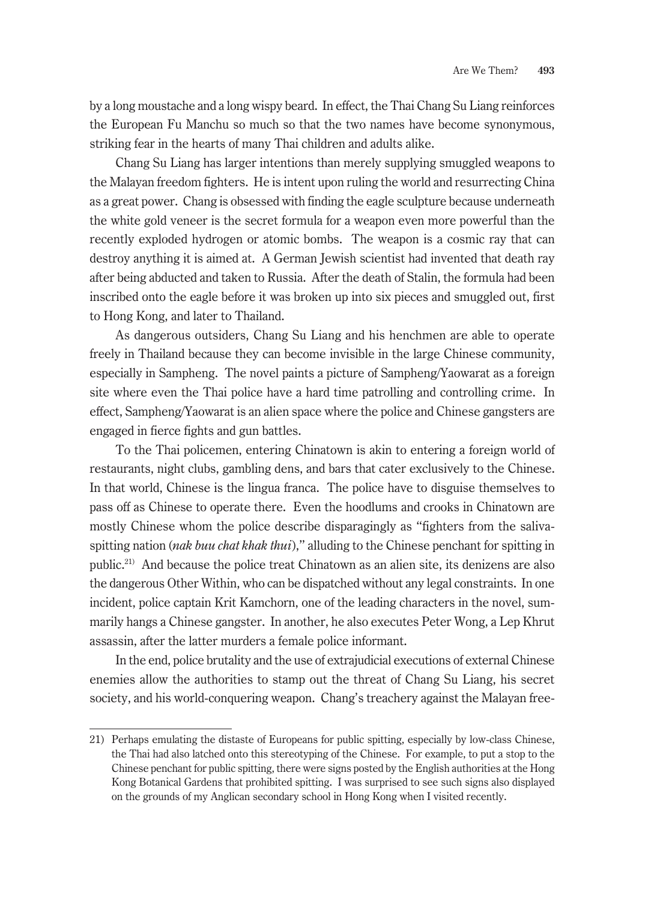by a long moustache and a long wispy beard. In effect, the Thai Chang Su Liang reinforces the European Fu Manchu so much so that the two names have become synonymous, striking fear in the hearts of many Thai children and adults alike.

Chang Su Liang has larger intentions than merely supplying smuggled weapons to the Malayan freedom fighters. He is intent upon ruling the world and resurrecting China as a great power. Chang is obsessed with finding the eagle sculpture because underneath the white gold veneer is the secret formula for a weapon even more powerful than the recently exploded hydrogen or atomic bombs. The weapon is a cosmic ray that can destroy anything it is aimed at. A German Jewish scientist had invented that death ray after being abducted and taken to Russia. After the death of Stalin, the formula had been inscribed onto the eagle before it was broken up into six pieces and smuggled out, first to Hong Kong, and later to Thailand.

As dangerous outsiders, Chang Su Liang and his henchmen are able to operate freely in Thailand because they can become invisible in the large Chinese community, especially in Sampheng. The novel paints a picture of Sampheng/Yaowarat as a foreign site where even the Thai police have a hard time patrolling and controlling crime. In effect, Sampheng/Yaowarat is an alien space where the police and Chinese gangsters are engaged in fierce fights and gun battles.

To the Thai policemen, entering Chinatown is akin to entering a foreign world of restaurants, night clubs, gambling dens, and bars that cater exclusively to the Chinese. In that world, Chinese is the lingua franca. The police have to disguise themselves to pass off as Chinese to operate there. Even the hoodlums and crooks in Chinatown are mostly Chinese whom the police describe disparagingly as "fighters from the salivaspitting nation (*nak buu chat khak thui*)," alluding to the Chinese penchant for spitting in public.21) And because the police treat Chinatown as an alien site, its denizens are also the dangerous Other Within, who can be dispatched without any legal constraints. In one incident, police captain Krit Kamchorn, one of the leading characters in the novel, summarily hangs a Chinese gangster. In another, he also executes Peter Wong, a Lep Khrut assassin, after the latter murders a female police informant.

In the end, police brutality and the use of extrajudicial executions of external Chinese enemies allow the authorities to stamp out the threat of Chang Su Liang, his secret society, and his world-conquering weapon. Chang's treachery against the Malayan free-

<sup>21)</sup> Perhaps emulating the distaste of Europeans for public spitting, especially by low-class Chinese, the Thai had also latched onto this stereotyping of the Chinese. For example, to put a stop to the Chinese penchant for public spitting, there were signs posted by the English authorities at the Hong Kong Botanical Gardens that prohibited spitting. I was surprised to see such signs also displayed on the grounds of my Anglican secondary school in Hong Kong when I visited recently.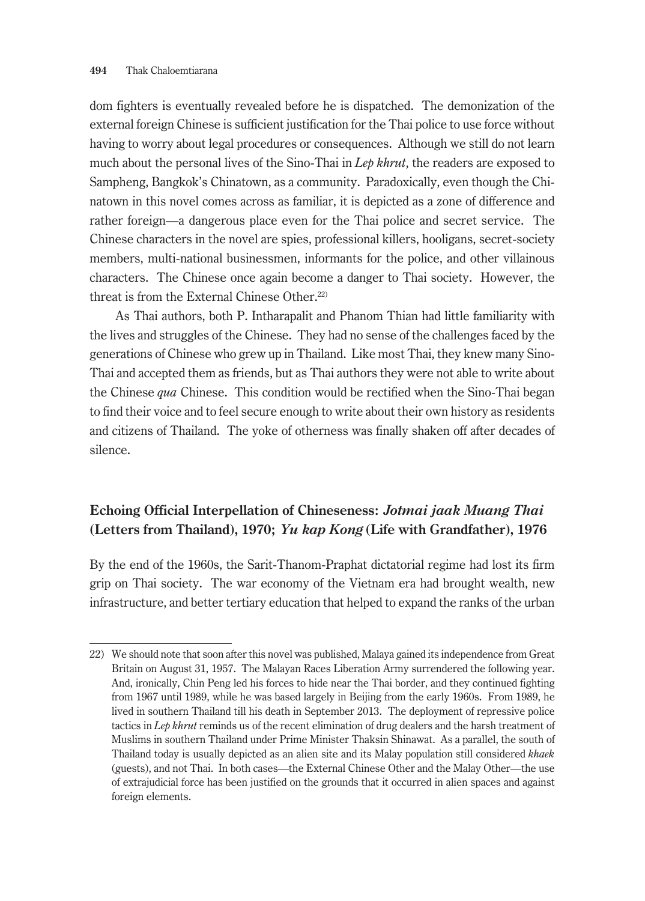dom fighters is eventually revealed before he is dispatched. The demonization of the external foreign Chinese is sufficient justification for the Thai police to use force without having to worry about legal procedures or consequences. Although we still do not learn much about the personal lives of the Sino-Thai in *Lep khrut*, the readers are exposed to Sampheng, Bangkok's Chinatown, as a community. Paradoxically, even though the Chinatown in this novel comes across as familiar, it is depicted as a zone of difference and rather foreign—a dangerous place even for the Thai police and secret service. The Chinese characters in the novel are spies, professional killers, hooligans, secret-society members, multi-national businessmen, informants for the police, and other villainous characters. The Chinese once again become a danger to Thai society. However, the threat is from the External Chinese Other.<sup>22)</sup>

As Thai authors, both P. Intharapalit and Phanom Thian had little familiarity with the lives and struggles of the Chinese. They had no sense of the challenges faced by the generations of Chinese who grew up in Thailand. Like most Thai, they knew many Sino-Thai and accepted them as friends, but as Thai authors they were not able to write about the Chinese *qua* Chinese. This condition would be rectified when the Sino-Thai began to find their voice and to feel secure enough to write about their own history as residents and citizens of Thailand. The yoke of otherness was finally shaken off after decades of silence.

# **Echoing Official Interpellation of Chineseness:** *Jotmai jaak Muang Thai* **(Letters from Thailand), 1970;** *Yu kap Kong* **(Life with Grandfather), 1976**

By the end of the 1960s, the Sarit-Thanom-Praphat dictatorial regime had lost its firm grip on Thai society. The war economy of the Vietnam era had brought wealth, new infrastructure, and better tertiary education that helped to expand the ranks of the urban

<sup>22)</sup> We should note that soon after this novel was published, Malaya gained its independence from Great Britain on August 31, 1957. The Malayan Races Liberation Army surrendered the following year. And, ironically, Chin Peng led his forces to hide near the Thai border, and they continued fighting from 1967 until 1989, while he was based largely in Beijing from the early 1960s. From 1989, he lived in southern Thailand till his death in September 2013. The deployment of repressive police tactics in *Lep khrut* reminds us of the recent elimination of drug dealers and the harsh treatment of Muslims in southern Thailand under Prime Minister Thaksin Shinawat. As a parallel, the south of Thailand today is usually depicted as an alien site and its Malay population still considered *khaek* (guests), and not Thai. In both cases—the External Chinese Other and the Malay Other—the use of extrajudicial force has been justified on the grounds that it occurred in alien spaces and against foreign elements.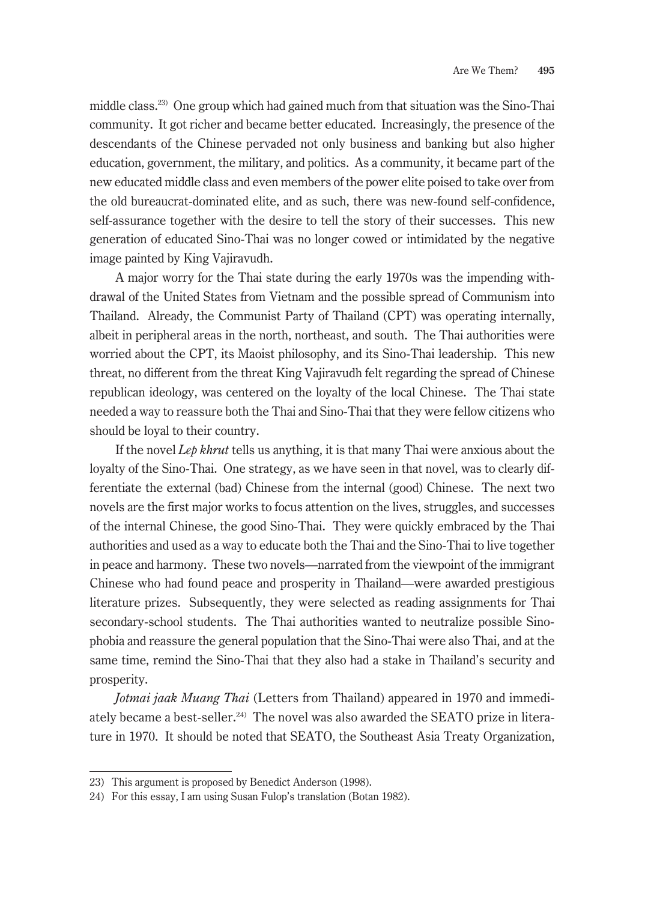middle class.23) One group which had gained much from that situation was the Sino-Thai community. It got richer and became better educated. Increasingly, the presence of the descendants of the Chinese pervaded not only business and banking but also higher education, government, the military, and politics. As a community, it became part of the new educated middle class and even members of the power elite poised to take over from the old bureaucrat-dominated elite, and as such, there was new-found self-confidence, self-assurance together with the desire to tell the story of their successes. This new generation of educated Sino-Thai was no longer cowed or intimidated by the negative image painted by King Vajiravudh.

A major worry for the Thai state during the early 1970s was the impending withdrawal of the United States from Vietnam and the possible spread of Communism into Thailand. Already, the Communist Party of Thailand (CPT) was operating internally, albeit in peripheral areas in the north, northeast, and south. The Thai authorities were worried about the CPT, its Maoist philosophy, and its Sino-Thai leadership. This new threat, no different from the threat King Vajiravudh felt regarding the spread of Chinese republican ideology, was centered on the loyalty of the local Chinese. The Thai state needed a way to reassure both the Thai and Sino-Thai that they were fellow citizens who should be loyal to their country.

If the novel *Lep khrut* tells us anything, it is that many Thai were anxious about the loyalty of the Sino-Thai. One strategy, as we have seen in that novel, was to clearly differentiate the external (bad) Chinese from the internal (good) Chinese. The next two novels are the first major works to focus attention on the lives, struggles, and successes of the internal Chinese, the good Sino-Thai. They were quickly embraced by the Thai authorities and used as a way to educate both the Thai and the Sino-Thai to live together in peace and harmony. These two novels—narrated from the viewpoint of the immigrant Chinese who had found peace and prosperity in Thailand—were awarded prestigious literature prizes. Subsequently, they were selected as reading assignments for Thai secondary-school students. The Thai authorities wanted to neutralize possible Sinophobia and reassure the general population that the Sino-Thai were also Thai, and at the same time, remind the Sino-Thai that they also had a stake in Thailand's security and prosperity.

*Jotmai jaak Muang Thai* (Letters from Thailand) appeared in 1970 and immediately became a best-seller.<sup>24)</sup> The novel was also awarded the SEATO prize in literature in 1970. It should be noted that SEATO, the Southeast Asia Treaty Organization,

<sup>23)</sup> This argument is proposed by Benedict Anderson (1998).

<sup>24)</sup> For this essay, I am using Susan Fulop's translation (Botan 1982).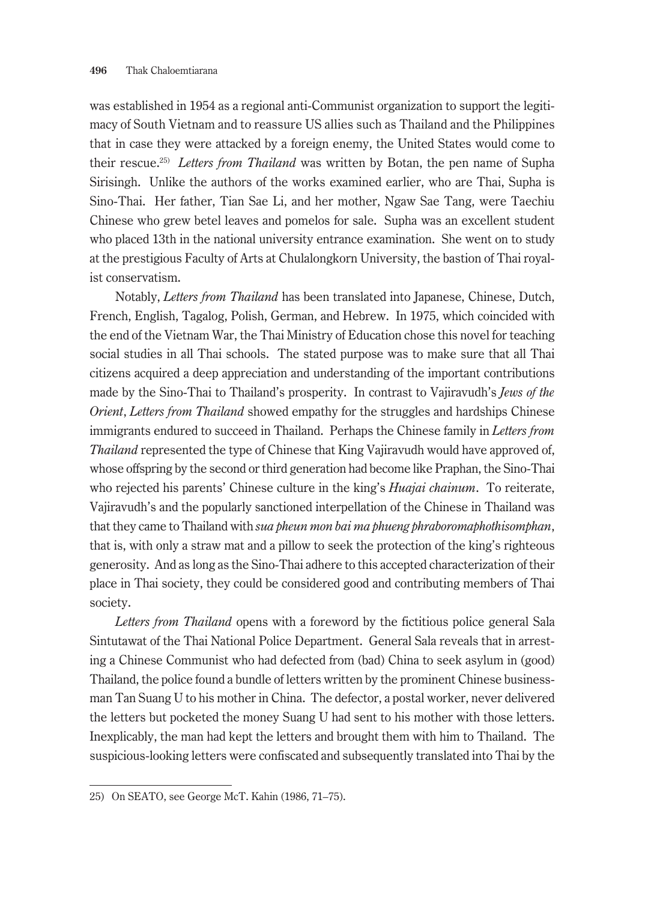was established in 1954 as a regional anti-Communist organization to support the legitimacy of South Vietnam and to reassure US allies such as Thailand and the Philippines that in case they were attacked by a foreign enemy, the United States would come to their rescue.25) *Letters from Thailand* was written by Botan, the pen name of Supha Sirisingh. Unlike the authors of the works examined earlier, who are Thai, Supha is Sino-Thai. Her father, Tian Sae Li, and her mother, Ngaw Sae Tang, were Taechiu Chinese who grew betel leaves and pomelos for sale. Supha was an excellent student who placed 13th in the national university entrance examination. She went on to study at the prestigious Faculty of Arts at Chulalongkorn University, the bastion of Thai royalist conservatism.

Notably, *Letters from Thailand* has been translated into Japanese, Chinese, Dutch, French, English, Tagalog, Polish, German, and Hebrew. In 1975, which coincided with the end of the Vietnam War, the Thai Ministry of Education chose this novel for teaching social studies in all Thai schools. The stated purpose was to make sure that all Thai citizens acquired a deep appreciation and understanding of the important contributions made by the Sino-Thai to Thailand's prosperity. In contrast to Vajiravudh's *Jews of the Orient*, *Letters from Thailand* showed empathy for the struggles and hardships Chinese immigrants endured to succeed in Thailand. Perhaps the Chinese family in *Letters from Thailand* represented the type of Chinese that King Vajiravudh would have approved of, whose offspring by the second or third generation had become like Praphan, the Sino-Thai who rejected his parents' Chinese culture in the king's *Huajai chainum*. To reiterate, Vajiravudh's and the popularly sanctioned interpellation of the Chinese in Thailand was that they came to Thailand with *sua pheun mon bai ma phueng phraboromaphothisomphan*, that is, with only a straw mat and a pillow to seek the protection of the king's righteous generosity. And as long as the Sino-Thai adhere to this accepted characterization of their place in Thai society, they could be considered good and contributing members of Thai society.

*Letters from Thailand* opens with a foreword by the fictitious police general Sala Sintutawat of the Thai National Police Department. General Sala reveals that in arresting a Chinese Communist who had defected from (bad) China to seek asylum in (good) Thailand, the police found a bundle of letters written by the prominent Chinese businessman Tan Suang U to his mother in China. The defector, a postal worker, never delivered the letters but pocketed the money Suang U had sent to his mother with those letters. Inexplicably, the man had kept the letters and brought them with him to Thailand. The suspicious-looking letters were confiscated and subsequently translated into Thai by the

<sup>25)</sup> On SEATO, see George McT. Kahin (1986, 71–75).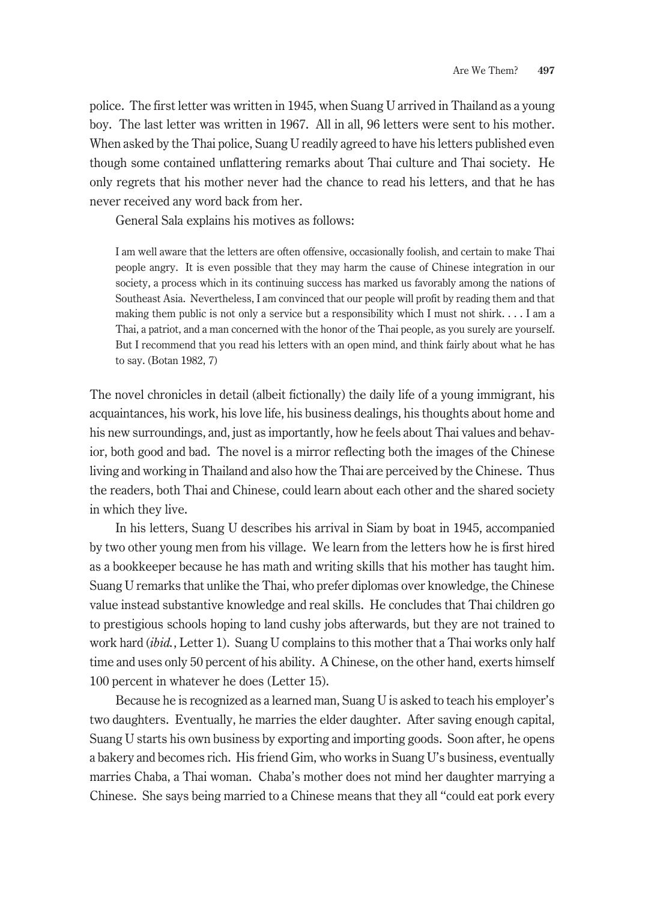police. The first letter was written in 1945, when Suang U arrived in Thailand as a young boy. The last letter was written in 1967. All in all, 96 letters were sent to his mother. When asked by the Thai police, Suang U readily agreed to have his letters published even though some contained unflattering remarks about Thai culture and Thai society. He only regrets that his mother never had the chance to read his letters, and that he has never received any word back from her.

General Sala explains his motives as follows:

I am well aware that the letters are often offensive, occasionally foolish, and certain to make Thai people angry. It is even possible that they may harm the cause of Chinese integration in our society, a process which in its continuing success has marked us favorably among the nations of Southeast Asia. Nevertheless, I am convinced that our people will profit by reading them and that making them public is not only a service but a responsibility which I must not shirk. . . . I am a Thai, a patriot, and a man concerned with the honor of the Thai people, as you surely are yourself. But I recommend that you read his letters with an open mind, and think fairly about what he has to say. (Botan 1982, 7)

The novel chronicles in detail (albeit fictionally) the daily life of a young immigrant, his acquaintances, his work, his love life, his business dealings, his thoughts about home and his new surroundings, and, just as importantly, how he feels about Thai values and behavior, both good and bad. The novel is a mirror reflecting both the images of the Chinese living and working in Thailand and also how the Thai are perceived by the Chinese. Thus the readers, both Thai and Chinese, could learn about each other and the shared society in which they live.

In his letters, Suang U describes his arrival in Siam by boat in 1945, accompanied by two other young men from his village. We learn from the letters how he is first hired as a bookkeeper because he has math and writing skills that his mother has taught him. Suang U remarks that unlike the Thai, who prefer diplomas over knowledge, the Chinese value instead substantive knowledge and real skills. He concludes that Thai children go to prestigious schools hoping to land cushy jobs afterwards, but they are not trained to work hard (*ibid.*, Letter 1). Suang U complains to this mother that a Thai works only half time and uses only 50 percent of his ability. A Chinese, on the other hand, exerts himself 100 percent in whatever he does (Letter 15).

Because he is recognized as a learned man, Suang U is asked to teach his employer's two daughters. Eventually, he marries the elder daughter. After saving enough capital, Suang U starts his own business by exporting and importing goods. Soon after, he opens a bakery and becomes rich. His friend Gim, who works in Suang U's business, eventually marries Chaba, a Thai woman. Chaba's mother does not mind her daughter marrying a Chinese. She says being married to a Chinese means that they all "could eat pork every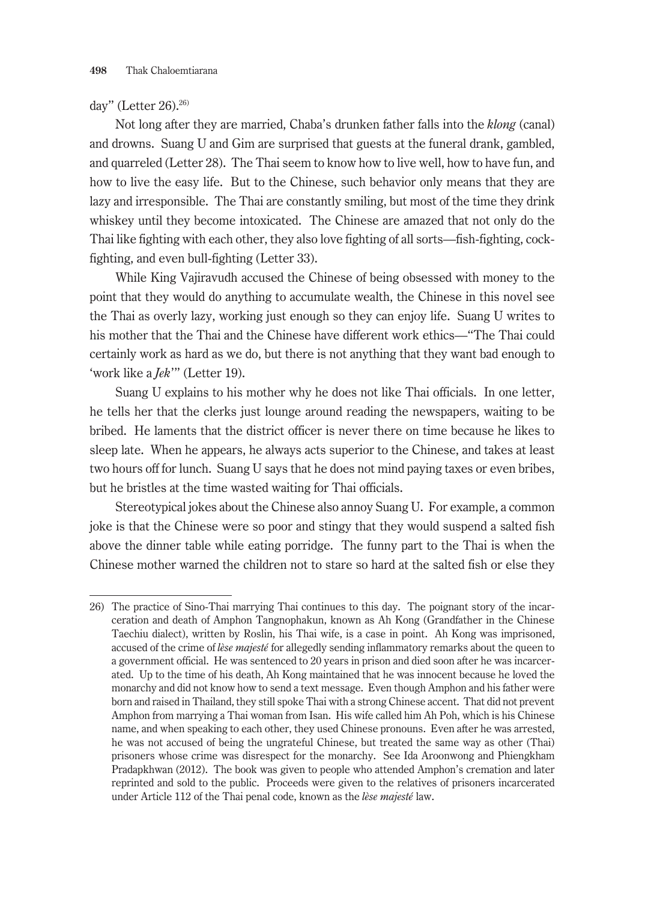#### day" (Letter 26).<sup>26)</sup>

Not long after they are married, Chaba's drunken father falls into the *klong* (canal) and drowns. Suang U and Gim are surprised that guests at the funeral drank, gambled, and quarreled (Letter 28). The Thai seem to know how to live well, how to have fun, and how to live the easy life. But to the Chinese, such behavior only means that they are lazy and irresponsible. The Thai are constantly smiling, but most of the time they drink whiskey until they become intoxicated. The Chinese are amazed that not only do the Thai like fighting with each other, they also love fighting of all sorts—fish-fighting, cockfighting, and even bull-fighting (Letter 33).

While King Vajiravudh accused the Chinese of being obsessed with money to the point that they would do anything to accumulate wealth, the Chinese in this novel see the Thai as overly lazy, working just enough so they can enjoy life. Suang U writes to his mother that the Thai and the Chinese have different work ethics—"The Thai could certainly work as hard as we do, but there is not anything that they want bad enough to 'work like a *Jek*'" (Letter 19).

Suang U explains to his mother why he does not like Thai officials. In one letter, he tells her that the clerks just lounge around reading the newspapers, waiting to be bribed. He laments that the district officer is never there on time because he likes to sleep late. When he appears, he always acts superior to the Chinese, and takes at least two hours off for lunch. Suang U says that he does not mind paying taxes or even bribes, but he bristles at the time wasted waiting for Thai officials.

Stereotypical jokes about the Chinese also annoy Suang U. For example, a common joke is that the Chinese were so poor and stingy that they would suspend a salted fish above the dinner table while eating porridge. The funny part to the Thai is when the Chinese mother warned the children not to stare so hard at the salted fish or else they

<sup>26)</sup> The practice of Sino-Thai marrying Thai continues to this day. The poignant story of the incarceration and death of Amphon Tangnophakun, known as Ah Kong (Grandfather in the Chinese Taechiu dialect), written by Roslin, his Thai wife, is a case in point. Ah Kong was imprisoned, accused of the crime of *lèse majesté* for allegedly sending inflammatory remarks about the queen to a government official. He was sentenced to 20 years in prison and died soon after he was incarcerated. Up to the time of his death, Ah Kong maintained that he was innocent because he loved the monarchy and did not know how to send a text message. Even though Amphon and his father were born and raised in Thailand, they still spoke Thai with a strong Chinese accent. That did not prevent Amphon from marrying a Thai woman from Isan. His wife called him Ah Poh, which is his Chinese name, and when speaking to each other, they used Chinese pronouns. Even after he was arrested, he was not accused of being the ungrateful Chinese, but treated the same way as other (Thai) prisoners whose crime was disrespect for the monarchy. See Ida Aroonwong and Phiengkham Pradapkhwan (2012). The book was given to people who attended Amphon's cremation and later reprinted and sold to the public. Proceeds were given to the relatives of prisoners incarcerated under Article 112 of the Thai penal code, known as the *lèse majesté* law.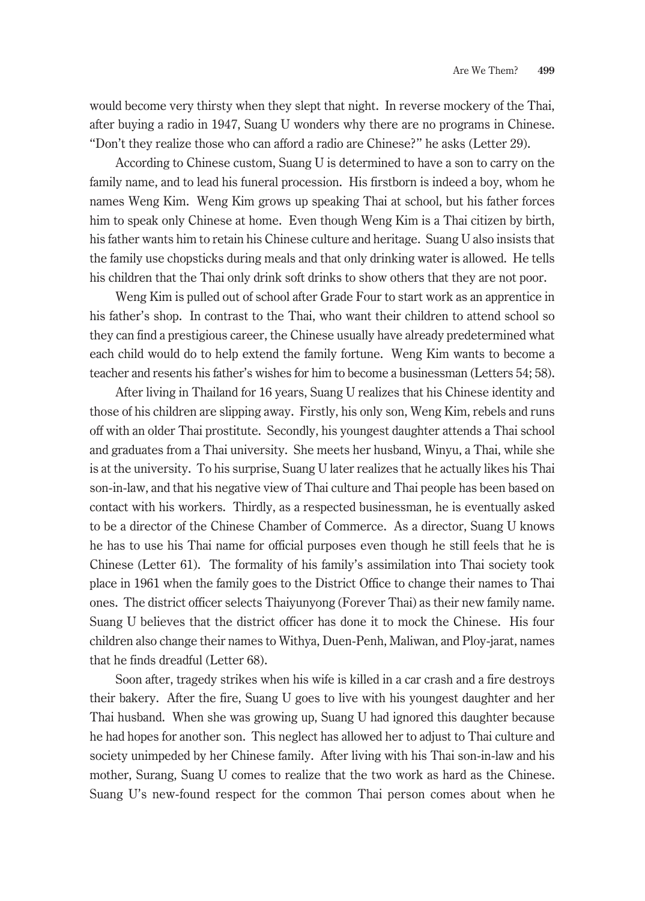would become very thirsty when they slept that night. In reverse mockery of the Thai, after buying a radio in 1947, Suang U wonders why there are no programs in Chinese. "Don't they realize those who can afford a radio are Chinese?" he asks (Letter 29).

According to Chinese custom, Suang U is determined to have a son to carry on the family name, and to lead his funeral procession. His firstborn is indeed a boy, whom he names Weng Kim. Weng Kim grows up speaking Thai at school, but his father forces him to speak only Chinese at home. Even though Weng Kim is a Thai citizen by birth, his father wants him to retain his Chinese culture and heritage. Suang U also insists that the family use chopsticks during meals and that only drinking water is allowed. He tells his children that the Thai only drink soft drinks to show others that they are not poor.

Weng Kim is pulled out of school after Grade Four to start work as an apprentice in his father's shop. In contrast to the Thai, who want their children to attend school so they can find a prestigious career, the Chinese usually have already predetermined what each child would do to help extend the family fortune. Weng Kim wants to become a teacher and resents his father's wishes for him to become a businessman (Letters 54; 58).

After living in Thailand for 16 years, Suang U realizes that his Chinese identity and those of his children are slipping away. Firstly, his only son, Weng Kim, rebels and runs off with an older Thai prostitute. Secondly, his youngest daughter attends a Thai school and graduates from a Thai university. She meets her husband, Winyu, a Thai, while she is at the university. To his surprise, Suang U later realizes that he actually likes his Thai son-in-law, and that his negative view of Thai culture and Thai people has been based on contact with his workers. Thirdly, as a respected businessman, he is eventually asked to be a director of the Chinese Chamber of Commerce. As a director, Suang U knows he has to use his Thai name for official purposes even though he still feels that he is Chinese (Letter 61). The formality of his family's assimilation into Thai society took place in 1961 when the family goes to the District Office to change their names to Thai ones. The district officer selects Thaiyunyong (Forever Thai) as their new family name. Suang U believes that the district officer has done it to mock the Chinese. His four children also change their names to Withya, Duen-Penh, Maliwan, and Ploy-jarat, names that he finds dreadful (Letter 68).

Soon after, tragedy strikes when his wife is killed in a car crash and a fire destroys their bakery. After the fire, Suang U goes to live with his youngest daughter and her Thai husband. When she was growing up, Suang U had ignored this daughter because he had hopes for another son. This neglect has allowed her to adjust to Thai culture and society unimpeded by her Chinese family. After living with his Thai son-in-law and his mother, Surang, Suang U comes to realize that the two work as hard as the Chinese. Suang U's new-found respect for the common Thai person comes about when he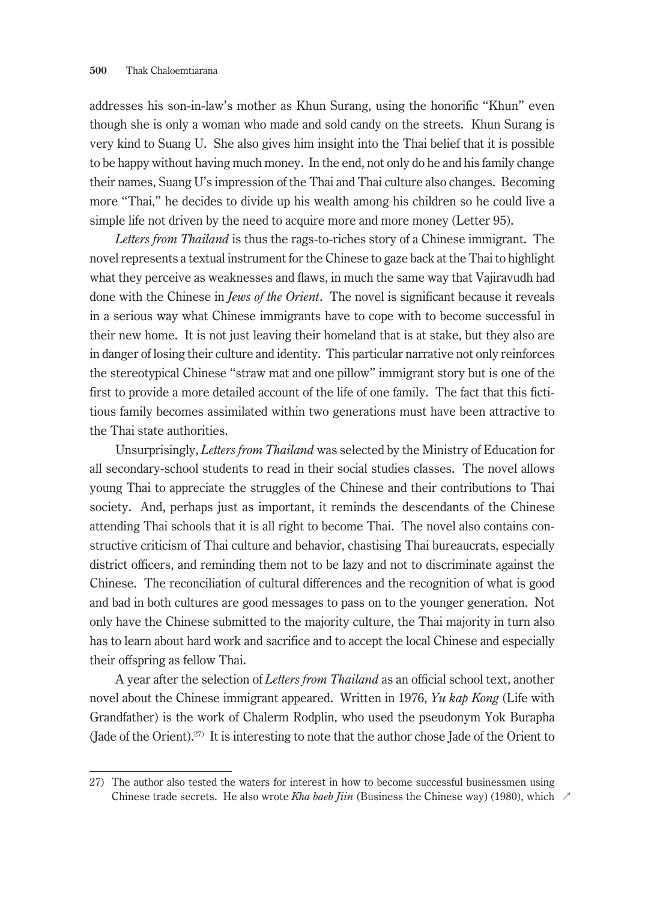addresses his son-in-law's mother as Khun Surang, using the honorific "Khun" even though she is only a woman who made and sold candy on the streets. Khun Surang is very kind to Suang U. She also gives him insight into the Thai belief that it is possible to be happy without having much money. In the end, not only do he and his family change their names, Suang U's impression of the Thai and Thai culture also changes. Becoming more "Thai," he decides to divide up his wealth among his children so he could live a simple life not driven by the need to acquire more and more money (Letter 95).

*Letters from Thailand* is thus the rags-to-riches story of a Chinese immigrant. The novel represents a textual instrument for the Chinese to gaze back at the Thai to highlight what they perceive as weaknesses and flaws, in much the same way that Vajiravudh had done with the Chinese in *Jews of the Orient*. The novel is significant because it reveals in a serious way what Chinese immigrants have to cope with to become successful in their new home. It is not just leaving their homeland that is at stake, but they also are in danger of losing their culture and identity. This particular narrative not only reinforces the stereotypical Chinese "straw mat and one pillow" immigrant story but is one of the first to provide a more detailed account of the life of one family. The fact that this fictitious family becomes assimilated within two generations must have been attractive to the Thai state authorities.

Unsurprisingly, *Letters from Thailand* was selected by the Ministry of Education for all secondary-school students to read in their social studies classes. The novel allows young Thai to appreciate the struggles of the Chinese and their contributions to Thai society. And, perhaps just as important, it reminds the descendants of the Chinese attending Thai schools that it is all right to become Thai. The novel also contains constructive criticism of Thai culture and behavior, chastising Thai bureaucrats, especially district officers, and reminding them not to be lazy and not to discriminate against the Chinese. The reconciliation of cultural differences and the recognition of what is good and bad in both cultures are good messages to pass on to the younger generation. Not only have the Chinese submitted to the majority culture, the Thai majority in turn also has to learn about hard work and sacrifice and to accept the local Chinese and especially their offspring as fellow Thai.

A year after the selection of *Letters from Thailand* as an official school text, another novel about the Chinese immigrant appeared. Written in 1976, *Yu kap Kong* (Life with Grandfather) is the work of Chalerm Rodplin, who used the pseudonym Yok Burapha (Jade of the Orient).<sup>27)</sup> It is interesting to note that the author chose Jade of the Orient to

Chinese trade secrets. He also wrote *Kha baeb Jiin* (Business the Chinese way) (1980), which  $\sim$ 27) The author also tested the waters for interest in how to become successful businessmen using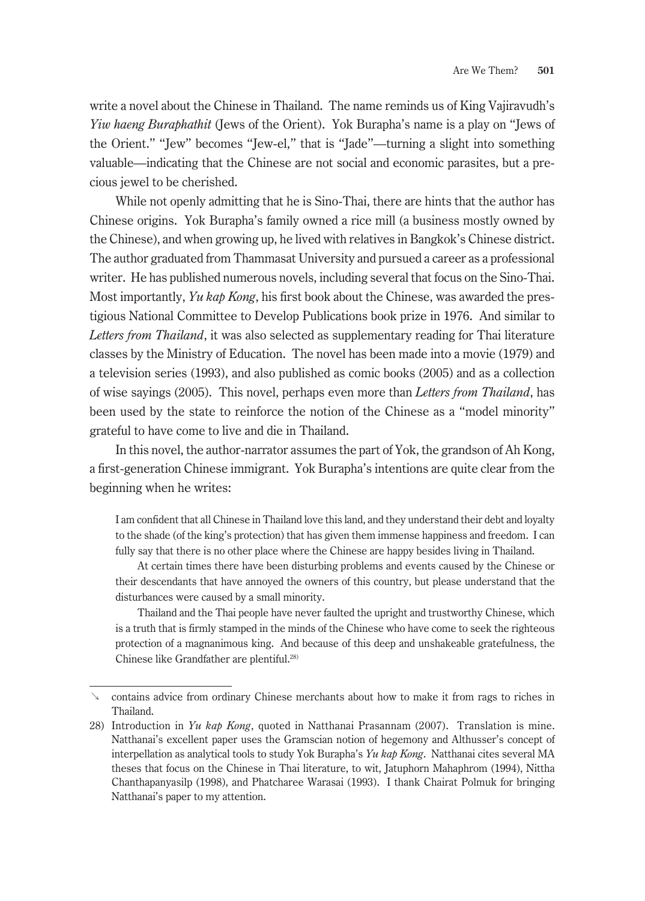write a novel about the Chinese in Thailand. The name reminds us of King Vajiravudh's *Yiw haeng Buraphathit* (Jews of the Orient). Yok Burapha's name is a play on "Jews of the Orient." "Jew" becomes "Jew-el," that is "Jade"—turning a slight into something valuable—indicating that the Chinese are not social and economic parasites, but a precious jewel to be cherished.

While not openly admitting that he is Sino-Thai, there are hints that the author has Chinese origins. Yok Burapha's family owned a rice mill (a business mostly owned by the Chinese), and when growing up, he lived with relatives in Bangkok's Chinese district. The author graduated from Thammasat University and pursued a career as a professional writer. He has published numerous novels, including several that focus on the Sino-Thai. Most importantly, *Yu kap Kong*, his first book about the Chinese, was awarded the prestigious National Committee to Develop Publications book prize in 1976. And similar to *Letters from Thailand*, it was also selected as supplementary reading for Thai literature classes by the Ministry of Education. The novel has been made into a movie (1979) and a television series (1993), and also published as comic books (2005) and as a collection of wise sayings (2005). This novel, perhaps even more than *Letters from Thailand*, has been used by the state to reinforce the notion of the Chinese as a "model minority" grateful to have come to live and die in Thailand.

In this novel, the author-narrator assumes the part of Yok, the grandson of Ah Kong, a first-generation Chinese immigrant. Yok Burapha's intentions are quite clear from the beginning when he writes:

I am confident that all Chinese in Thailand love this land, and they understand their debt and loyalty to the shade (of the king's protection) that has given them immense happiness and freedom. I can fully say that there is no other place where the Chinese are happy besides living in Thailand.

At certain times there have been disturbing problems and events caused by the Chinese or their descendants that have annoyed the owners of this country, but please understand that the disturbances were caused by a small minority.

Thailand and the Thai people have never faulted the upright and trustworthy Chinese, which is a truth that is firmly stamped in the minds of the Chinese who have come to seek the righteous protection of a magnanimous king. And because of this deep and unshakeable gratefulness, the Chinese like Grandfather are plentiful.<sup>28)</sup>

contains advice from ordinary Chinese merchants about how to make it from rags to riches in Thailand.

<sup>28)</sup> Introduction in *Yu kap Kong*, quoted in Natthanai Prasannam (2007). Translation is mine. Natthanai's excellent paper uses the Gramscian notion of hegemony and Althusser's concept of interpellation as analytical tools to study Yok Burapha's *Yu kap Kong*. Natthanai cites several MA theses that focus on the Chinese in Thai literature, to wit, Jatuphorn Mahaphrom (1994), Nittha Chanthapanyasilp (1998), and Phatcharee Warasai (1993). I thank Chairat Polmuk for bringing Natthanai's paper to my attention.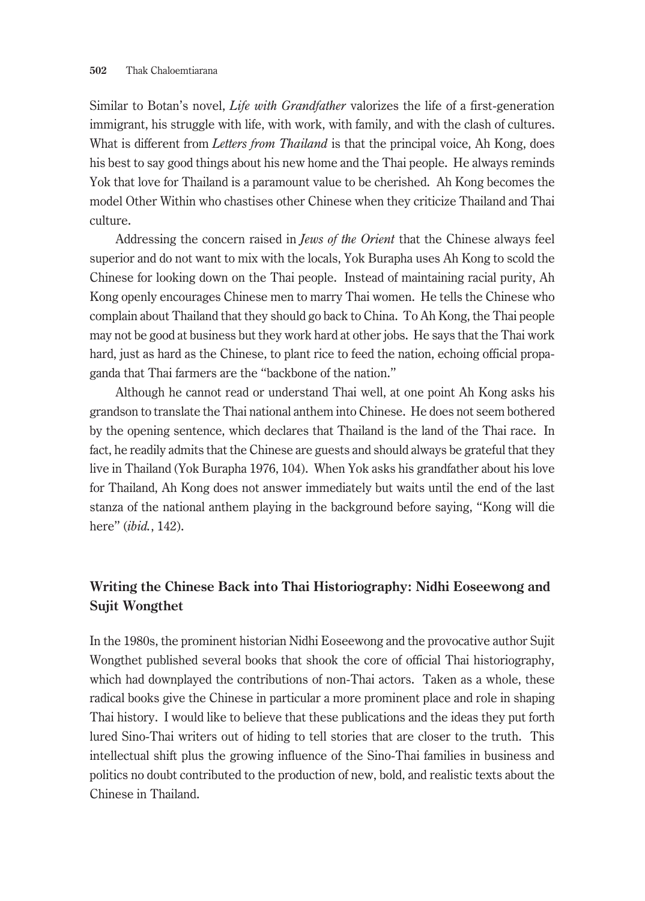Similar to Botan's novel, *Life with Grandfather* valorizes the life of a first-generation immigrant, his struggle with life, with work, with family, and with the clash of cultures. What is different from *Letters from Thailand* is that the principal voice, Ah Kong, does his best to say good things about his new home and the Thai people. He always reminds Yok that love for Thailand is a paramount value to be cherished. Ah Kong becomes the model Other Within who chastises other Chinese when they criticize Thailand and Thai culture.

Addressing the concern raised in *Jews of the Orient* that the Chinese always feel superior and do not want to mix with the locals, Yok Burapha uses Ah Kong to scold the Chinese for looking down on the Thai people. Instead of maintaining racial purity, Ah Kong openly encourages Chinese men to marry Thai women. He tells the Chinese who complain about Thailand that they should go back to China. To Ah Kong, the Thai people may not be good at business but they work hard at other jobs. He says that the Thai work hard, just as hard as the Chinese, to plant rice to feed the nation, echoing official propaganda that Thai farmers are the "backbone of the nation."

Although he cannot read or understand Thai well, at one point Ah Kong asks his grandson to translate the Thai national anthem into Chinese. He does not seem bothered by the opening sentence, which declares that Thailand is the land of the Thai race. In fact, he readily admits that the Chinese are guests and should always be grateful that they live in Thailand (Yok Burapha 1976, 104). When Yok asks his grandfather about his love for Thailand, Ah Kong does not answer immediately but waits until the end of the last stanza of the national anthem playing in the background before saying, "Kong will die here" (*ibid.*, 142).

# **Writing the Chinese Back into Thai Historiography: Nidhi Eoseewong and Sujit Wongthet**

In the 1980s, the prominent historian Nidhi Eoseewong and the provocative author Sujit Wongthet published several books that shook the core of official Thai historiography, which had downplayed the contributions of non-Thai actors. Taken as a whole, these radical books give the Chinese in particular a more prominent place and role in shaping Thai history. I would like to believe that these publications and the ideas they put forth lured Sino-Thai writers out of hiding to tell stories that are closer to the truth. This intellectual shift plus the growing influence of the Sino-Thai families in business and politics no doubt contributed to the production of new, bold, and realistic texts about the Chinese in Thailand.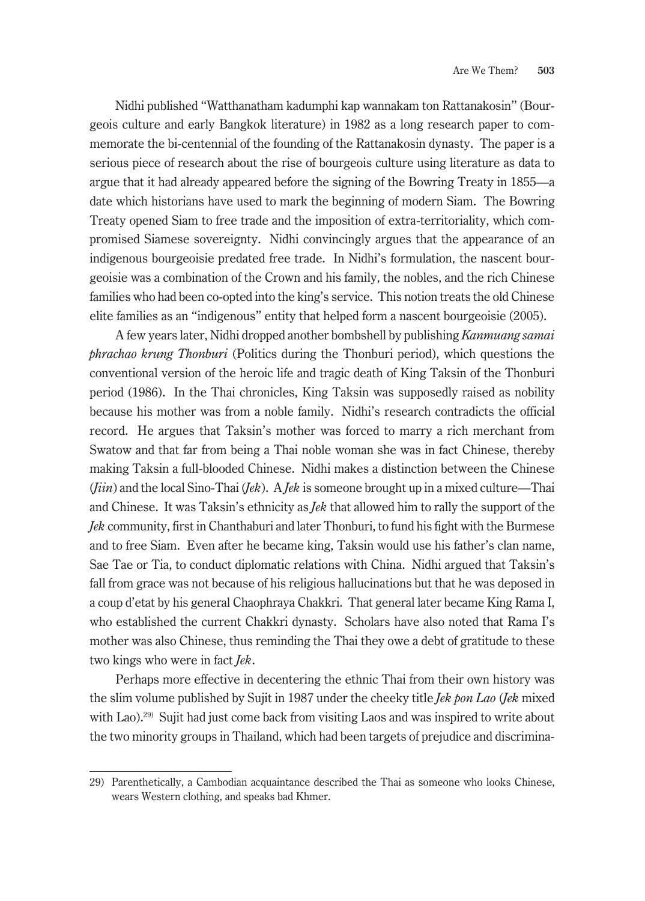Nidhi published "Watthanatham kadumphi kap wannakam ton Rattanakosin" (Bourgeois culture and early Bangkok literature) in 1982 as a long research paper to commemorate the bi-centennial of the founding of the Rattanakosin dynasty. The paper is a serious piece of research about the rise of bourgeois culture using literature as data to argue that it had already appeared before the signing of the Bowring Treaty in 1855—a date which historians have used to mark the beginning of modern Siam. The Bowring Treaty opened Siam to free trade and the imposition of extra-territoriality, which compromised Siamese sovereignty. Nidhi convincingly argues that the appearance of an indigenous bourgeoisie predated free trade. In Nidhi's formulation, the nascent bourgeoisie was a combination of the Crown and his family, the nobles, and the rich Chinese families who had been co-opted into the king's service. This notion treats the old Chinese elite families as an "indigenous" entity that helped form a nascent bourgeoisie (2005).

A few years later, Nidhi dropped another bombshell by publishing *Kanmuang samai phrachao krung Thonburi* (Politics during the Thonburi period), which questions the conventional version of the heroic life and tragic death of King Taksin of the Thonburi period (1986). In the Thai chronicles, King Taksin was supposedly raised as nobility because his mother was from a noble family. Nidhi's research contradicts the official record. He argues that Taksin's mother was forced to marry a rich merchant from Swatow and that far from being a Thai noble woman she was in fact Chinese, thereby making Taksin a full-blooded Chinese. Nidhi makes a distinction between the Chinese (*Jiin*) and the local Sino-Thai (*Jek*). A *Jek* is someone brought up in a mixed culture—Thai and Chinese. It was Taksin's ethnicity as *Jek* that allowed him to rally the support of the *Jek* community, first in Chanthaburi and later Thonburi, to fund his fight with the Burmese and to free Siam. Even after he became king, Taksin would use his father's clan name, Sae Tae or Tia, to conduct diplomatic relations with China. Nidhi argued that Taksin's fall from grace was not because of his religious hallucinations but that he was deposed in a coup d'etat by his general Chaophraya Chakkri. That general later became King Rama I, who established the current Chakkri dynasty. Scholars have also noted that Rama I's mother was also Chinese, thus reminding the Thai they owe a debt of gratitude to these two kings who were in fact *Jek*.

Perhaps more effective in decentering the ethnic Thai from their own history was the slim volume published by Sujit in 1987 under the cheeky title *Jek pon Lao* (*Jek* mixed with Lao).<sup>29</sup> Sujit had just come back from visiting Laos and was inspired to write about the two minority groups in Thailand, which had been targets of prejudice and discrimina-

<sup>29)</sup> Parenthetically, a Cambodian acquaintance described the Thai as someone who looks Chinese, wears Western clothing, and speaks bad Khmer.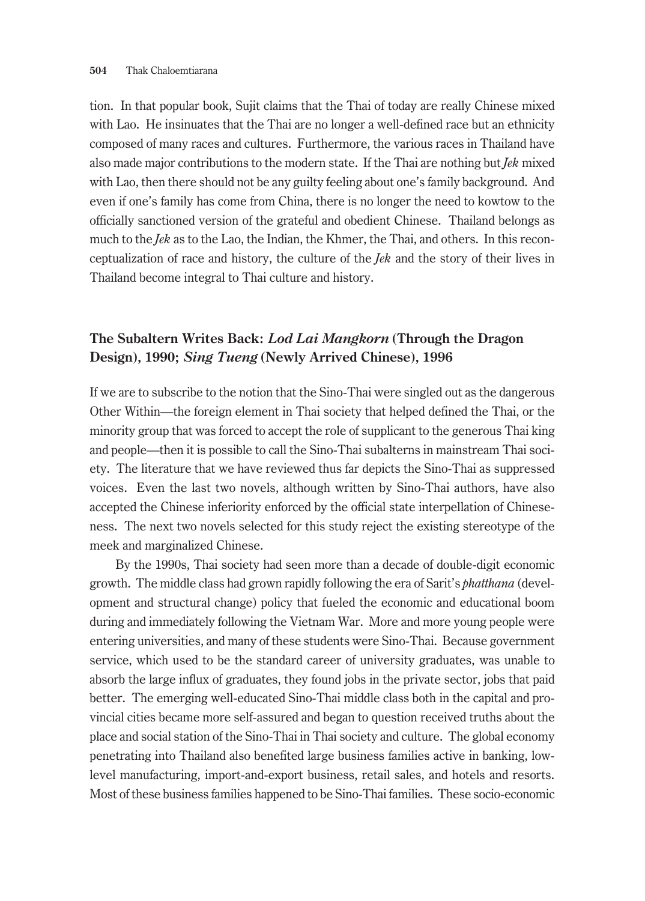tion. In that popular book, Sujit claims that the Thai of today are really Chinese mixed with Lao. He insinuates that the Thai are no longer a well-defined race but an ethnicity composed of many races and cultures. Furthermore, the various races in Thailand have also made major contributions to the modern state. If the Thai are nothing but *Jek* mixed with Lao, then there should not be any guilty feeling about one's family background. And even if one's family has come from China, there is no longer the need to kowtow to the officially sanctioned version of the grateful and obedient Chinese. Thailand belongs as much to the *Jek* as to the Lao, the Indian, the Khmer, the Thai, and others. In this reconceptualization of race and history, the culture of the *Jek* and the story of their lives in Thailand become integral to Thai culture and history.

## **The Subaltern Writes Back:** *Lod Lai Mangkorn* **(Through the Dragon Design), 1990;** *Sing Tueng* **(Newly Arrived Chinese), 1996**

If we are to subscribe to the notion that the Sino-Thai were singled out as the dangerous Other Within—the foreign element in Thai society that helped defined the Thai, or the minority group that was forced to accept the role of supplicant to the generous Thai king and people—then it is possible to call the Sino-Thai subalterns in mainstream Thai society. The literature that we have reviewed thus far depicts the Sino-Thai as suppressed voices. Even the last two novels, although written by Sino-Thai authors, have also accepted the Chinese inferiority enforced by the official state interpellation of Chineseness. The next two novels selected for this study reject the existing stereotype of the meek and marginalized Chinese.

By the 1990s, Thai society had seen more than a decade of double-digit economic growth. The middle class had grown rapidly following the era of Sarit's *phatthana* (development and structural change) policy that fueled the economic and educational boom during and immediately following the Vietnam War. More and more young people were entering universities, and many of these students were Sino-Thai. Because government service, which used to be the standard career of university graduates, was unable to absorb the large influx of graduates, they found jobs in the private sector, jobs that paid better. The emerging well-educated Sino-Thai middle class both in the capital and provincial cities became more self-assured and began to question received truths about the place and social station of the Sino-Thai in Thai society and culture. The global economy penetrating into Thailand also benefited large business families active in banking, lowlevel manufacturing, import-and-export business, retail sales, and hotels and resorts. Most of these business families happened to be Sino-Thai families. These socio-economic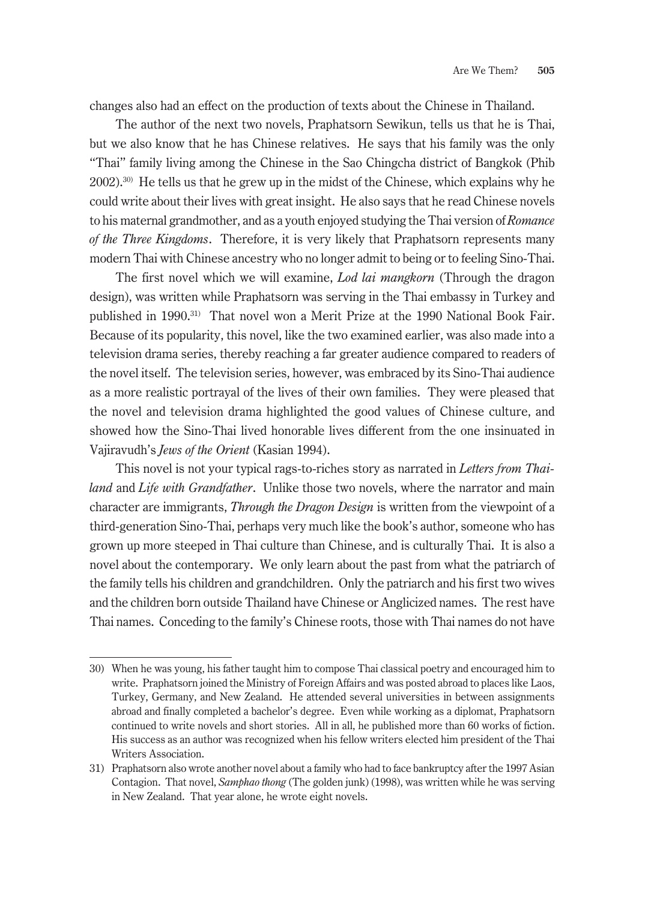changes also had an effect on the production of texts about the Chinese in Thailand.

The author of the next two novels, Praphatsorn Sewikun, tells us that he is Thai, but we also know that he has Chinese relatives. He says that his family was the only "Thai" family living among the Chinese in the Sao Chingcha district of Bangkok (Phib 2002).30) He tells us that he grew up in the midst of the Chinese, which explains why he could write about their lives with great insight. He also says that he read Chinese novels to his maternal grandmother, and as a youth enjoyed studying the Thai version of *Romance of the Three Kingdoms*. Therefore, it is very likely that Praphatsorn represents many modern Thai with Chinese ancestry who no longer admit to being or to feeling Sino-Thai.

The first novel which we will examine, *Lod lai mangkorn* (Through the dragon design), was written while Praphatsorn was serving in the Thai embassy in Turkey and published in 1990.31) That novel won a Merit Prize at the 1990 National Book Fair. Because of its popularity, this novel, like the two examined earlier, was also made into a television drama series, thereby reaching a far greater audience compared to readers of the novel itself. The television series, however, was embraced by its Sino-Thai audience as a more realistic portrayal of the lives of their own families. They were pleased that the novel and television drama highlighted the good values of Chinese culture, and showed how the Sino-Thai lived honorable lives different from the one insinuated in Vajiravudh's *Jews of the Orient* (Kasian 1994).

This novel is not your typical rags-to-riches story as narrated in *Letters from Thailand* and *Life with Grandfather*. Unlike those two novels, where the narrator and main character are immigrants, *Through the Dragon Design* is written from the viewpoint of a third-generation Sino-Thai, perhaps very much like the book's author, someone who has grown up more steeped in Thai culture than Chinese, and is culturally Thai. It is also a novel about the contemporary. We only learn about the past from what the patriarch of the family tells his children and grandchildren. Only the patriarch and his first two wives and the children born outside Thailand have Chinese or Anglicized names. The rest have Thai names. Conceding to the family's Chinese roots, those with Thai names do not have

<sup>30)</sup> When he was young, his father taught him to compose Thai classical poetry and encouraged him to write. Praphatsorn joined the Ministry of Foreign Affairs and was posted abroad to places like Laos, Turkey, Germany, and New Zealand. He attended several universities in between assignments abroad and finally completed a bachelor's degree. Even while working as a diplomat, Praphatsorn continued to write novels and short stories. All in all, he published more than 60 works of fiction. His success as an author was recognized when his fellow writers elected him president of the Thai Writers Association.

<sup>31)</sup> Praphatsorn also wrote another novel about a family who had to face bankruptcy after the 1997 Asian Contagion. That novel, *Samphao thong* (The golden junk) (1998), was written while he was serving in New Zealand. That year alone, he wrote eight novels.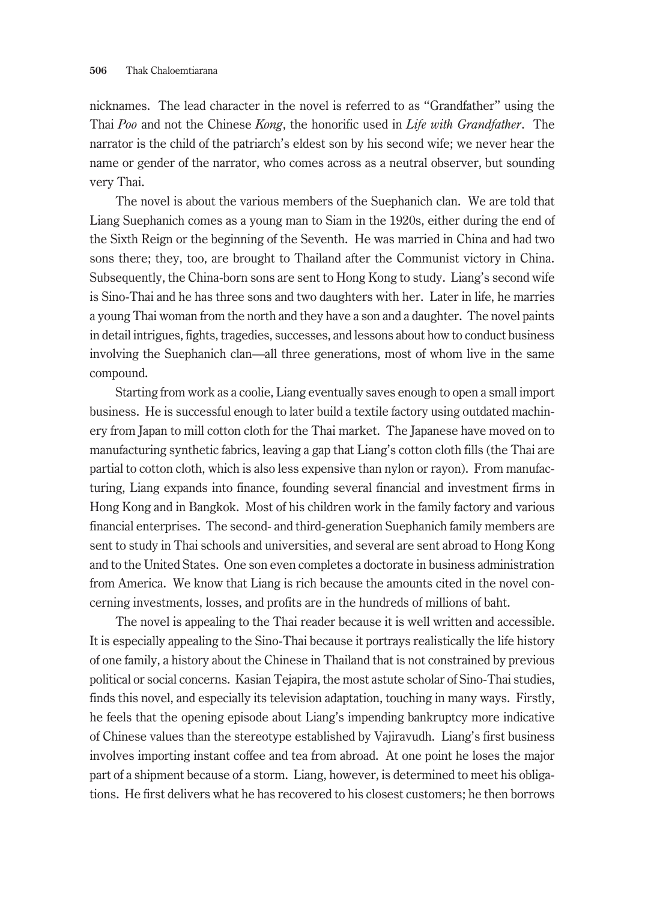nicknames. The lead character in the novel is referred to as "Grandfather" using the Thai *Poo* and not the Chinese *Kong*, the honorific used in *Life with Grandfather*. The narrator is the child of the patriarch's eldest son by his second wife; we never hear the name or gender of the narrator, who comes across as a neutral observer, but sounding very Thai.

The novel is about the various members of the Suephanich clan. We are told that Liang Suephanich comes as a young man to Siam in the 1920s, either during the end of the Sixth Reign or the beginning of the Seventh. He was married in China and had two sons there; they, too, are brought to Thailand after the Communist victory in China. Subsequently, the China-born sons are sent to Hong Kong to study. Liang's second wife is Sino-Thai and he has three sons and two daughters with her. Later in life, he marries a young Thai woman from the north and they have a son and a daughter. The novel paints in detail intrigues, fights, tragedies, successes, and lessons about how to conduct business involving the Suephanich clan—all three generations, most of whom live in the same compound.

Starting from work as a coolie, Liang eventually saves enough to open a small import business. He is successful enough to later build a textile factory using outdated machinery from Japan to mill cotton cloth for the Thai market. The Japanese have moved on to manufacturing synthetic fabrics, leaving a gap that Liang's cotton cloth fills (the Thai are partial to cotton cloth, which is also less expensive than nylon or rayon). From manufacturing, Liang expands into finance, founding several financial and investment firms in Hong Kong and in Bangkok. Most of his children work in the family factory and various financial enterprises. The second- and third-generation Suephanich family members are sent to study in Thai schools and universities, and several are sent abroad to Hong Kong and to the United States. One son even completes a doctorate in business administration from America. We know that Liang is rich because the amounts cited in the novel concerning investments, losses, and profits are in the hundreds of millions of baht.

The novel is appealing to the Thai reader because it is well written and accessible. It is especially appealing to the Sino-Thai because it portrays realistically the life history of one family, a history about the Chinese in Thailand that is not constrained by previous political or social concerns. Kasian Tejapira, the most astute scholar of Sino-Thai studies, finds this novel, and especially its television adaptation, touching in many ways. Firstly, he feels that the opening episode about Liang's impending bankruptcy more indicative of Chinese values than the stereotype established by Vajiravudh. Liang's first business involves importing instant coffee and tea from abroad. At one point he loses the major part of a shipment because of a storm. Liang, however, is determined to meet his obligations. He first delivers what he has recovered to his closest customers; he then borrows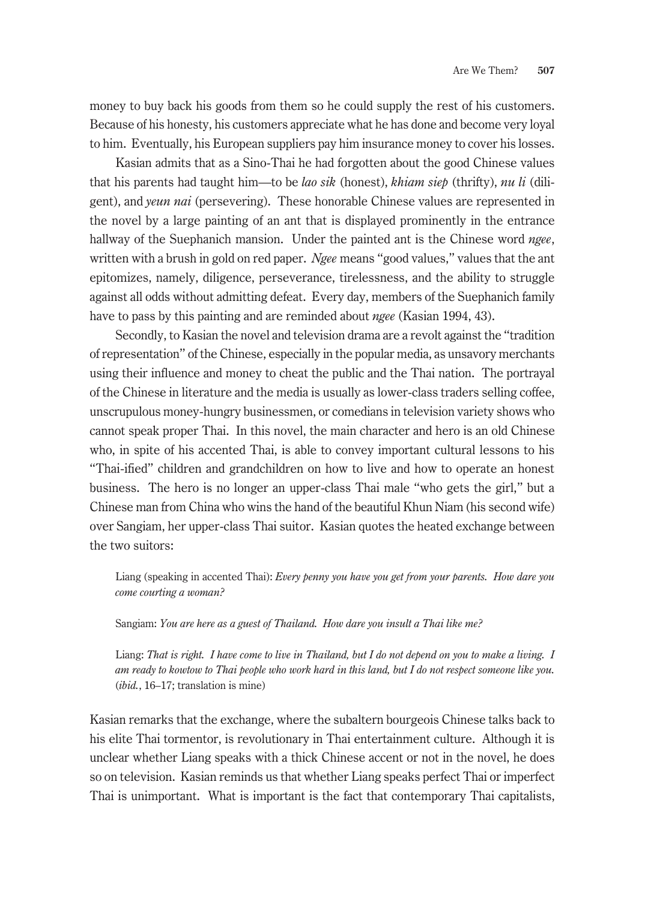money to buy back his goods from them so he could supply the rest of his customers. Because of his honesty, his customers appreciate what he has done and become very loyal to him. Eventually, his European suppliers pay him insurance money to cover his losses.

Kasian admits that as a Sino-Thai he had forgotten about the good Chinese values that his parents had taught him—to be *lao sik* (honest), *khiam siep* (thrifty), *nu li* (diligent), and *yeun nai* (persevering). These honorable Chinese values are represented in the novel by a large painting of an ant that is displayed prominently in the entrance hallway of the Suephanich mansion. Under the painted ant is the Chinese word *ngee*, written with a brush in gold on red paper. *Ngee* means "good values," values that the ant epitomizes, namely, diligence, perseverance, tirelessness, and the ability to struggle against all odds without admitting defeat. Every day, members of the Suephanich family have to pass by this painting and are reminded about *ngee* (Kasian 1994, 43).

Secondly, to Kasian the novel and television drama are a revolt against the "tradition of representation" of the Chinese, especially in the popular media, as unsavory merchants using their influence and money to cheat the public and the Thai nation. The portrayal of the Chinese in literature and the media is usually as lower-class traders selling coffee, unscrupulous money-hungry businessmen, or comedians in television variety shows who cannot speak proper Thai. In this novel, the main character and hero is an old Chinese who, in spite of his accented Thai, is able to convey important cultural lessons to his "Thai-ified" children and grandchildren on how to live and how to operate an honest business. The hero is no longer an upper-class Thai male "who gets the girl," but a Chinese man from China who wins the hand of the beautiful Khun Niam (his second wife) over Sangiam, her upper-class Thai suitor. Kasian quotes the heated exchange between the two suitors:

Liang (speaking in accented Thai): *Every penny you have you get from your parents. How dare you come courting a woman?*

Sangiam: *You are here as a guest of Thailand. How dare you insult a Thai like me?*

Liang: *That is right. I have come to live in Thailand, but I do not depend on you to make a living. I am ready to kowtow to Thai people who work hard in this land, but I do not respect someone like you.* (*ibid.*, 16–17; translation is mine)

Kasian remarks that the exchange, where the subaltern bourgeois Chinese talks back to his elite Thai tormentor, is revolutionary in Thai entertainment culture. Although it is unclear whether Liang speaks with a thick Chinese accent or not in the novel, he does so on television. Kasian reminds us that whether Liang speaks perfect Thai or imperfect Thai is unimportant. What is important is the fact that contemporary Thai capitalists,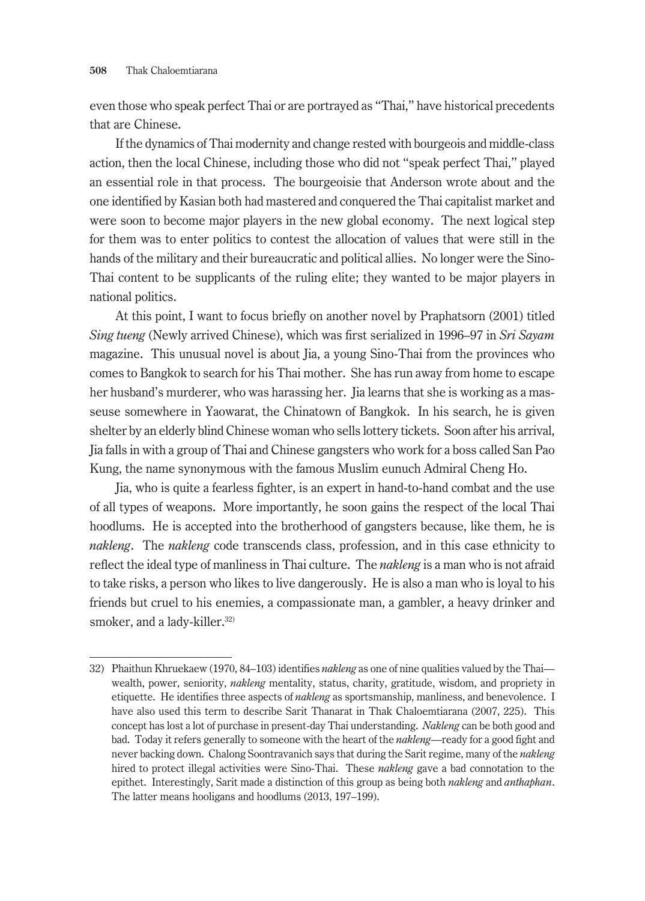even those who speak perfect Thai or are portrayed as "Thai," have historical precedents that are Chinese.

If the dynamics of Thai modernity and change rested with bourgeois and middle-class action, then the local Chinese, including those who did not "speak perfect Thai," played an essential role in that process. The bourgeoisie that Anderson wrote about and the one identified by Kasian both had mastered and conquered the Thai capitalist market and were soon to become major players in the new global economy. The next logical step for them was to enter politics to contest the allocation of values that were still in the hands of the military and their bureaucratic and political allies. No longer were the Sino-Thai content to be supplicants of the ruling elite; they wanted to be major players in national politics.

At this point, I want to focus briefly on another novel by Praphatsorn (2001) titled *Sing tueng* (Newly arrived Chinese), which was first serialized in 1996–97 in *Sri Sayam* magazine. This unusual novel is about Jia, a young Sino-Thai from the provinces who comes to Bangkok to search for his Thai mother. She has run away from home to escape her husband's murderer, who was harassing her. Jia learns that she is working as a masseuse somewhere in Yaowarat, the Chinatown of Bangkok. In his search, he is given shelter by an elderly blind Chinese woman who sells lottery tickets. Soon after his arrival, Jia falls in with a group of Thai and Chinese gangsters who work for a boss called San Pao Kung, the name synonymous with the famous Muslim eunuch Admiral Cheng Ho.

Jia, who is quite a fearless fighter, is an expert in hand-to-hand combat and the use of all types of weapons. More importantly, he soon gains the respect of the local Thai hoodlums. He is accepted into the brotherhood of gangsters because, like them, he is *nakleng*. The *nakleng* code transcends class, profession, and in this case ethnicity to reflect the ideal type of manliness in Thai culture. The *nakleng* is a man who is not afraid to take risks, a person who likes to live dangerously. He is also a man who is loyal to his friends but cruel to his enemies, a compassionate man, a gambler, a heavy drinker and smoker, and a lady-killer.<sup>32)</sup>

<sup>32)</sup> Phaithun Khruekaew (1970, 84–103) identifies *nakleng* as one of nine qualities valued by the Thai wealth, power, seniority, *nakleng* mentality, status, charity, gratitude, wisdom, and propriety in etiquette. He identifies three aspects of *nakleng* as sportsmanship, manliness, and benevolence. I have also used this term to describe Sarit Thanarat in Thak Chaloemtiarana (2007, 225). This concept has lost a lot of purchase in present-day Thai understanding. *Nakleng* can be both good and bad. Today it refers generally to someone with the heart of the *nakleng*—ready for a good fight and never backing down. Chalong Soontravanich says that during the Sarit regime, many of the *nakleng* hired to protect illegal activities were Sino-Thai. These *nakleng* gave a bad connotation to the epithet. Interestingly, Sarit made a distinction of this group as being both *nakleng* and *anthaphan*. The latter means hooligans and hoodlums (2013, 197–199).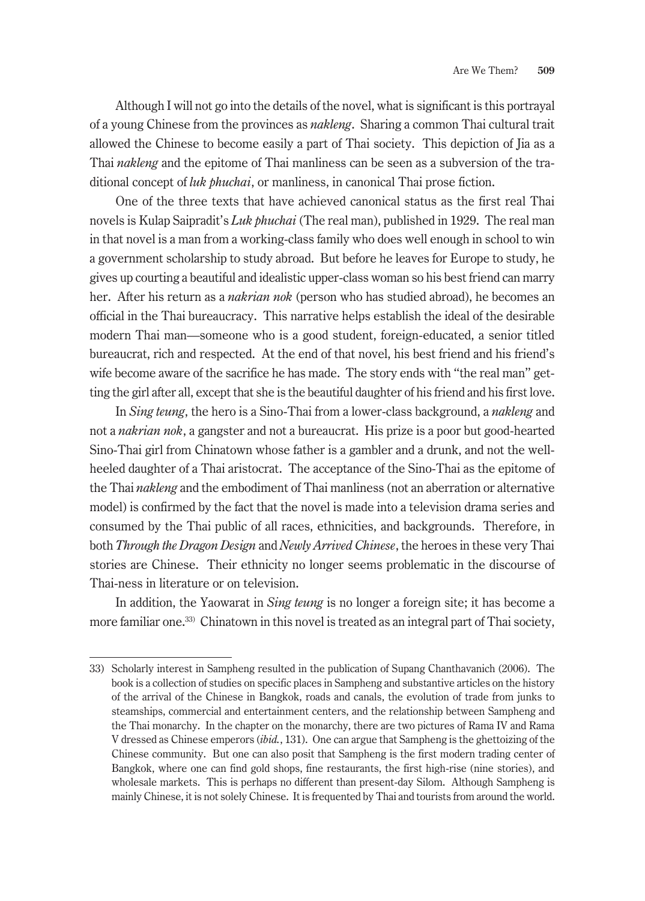Although I will not go into the details of the novel, what is significant is this portrayal of a young Chinese from the provinces as *nakleng*. Sharing a common Thai cultural trait allowed the Chinese to become easily a part of Thai society. This depiction of Jia as a Thai *nakleng* and the epitome of Thai manliness can be seen as a subversion of the traditional concept of *luk phuchai*, or manliness, in canonical Thai prose fiction.

One of the three texts that have achieved canonical status as the first real Thai novels is Kulap Saipradit's *Luk phuchai* (The real man), published in 1929. The real man in that novel is a man from a working-class family who does well enough in school to win a government scholarship to study abroad. But before he leaves for Europe to study, he gives up courting a beautiful and idealistic upper-class woman so his best friend can marry her. After his return as a *nakrian nok* (person who has studied abroad), he becomes an official in the Thai bureaucracy. This narrative helps establish the ideal of the desirable modern Thai man—someone who is a good student, foreign-educated, a senior titled bureaucrat, rich and respected. At the end of that novel, his best friend and his friend's wife become aware of the sacrifice he has made. The story ends with "the real man" getting the girl after all, except that she is the beautiful daughter of his friend and his first love.

In *Sing teung*, the hero is a Sino-Thai from a lower-class background, a *nakleng* and not a *nakrian nok*, a gangster and not a bureaucrat. His prize is a poor but good-hearted Sino-Thai girl from Chinatown whose father is a gambler and a drunk, and not the wellheeled daughter of a Thai aristocrat. The acceptance of the Sino-Thai as the epitome of the Thai *nakleng* and the embodiment of Thai manliness (not an aberration or alternative model) is confirmed by the fact that the novel is made into a television drama series and consumed by the Thai public of all races, ethnicities, and backgrounds. Therefore, in both *Through the Dragon Design* and *Newly Arrived Chinese*, the heroes in these very Thai stories are Chinese. Their ethnicity no longer seems problematic in the discourse of Thai-ness in literature or on television.

In addition, the Yaowarat in *Sing teung* is no longer a foreign site; it has become a more familiar one.<sup>33)</sup> Chinatown in this novel is treated as an integral part of Thai society,

<sup>33)</sup> Scholarly interest in Sampheng resulted in the publication of Supang Chanthavanich (2006). The book is a collection of studies on specific places in Sampheng and substantive articles on the history of the arrival of the Chinese in Bangkok, roads and canals, the evolution of trade from junks to steamships, commercial and entertainment centers, and the relationship between Sampheng and the Thai monarchy. In the chapter on the monarchy, there are two pictures of Rama IV and Rama V dressed as Chinese emperors (*ibid.*, 131). One can argue that Sampheng is the ghettoizing of the Chinese community. But one can also posit that Sampheng is the first modern trading center of Bangkok, where one can find gold shops, fine restaurants, the first high-rise (nine stories), and wholesale markets. This is perhaps no different than present-day Silom. Although Sampheng is mainly Chinese, it is not solely Chinese. It is frequented by Thai and tourists from around the world.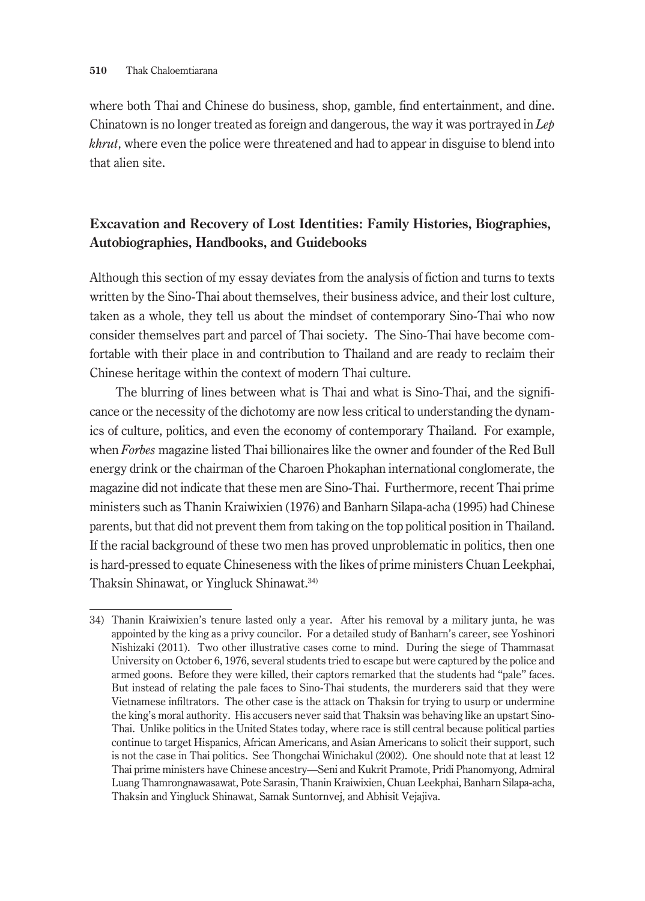where both Thai and Chinese do business, shop, gamble, find entertainment, and dine. Chinatown is no longer treated as foreign and dangerous, the way it was portrayed in *Lep khrut*, where even the police were threatened and had to appear in disguise to blend into that alien site.

## **Excavation and Recovery of Lost Identities: Family Histories, Biographies, Autobiographies, Handbooks, and Guidebooks**

Although this section of my essay deviates from the analysis of fiction and turns to texts written by the Sino-Thai about themselves, their business advice, and their lost culture, taken as a whole, they tell us about the mindset of contemporary Sino-Thai who now consider themselves part and parcel of Thai society. The Sino-Thai have become comfortable with their place in and contribution to Thailand and are ready to reclaim their Chinese heritage within the context of modern Thai culture.

The blurring of lines between what is Thai and what is Sino-Thai, and the significance or the necessity of the dichotomy are now less critical to understanding the dynamics of culture, politics, and even the economy of contemporary Thailand. For example, when *Forbes* magazine listed Thai billionaires like the owner and founder of the Red Bull energy drink or the chairman of the Charoen Phokaphan international conglomerate, the magazine did not indicate that these men are Sino-Thai. Furthermore, recent Thai prime ministers such as Thanin Kraiwixien (1976) and Banharn Silapa-acha (1995) had Chinese parents, but that did not prevent them from taking on the top political position in Thailand. If the racial background of these two men has proved unproblematic in politics, then one is hard-pressed to equate Chineseness with the likes of prime ministers Chuan Leekphai, Thaksin Shinawat, or Yingluck Shinawat.34)

<sup>34)</sup> Thanin Kraiwixien's tenure lasted only a year. After his removal by a military junta, he was appointed by the king as a privy councilor. For a detailed study of Banharn's career, see Yoshinori Nishizaki (2011). Two other illustrative cases come to mind. During the siege of Thammasat University on October 6, 1976, several students tried to escape but were captured by the police and armed goons. Before they were killed, their captors remarked that the students had "pale" faces. But instead of relating the pale faces to Sino-Thai students, the murderers said that they were Vietnamese infiltrators. The other case is the attack on Thaksin for trying to usurp or undermine the king's moral authority. His accusers never said that Thaksin was behaving like an upstart Sino-Thai. Unlike politics in the United States today, where race is still central because political parties continue to target Hispanics, African Americans, and Asian Americans to solicit their support, such is not the case in Thai politics. See Thongchai Winichakul (2002). One should note that at least 12 Thai prime ministers have Chinese ancestry—Seni and Kukrit Pramote, Pridi Phanomyong, Admiral Luang Thamrongnawasawat, Pote Sarasin, Thanin Kraiwixien, Chuan Leekphai, Banharn Silapa-acha, Thaksin and Yingluck Shinawat, Samak Suntornvej, and Abhisit Vejajiva.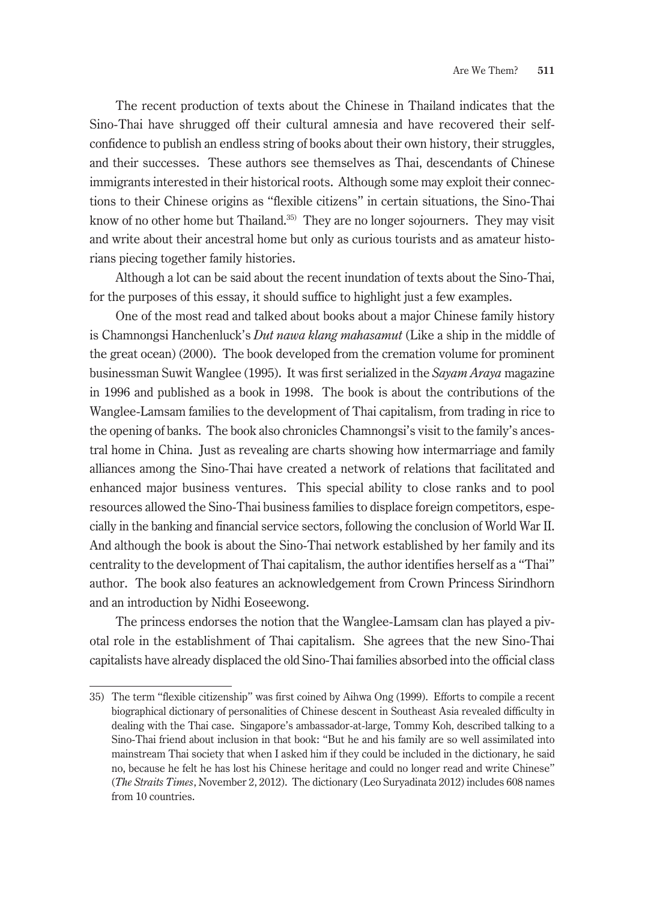The recent production of texts about the Chinese in Thailand indicates that the Sino-Thai have shrugged off their cultural amnesia and have recovered their selfconfidence to publish an endless string of books about their own history, their struggles, and their successes. These authors see themselves as Thai, descendants of Chinese immigrants interested in their historical roots. Although some may exploit their connections to their Chinese origins as "flexible citizens" in certain situations, the Sino-Thai know of no other home but Thailand.<sup>35)</sup> They are no longer sojourners. They may visit and write about their ancestral home but only as curious tourists and as amateur historians piecing together family histories.

Although a lot can be said about the recent inundation of texts about the Sino-Thai, for the purposes of this essay, it should suffice to highlight just a few examples.

One of the most read and talked about books about a major Chinese family history is Chamnongsi Hanchenluck's *Dut nawa klang mahasamut* (Like a ship in the middle of the great ocean) (2000). The book developed from the cremation volume for prominent businessman Suwit Wanglee (1995). It was first serialized in the *Sayam Araya* magazine in 1996 and published as a book in 1998. The book is about the contributions of the Wanglee-Lamsam families to the development of Thai capitalism, from trading in rice to the opening of banks. The book also chronicles Chamnongsi's visit to the family's ancestral home in China. Just as revealing are charts showing how intermarriage and family alliances among the Sino-Thai have created a network of relations that facilitated and enhanced major business ventures. This special ability to close ranks and to pool resources allowed the Sino-Thai business families to displace foreign competitors, especially in the banking and financial service sectors, following the conclusion of World War II. And although the book is about the Sino-Thai network established by her family and its centrality to the development of Thai capitalism, the author identifies herself as a "Thai" author. The book also features an acknowledgement from Crown Princess Sirindhorn and an introduction by Nidhi Eoseewong.

The princess endorses the notion that the Wanglee-Lamsam clan has played a pivotal role in the establishment of Thai capitalism. She agrees that the new Sino-Thai capitalists have already displaced the old Sino-Thai families absorbed into the official class

<sup>35)</sup> The term "flexible citizenship" was first coined by Aihwa Ong (1999). Efforts to compile a recent biographical dictionary of personalities of Chinese descent in Southeast Asia revealed difficulty in dealing with the Thai case. Singapore's ambassador-at-large, Tommy Koh, described talking to a Sino-Thai friend about inclusion in that book: "But he and his family are so well assimilated into mainstream Thai society that when I asked him if they could be included in the dictionary, he said no, because he felt he has lost his Chinese heritage and could no longer read and write Chinese" (*The Straits Times*, November 2, 2012). The dictionary (Leo Suryadinata 2012) includes 608 names from 10 countries.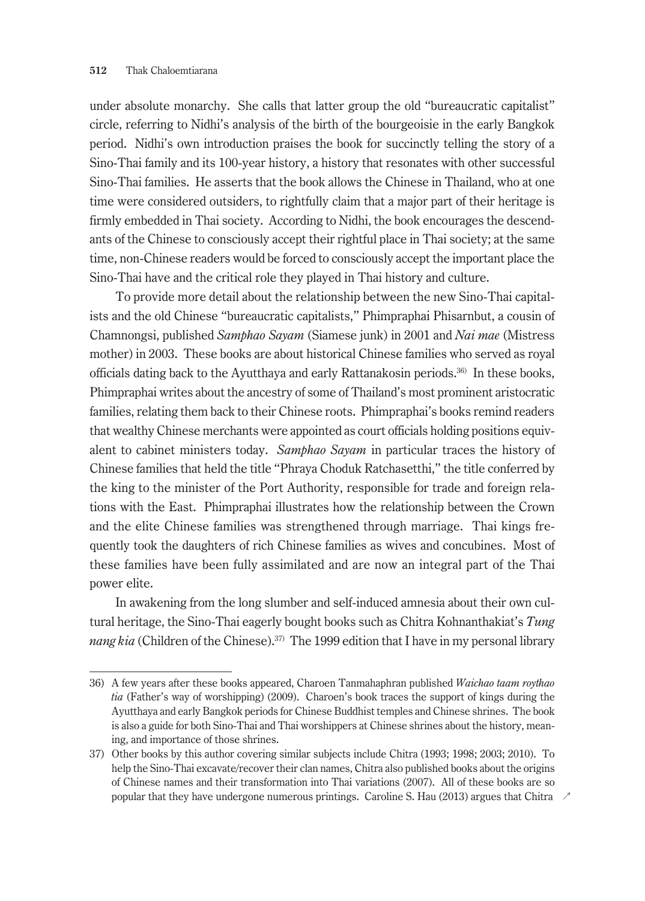under absolute monarchy. She calls that latter group the old "bureaucratic capitalist" circle, referring to Nidhi's analysis of the birth of the bourgeoisie in the early Bangkok period. Nidhi's own introduction praises the book for succinctly telling the story of a Sino-Thai family and its 100-year history, a history that resonates with other successful Sino-Thai families. He asserts that the book allows the Chinese in Thailand, who at one time were considered outsiders, to rightfully claim that a major part of their heritage is firmly embedded in Thai society. According to Nidhi, the book encourages the descendants of the Chinese to consciously accept their rightful place in Thai society; at the same time, non-Chinese readers would be forced to consciously accept the important place the Sino-Thai have and the critical role they played in Thai history and culture.

To provide more detail about the relationship between the new Sino-Thai capitalists and the old Chinese "bureaucratic capitalists," Phimpraphai Phisarnbut, a cousin of Chamnongsi, published *Samphao Sayam* (Siamese junk) in 2001 and *Nai mae* (Mistress mother) in 2003. These books are about historical Chinese families who served as royal officials dating back to the Ayutthaya and early Rattanakosin periods.36) In these books, Phimpraphai writes about the ancestry of some of Thailand's most prominent aristocratic families, relating them back to their Chinese roots. Phimpraphai's books remind readers that wealthy Chinese merchants were appointed as court officials holding positions equivalent to cabinet ministers today. *Samphao Sayam* in particular traces the history of Chinese families that held the title "Phraya Choduk Ratchasetthi," the title conferred by the king to the minister of the Port Authority, responsible for trade and foreign relations with the East. Phimpraphai illustrates how the relationship between the Crown and the elite Chinese families was strengthened through marriage. Thai kings frequently took the daughters of rich Chinese families as wives and concubines. Most of these families have been fully assimilated and are now an integral part of the Thai power elite.

In awakening from the long slumber and self-induced amnesia about their own cultural heritage, the Sino-Thai eagerly bought books such as Chitra Kohnanthakiat's *Tung*  nang kia (Children of the Chinese).<sup>37)</sup> The 1999 edition that I have in my personal library

<sup>36)</sup> A few years after these books appeared, Charoen Tanmahaphran published *Waichao taam roythao tia* (Father's way of worshipping) (2009). Charoen's book traces the support of kings during the Ayutthaya and early Bangkok periods for Chinese Buddhist temples and Chinese shrines. The book is also a guide for both Sino-Thai and Thai worshippers at Chinese shrines about the history, meaning, and importance of those shrines.

<sup>37)</sup> Other books by this author covering similar subjects include Chitra (1993; 1998; 2003; 2010). To help the Sino-Thai excavate/recover their clan names, Chitra also published books about the origins of Chinese names and their transformation into Thai variations (2007). All of these books are so popular that they have undergone numerous printings. Caroline S. Hau (2013) argues that Chitra ↗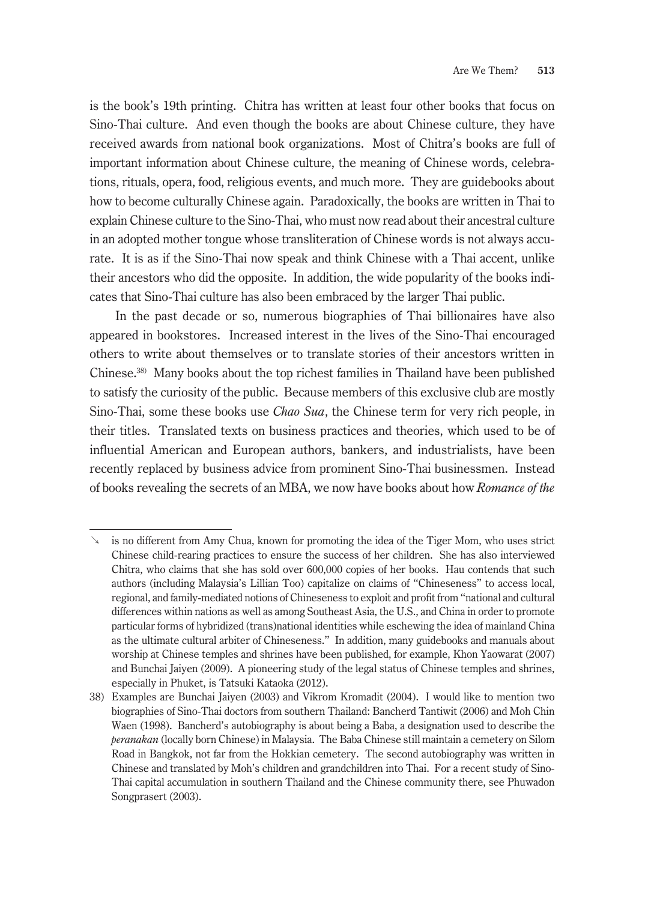is the book's 19th printing. Chitra has written at least four other books that focus on Sino-Thai culture. And even though the books are about Chinese culture, they have received awards from national book organizations. Most of Chitra's books are full of important information about Chinese culture, the meaning of Chinese words, celebrations, rituals, opera, food, religious events, and much more. They are guidebooks about how to become culturally Chinese again. Paradoxically, the books are written in Thai to explain Chinese culture to the Sino-Thai, who must now read about their ancestral culture in an adopted mother tongue whose transliteration of Chinese words is not always accurate. It is as if the Sino-Thai now speak and think Chinese with a Thai accent, unlike their ancestors who did the opposite. In addition, the wide popularity of the books indicates that Sino-Thai culture has also been embraced by the larger Thai public.

In the past decade or so, numerous biographies of Thai billionaires have also appeared in bookstores. Increased interest in the lives of the Sino-Thai encouraged others to write about themselves or to translate stories of their ancestors written in Chinese.38) Many books about the top richest families in Thailand have been published to satisfy the curiosity of the public. Because members of this exclusive club are mostly Sino-Thai, some these books use *Chao Sua*, the Chinese term for very rich people, in their titles. Translated texts on business practices and theories, which used to be of influential American and European authors, bankers, and industrialists, have been recently replaced by business advice from prominent Sino-Thai businessmen. Instead of books revealing the secrets of an MBA, we now have books about how *Romance of the* 

is no different from Amy Chua, known for promoting the idea of the Tiger Mom, who uses strict Chinese child-rearing practices to ensure the success of her children. She has also interviewed Chitra, who claims that she has sold over 600,000 copies of her books. Hau contends that such authors (including Malaysia's Lillian Too) capitalize on claims of "Chineseness" to access local, regional, and family-mediated notions of Chineseness to exploit and profit from "national and cultural differences within nations as well as among Southeast Asia, the U.S., and China in order to promote particular forms of hybridized (trans)national identities while eschewing the idea of mainland China as the ultimate cultural arbiter of Chineseness." In addition, many guidebooks and manuals about worship at Chinese temples and shrines have been published, for example, Khon Yaowarat (2007) and Bunchai Jaiyen (2009). A pioneering study of the legal status of Chinese temples and shrines, especially in Phuket, is Tatsuki Kataoka (2012).

<sup>38)</sup> Examples are Bunchai Jaiyen (2003) and Vikrom Kromadit (2004). I would like to mention two biographies of Sino-Thai doctors from southern Thailand: Bancherd Tantiwit (2006) and Moh Chin Waen (1998). Bancherd's autobiography is about being a Baba, a designation used to describe the *peranakan* (locally born Chinese) in Malaysia. The Baba Chinese still maintain a cemetery on Silom Road in Bangkok, not far from the Hokkian cemetery. The second autobiography was written in Chinese and translated by Moh's children and grandchildren into Thai. For a recent study of Sino-Thai capital accumulation in southern Thailand and the Chinese community there, see Phuwadon Songprasert (2003).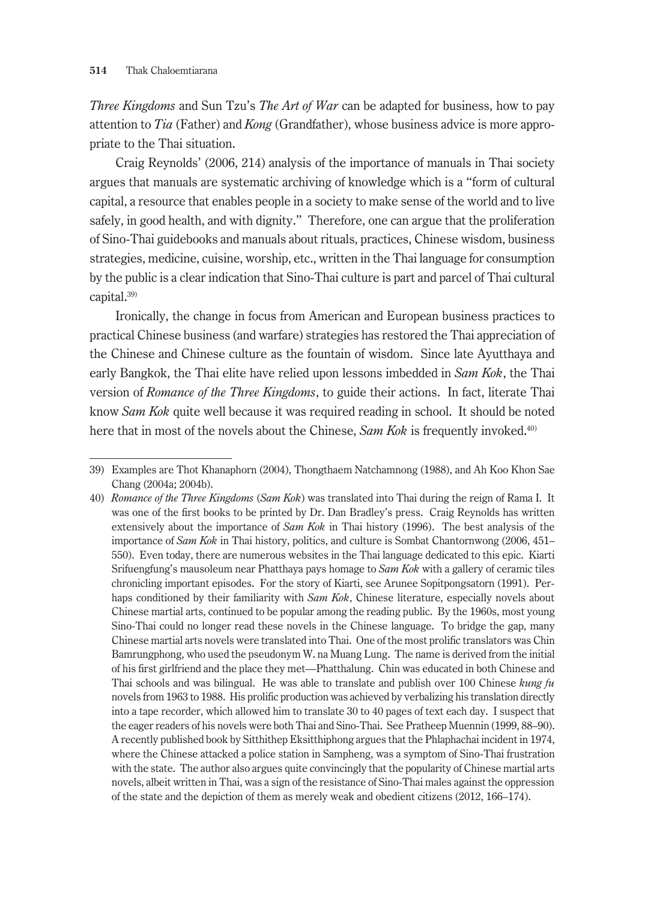*Three Kingdoms* and Sun Tzu's *The Art of War* can be adapted for business, how to pay attention to *Tia* (Father) and *Kong* (Grandfather), whose business advice is more appropriate to the Thai situation.

Craig Reynolds' (2006, 214) analysis of the importance of manuals in Thai society argues that manuals are systematic archiving of knowledge which is a "form of cultural capital, a resource that enables people in a society to make sense of the world and to live safely, in good health, and with dignity." Therefore, one can argue that the proliferation of Sino-Thai guidebooks and manuals about rituals, practices, Chinese wisdom, business strategies, medicine, cuisine, worship, etc., written in the Thai language for consumption by the public is a clear indication that Sino-Thai culture is part and parcel of Thai cultural capital.39)

Ironically, the change in focus from American and European business practices to practical Chinese business (and warfare) strategies has restored the Thai appreciation of the Chinese and Chinese culture as the fountain of wisdom. Since late Ayutthaya and early Bangkok, the Thai elite have relied upon lessons imbedded in *Sam Kok*, the Thai version of *Romance of the Three Kingdoms*, to guide their actions. In fact, literate Thai know *Sam Kok* quite well because it was required reading in school. It should be noted here that in most of the novels about the Chinese, *Sam Kok* is frequently invoked.<sup>40)</sup>

<sup>39)</sup> Examples are Thot Khanaphorn (2004), Thongthaem Natchamnong (1988), and Ah Koo Khon Sae Chang (2004a; 2004b).

<sup>40)</sup> *Romance of the Three Kingdoms* (*Sam Kok*) was translated into Thai during the reign of Rama I. It was one of the first books to be printed by Dr. Dan Bradley's press. Craig Reynolds has written extensively about the importance of *Sam Kok* in Thai history (1996). The best analysis of the importance of *Sam Kok* in Thai history, politics, and culture is Sombat Chantornwong (2006, 451– 550). Even today, there are numerous websites in the Thai language dedicated to this epic. Kiarti Srifuengfung's mausoleum near Phatthaya pays homage to *Sam Kok* with a gallery of ceramic tiles chronicling important episodes. For the story of Kiarti, see Arunee Sopitpongsatorn (1991). Perhaps conditioned by their familiarity with *Sam Kok*, Chinese literature, especially novels about Chinese martial arts, continued to be popular among the reading public. By the 1960s, most young Sino-Thai could no longer read these novels in the Chinese language. To bridge the gap, many Chinese martial arts novels were translated into Thai. One of the most prolific translators was Chin Bamrungphong, who used the pseudonym W. na Muang Lung. The name is derived from the initial of his first girlfriend and the place they met—Phatthalung. Chin was educated in both Chinese and Thai schools and was bilingual. He was able to translate and publish over 100 Chinese *kung fu* novels from 1963 to 1988. His prolific production was achieved by verbalizing his translation directly into a tape recorder, which allowed him to translate 30 to 40 pages of text each day. I suspect that the eager readers of his novels were both Thai and Sino-Thai. See Pratheep Muennin (1999, 88–90). A recently published book by Sitthithep Eksitthiphong argues that the Phlaphachai incident in 1974, where the Chinese attacked a police station in Sampheng, was a symptom of Sino-Thai frustration with the state. The author also argues quite convincingly that the popularity of Chinese martial arts novels, albeit written in Thai, was a sign of the resistance of Sino-Thai males against the oppression of the state and the depiction of them as merely weak and obedient citizens (2012, 166–174).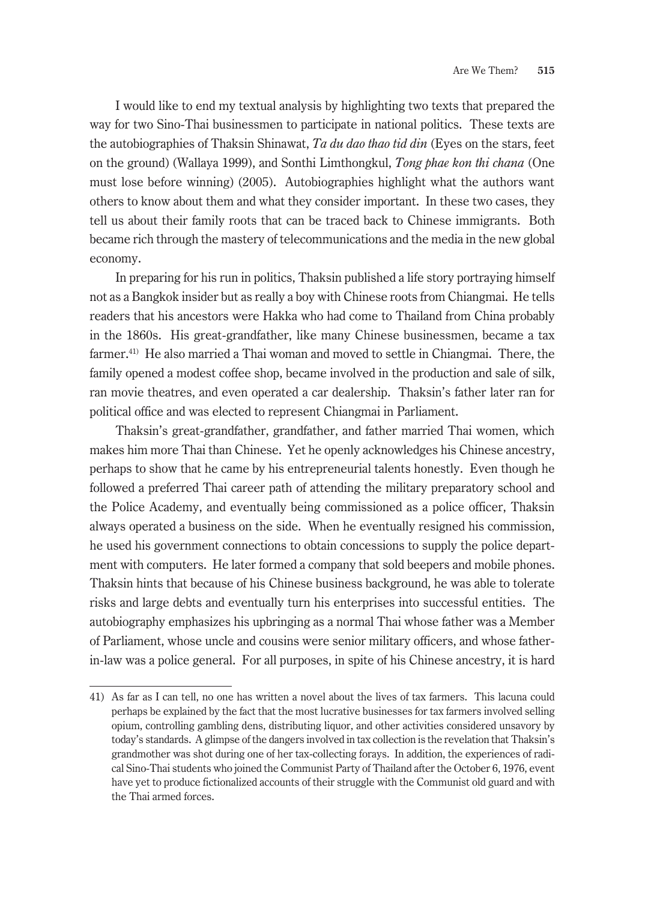I would like to end my textual analysis by highlighting two texts that prepared the way for two Sino-Thai businessmen to participate in national politics. These texts are the autobiographies of Thaksin Shinawat, *Ta du dao thao tid din* (Eyes on the stars, feet on the ground) (Wallaya 1999), and Sonthi Limthongkul, *Tong phae kon thi chana* (One must lose before winning) (2005). Autobiographies highlight what the authors want others to know about them and what they consider important. In these two cases, they tell us about their family roots that can be traced back to Chinese immigrants. Both became rich through the mastery of telecommunications and the media in the new global economy.

In preparing for his run in politics, Thaksin published a life story portraying himself not as a Bangkok insider but as really a boy with Chinese roots from Chiangmai. He tells readers that his ancestors were Hakka who had come to Thailand from China probably in the 1860s. His great-grandfather, like many Chinese businessmen, became a tax farmer.<sup>41)</sup> He also married a Thai woman and moved to settle in Chiangmai. There, the family opened a modest coffee shop, became involved in the production and sale of silk, ran movie theatres, and even operated a car dealership. Thaksin's father later ran for political office and was elected to represent Chiangmai in Parliament.

Thaksin's great-grandfather, grandfather, and father married Thai women, which makes him more Thai than Chinese. Yet he openly acknowledges his Chinese ancestry, perhaps to show that he came by his entrepreneurial talents honestly. Even though he followed a preferred Thai career path of attending the military preparatory school and the Police Academy, and eventually being commissioned as a police officer, Thaksin always operated a business on the side. When he eventually resigned his commission, he used his government connections to obtain concessions to supply the police department with computers. He later formed a company that sold beepers and mobile phones. Thaksin hints that because of his Chinese business background, he was able to tolerate risks and large debts and eventually turn his enterprises into successful entities. The autobiography emphasizes his upbringing as a normal Thai whose father was a Member of Parliament, whose uncle and cousins were senior military officers, and whose fatherin-law was a police general. For all purposes, in spite of his Chinese ancestry, it is hard

<sup>41)</sup> As far as I can tell, no one has written a novel about the lives of tax farmers. This lacuna could perhaps be explained by the fact that the most lucrative businesses for tax farmers involved selling opium, controlling gambling dens, distributing liquor, and other activities considered unsavory by today's standards. A glimpse of the dangers involved in tax collection is the revelation that Thaksin's grandmother was shot during one of her tax-collecting forays. In addition, the experiences of radical Sino-Thai students who joined the Communist Party of Thailand after the October 6, 1976, event have yet to produce fictionalized accounts of their struggle with the Communist old guard and with the Thai armed forces.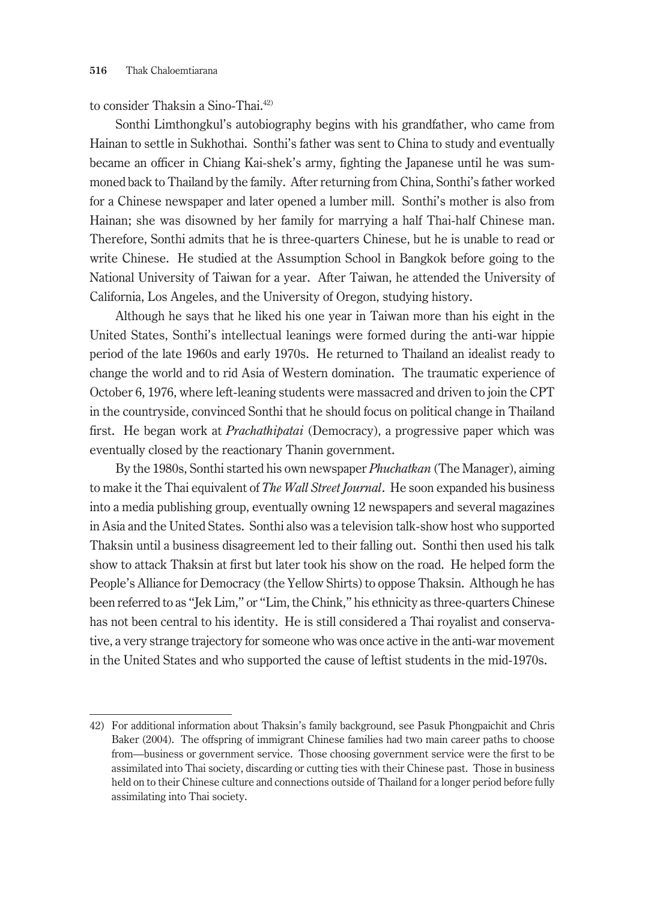### to consider Thaksin a Sino-Thai.42)

Sonthi Limthongkul's autobiography begins with his grandfather, who came from Hainan to settle in Sukhothai. Sonthi's father was sent to China to study and eventually became an officer in Chiang Kai-shek's army, fighting the Japanese until he was summoned back to Thailand by the family. After returning from China, Sonthi's father worked for a Chinese newspaper and later opened a lumber mill. Sonthi's mother is also from Hainan; she was disowned by her family for marrying a half Thai-half Chinese man. Therefore, Sonthi admits that he is three-quarters Chinese, but he is unable to read or write Chinese. He studied at the Assumption School in Bangkok before going to the National University of Taiwan for a year. After Taiwan, he attended the University of California, Los Angeles, and the University of Oregon, studying history.

Although he says that he liked his one year in Taiwan more than his eight in the United States, Sonthi's intellectual leanings were formed during the anti-war hippie period of the late 1960s and early 1970s. He returned to Thailand an idealist ready to change the world and to rid Asia of Western domination. The traumatic experience of October 6, 1976, where left-leaning students were massacred and driven to join the CPT in the countryside, convinced Sonthi that he should focus on political change in Thailand first. He began work at *Prachathipatai* (Democracy), a progressive paper which was eventually closed by the reactionary Thanin government.

By the 1980s, Sonthi started his own newspaper *Phuchatkan* (The Manager), aiming to make it the Thai equivalent of *The Wall Street Journal*. He soon expanded his business into a media publishing group, eventually owning 12 newspapers and several magazines in Asia and the United States. Sonthi also was a television talk-show host who supported Thaksin until a business disagreement led to their falling out. Sonthi then used his talk show to attack Thaksin at first but later took his show on the road. He helped form the People's Alliance for Democracy (the Yellow Shirts) to oppose Thaksin. Although he has been referred to as "Jek Lim," or "Lim, the Chink," his ethnicity as three-quarters Chinese has not been central to his identity. He is still considered a Thai royalist and conservative, a very strange trajectory for someone who was once active in the anti-war movement in the United States and who supported the cause of leftist students in the mid-1970s.

<sup>42)</sup> For additional information about Thaksin's family background, see Pasuk Phongpaichit and Chris Baker (2004). The offspring of immigrant Chinese families had two main career paths to choose from—business or government service. Those choosing government service were the first to be assimilated into Thai society, discarding or cutting ties with their Chinese past. Those in business held on to their Chinese culture and connections outside of Thailand for a longer period before fully assimilating into Thai society.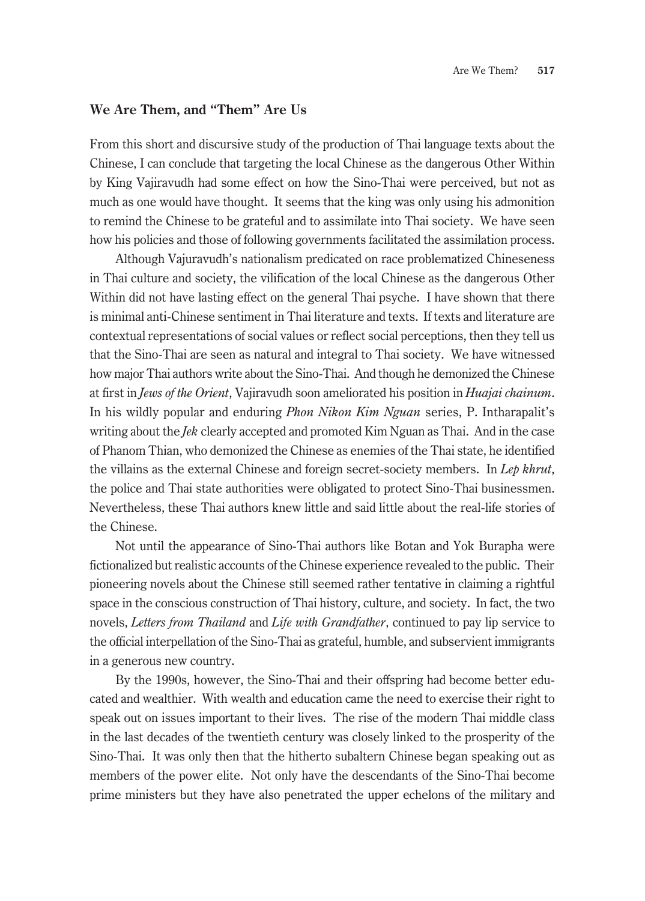#### **We Are Them, and "Them" Are Us**

From this short and discursive study of the production of Thai language texts about the Chinese, I can conclude that targeting the local Chinese as the dangerous Other Within by King Vajiravudh had some effect on how the Sino-Thai were perceived, but not as much as one would have thought. It seems that the king was only using his admonition to remind the Chinese to be grateful and to assimilate into Thai society. We have seen how his policies and those of following governments facilitated the assimilation process.

Although Vajuravudh's nationalism predicated on race problematized Chineseness in Thai culture and society, the vilification of the local Chinese as the dangerous Other Within did not have lasting effect on the general Thai psyche. I have shown that there is minimal anti-Chinese sentiment in Thai literature and texts. If texts and literature are contextual representations of social values or reflect social perceptions, then they tell us that the Sino-Thai are seen as natural and integral to Thai society. We have witnessed how major Thai authors write about the Sino-Thai. And though he demonized the Chinese at first in *Jews of the Orient*, Vajiravudh soon ameliorated his position in *Huajai chainum*. In his wildly popular and enduring *Phon Nikon Kim Nguan* series, P. Intharapalit's writing about the *Jek* clearly accepted and promoted Kim Nguan as Thai. And in the case of Phanom Thian, who demonized the Chinese as enemies of the Thai state, he identified the villains as the external Chinese and foreign secret-society members. In *Lep khrut*, the police and Thai state authorities were obligated to protect Sino-Thai businessmen. Nevertheless, these Thai authors knew little and said little about the real-life stories of the Chinese.

Not until the appearance of Sino-Thai authors like Botan and Yok Burapha were fictionalized but realistic accounts of the Chinese experience revealed to the public. Their pioneering novels about the Chinese still seemed rather tentative in claiming a rightful space in the conscious construction of Thai history, culture, and society. In fact, the two novels, *Letters from Thailand* and *Life with Grandfather*, continued to pay lip service to the official interpellation of the Sino-Thai as grateful, humble, and subservient immigrants in a generous new country.

By the 1990s, however, the Sino-Thai and their offspring had become better educated and wealthier. With wealth and education came the need to exercise their right to speak out on issues important to their lives. The rise of the modern Thai middle class in the last decades of the twentieth century was closely linked to the prosperity of the Sino-Thai. It was only then that the hitherto subaltern Chinese began speaking out as members of the power elite. Not only have the descendants of the Sino-Thai become prime ministers but they have also penetrated the upper echelons of the military and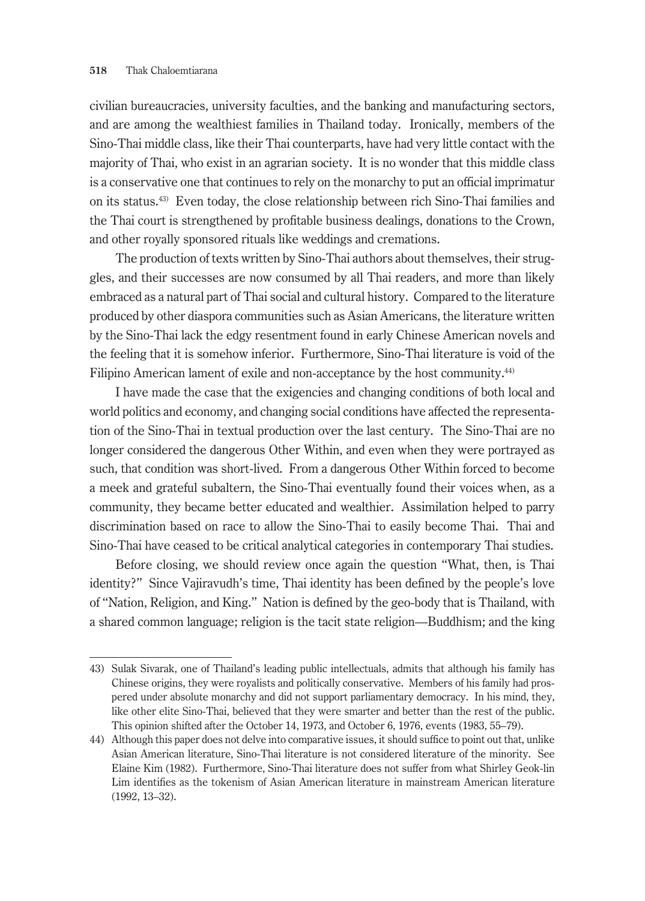civilian bureaucracies, university faculties, and the banking and manufacturing sectors, and are among the wealthiest families in Thailand today. Ironically, members of the Sino-Thai middle class, like their Thai counterparts, have had very little contact with the majority of Thai, who exist in an agrarian society. It is no wonder that this middle class is a conservative one that continues to rely on the monarchy to put an official imprimatur on its status.43) Even today, the close relationship between rich Sino-Thai families and the Thai court is strengthened by profitable business dealings, donations to the Crown, and other royally sponsored rituals like weddings and cremations.

The production of texts written by Sino-Thai authors about themselves, their struggles, and their successes are now consumed by all Thai readers, and more than likely embraced as a natural part of Thai social and cultural history. Compared to the literature produced by other diaspora communities such as Asian Americans, the literature written by the Sino-Thai lack the edgy resentment found in early Chinese American novels and the feeling that it is somehow inferior. Furthermore, Sino-Thai literature is void of the Filipino American lament of exile and non-acceptance by the host community.<sup>44)</sup>

I have made the case that the exigencies and changing conditions of both local and world politics and economy, and changing social conditions have affected the representation of the Sino-Thai in textual production over the last century. The Sino-Thai are no longer considered the dangerous Other Within, and even when they were portrayed as such, that condition was short-lived. From a dangerous Other Within forced to become a meek and grateful subaltern, the Sino-Thai eventually found their voices when, as a community, they became better educated and wealthier. Assimilation helped to parry discrimination based on race to allow the Sino-Thai to easily become Thai. Thai and Sino-Thai have ceased to be critical analytical categories in contemporary Thai studies.

Before closing, we should review once again the question "What, then, is Thai identity?" Since Vajiravudh's time, Thai identity has been defined by the people's love of "Nation, Religion, and King." Nation is defined by the geo-body that is Thailand, with a shared common language; religion is the tacit state religion—Buddhism; and the king

<sup>43)</sup> Sulak Sivarak, one of Thailand's leading public intellectuals, admits that although his family has Chinese origins, they were royalists and politically conservative. Members of his family had prospered under absolute monarchy and did not support parliamentary democracy. In his mind, they, like other elite Sino-Thai, believed that they were smarter and better than the rest of the public. This opinion shifted after the October 14, 1973, and October 6, 1976, events (1983, 55–79).

<sup>44)</sup> Although this paper does not delve into comparative issues, it should suffice to point out that, unlike Asian American literature, Sino-Thai literature is not considered literature of the minority. See Elaine Kim (1982). Furthermore, Sino-Thai literature does not suffer from what Shirley Geok-lin Lim identifies as the tokenism of Asian American literature in mainstream American literature (1992, 13–32).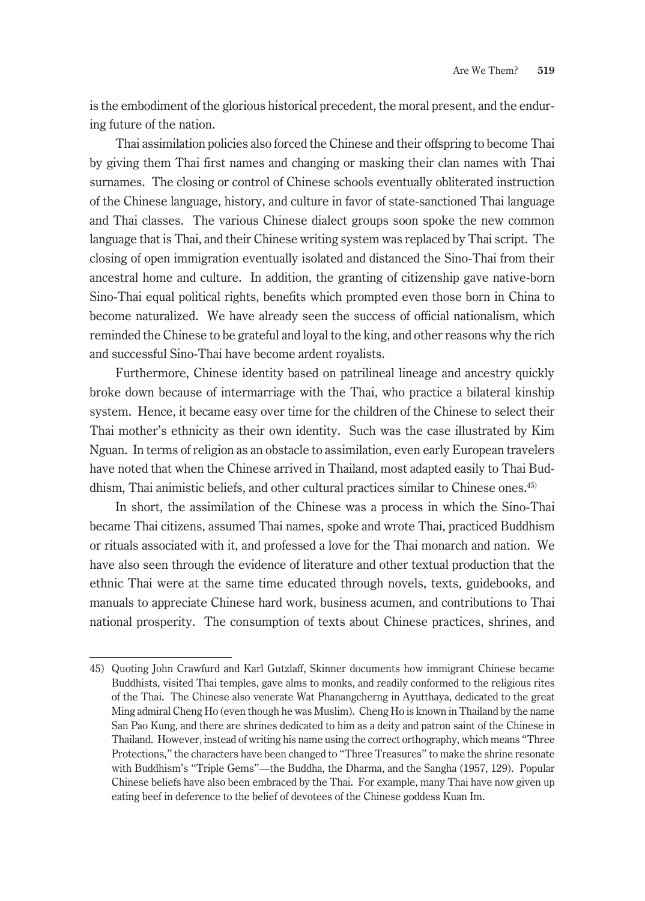is the embodiment of the glorious historical precedent, the moral present, and the enduring future of the nation.

Thai assimilation policies also forced the Chinese and their offspring to become Thai by giving them Thai first names and changing or masking their clan names with Thai surnames. The closing or control of Chinese schools eventually obliterated instruction of the Chinese language, history, and culture in favor of state-sanctioned Thai language and Thai classes. The various Chinese dialect groups soon spoke the new common language that is Thai, and their Chinese writing system was replaced by Thai script. The closing of open immigration eventually isolated and distanced the Sino-Thai from their ancestral home and culture. In addition, the granting of citizenship gave native-born Sino-Thai equal political rights, benefits which prompted even those born in China to become naturalized. We have already seen the success of official nationalism, which reminded the Chinese to be grateful and loyal to the king, and other reasons why the rich and successful Sino-Thai have become ardent royalists.

Furthermore, Chinese identity based on patrilineal lineage and ancestry quickly broke down because of intermarriage with the Thai, who practice a bilateral kinship system. Hence, it became easy over time for the children of the Chinese to select their Thai mother's ethnicity as their own identity. Such was the case illustrated by Kim Nguan. In terms of religion as an obstacle to assimilation, even early European travelers have noted that when the Chinese arrived in Thailand, most adapted easily to Thai Buddhism, Thai animistic beliefs, and other cultural practices similar to Chinese ones.45)

In short, the assimilation of the Chinese was a process in which the Sino-Thai became Thai citizens, assumed Thai names, spoke and wrote Thai, practiced Buddhism or rituals associated with it, and professed a love for the Thai monarch and nation. We have also seen through the evidence of literature and other textual production that the ethnic Thai were at the same time educated through novels, texts, guidebooks, and manuals to appreciate Chinese hard work, business acumen, and contributions to Thai national prosperity. The consumption of texts about Chinese practices, shrines, and

<sup>45)</sup> Quoting John Crawfurd and Karl Gutzlaff, Skinner documents how immigrant Chinese became Buddhists, visited Thai temples, gave alms to monks, and readily conformed to the religious rites of the Thai. The Chinese also venerate Wat Phanangcherng in Ayutthaya, dedicated to the great Ming admiral Cheng Ho (even though he was Muslim). Cheng Ho is known in Thailand by the name San Pao Kung, and there are shrines dedicated to him as a deity and patron saint of the Chinese in Thailand. However, instead of writing his name using the correct orthography, which means "Three Protections," the characters have been changed to "Three Treasures" to make the shrine resonate with Buddhism's "Triple Gems"—the Buddha, the Dharma, and the Sangha (1957, 129). Popular Chinese beliefs have also been embraced by the Thai. For example, many Thai have now given up eating beef in deference to the belief of devotees of the Chinese goddess Kuan Im.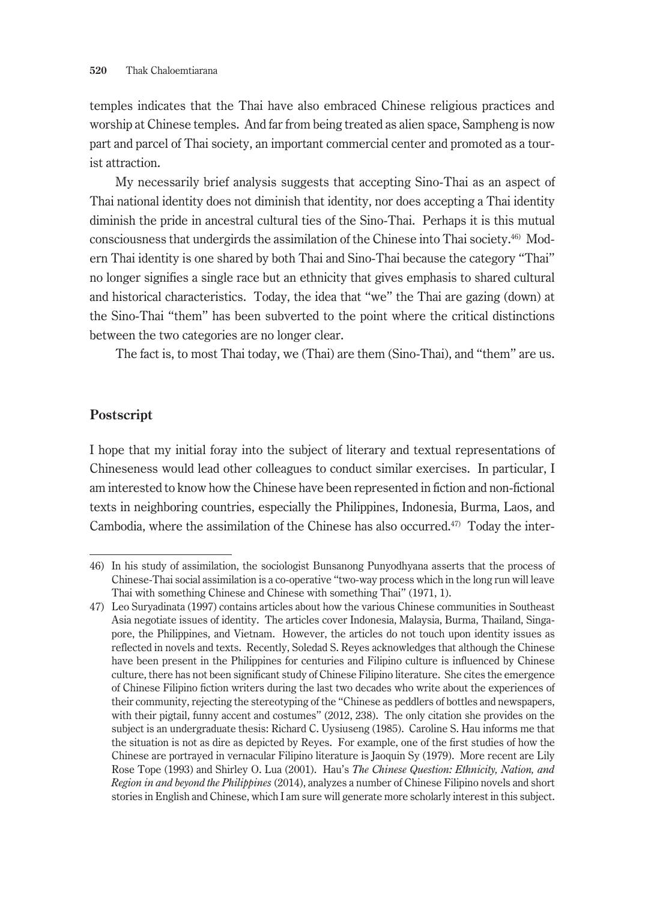temples indicates that the Thai have also embraced Chinese religious practices and worship at Chinese temples. And far from being treated as alien space, Sampheng is now part and parcel of Thai society, an important commercial center and promoted as a tourist attraction.

My necessarily brief analysis suggests that accepting Sino-Thai as an aspect of Thai national identity does not diminish that identity, nor does accepting a Thai identity diminish the pride in ancestral cultural ties of the Sino-Thai. Perhaps it is this mutual consciousness that undergirds the assimilation of the Chinese into Thai society.46) Modern Thai identity is one shared by both Thai and Sino-Thai because the category "Thai" no longer signifies a single race but an ethnicity that gives emphasis to shared cultural and historical characteristics. Today, the idea that "we" the Thai are gazing (down) at the Sino-Thai "them" has been subverted to the point where the critical distinctions between the two categories are no longer clear.

The fact is, to most Thai today, we (Thai) are them (Sino-Thai), and "them" are us.

### **Postscript**

I hope that my initial foray into the subject of literary and textual representations of Chineseness would lead other colleagues to conduct similar exercises. In particular, I am interested to know how the Chinese have been represented in fiction and non-fictional texts in neighboring countries, especially the Philippines, Indonesia, Burma, Laos, and Cambodia, where the assimilation of the Chinese has also occurred.<sup>47</sup> Today the inter-

<sup>46)</sup> In his study of assimilation, the sociologist Bunsanong Punyodhyana asserts that the process of Chinese-Thai social assimilation is a co-operative "two-way process which in the long run will leave Thai with something Chinese and Chinese with something Thai" (1971, 1).

<sup>47)</sup> Leo Suryadinata (1997) contains articles about how the various Chinese communities in Southeast Asia negotiate issues of identity. The articles cover Indonesia, Malaysia, Burma, Thailand, Singapore, the Philippines, and Vietnam. However, the articles do not touch upon identity issues as reflected in novels and texts. Recently, Soledad S. Reyes acknowledges that although the Chinese have been present in the Philippines for centuries and Filipino culture is influenced by Chinese culture, there has not been significant study of Chinese Filipino literature. She cites the emergence of Chinese Filipino fiction writers during the last two decades who write about the experiences of their community, rejecting the stereotyping of the "Chinese as peddlers of bottles and newspapers, with their pigtail, funny accent and costumes" (2012, 238). The only citation she provides on the subject is an undergraduate thesis: Richard C. Uysiuseng (1985). Caroline S. Hau informs me that the situation is not as dire as depicted by Reyes. For example, one of the first studies of how the Chinese are portrayed in vernacular Filipino literature is Jaoquin Sy (1979). More recent are Lily Rose Tope (1993) and Shirley O. Lua (2001). Hau's *The Chinese Question: Ethnicity, Nation, and Region in and beyond the Philippines* (2014), analyzes a number of Chinese Filipino novels and short stories in English and Chinese, which I am sure will generate more scholarly interest in this subject.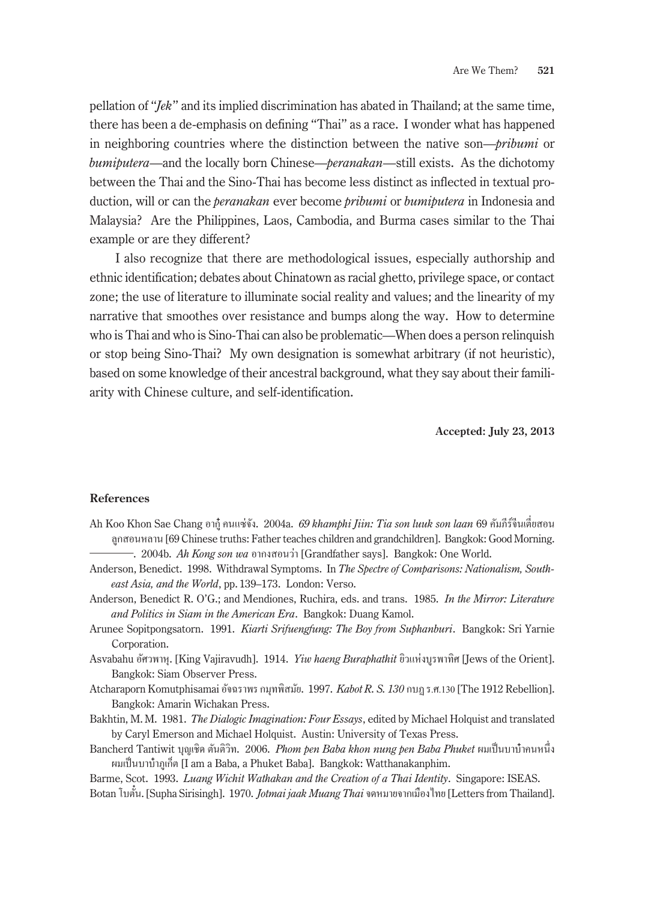pellation of "*Jek*" and its implied discrimination has abated in Thailand; at the same time, there has been a de-emphasis on defining "Thai" as a race. I wonder what has happened in neighboring countries where the distinction between the native son—*pribumi* or *bumiputera*—and the locally born Chinese—*peranakan*—still exists. As the dichotomy between the Thai and the Sino-Thai has become less distinct as inflected in textual production, will or can the *peranakan* ever become *pribumi* or *bumiputera* in Indonesia and Malaysia? Are the Philippines, Laos, Cambodia, and Burma cases similar to the Thai example or are they different?

I also recognize that there are methodological issues, especially authorship and ethnic identification; debates about Chinatown as racial ghetto, privilege space, or contact zone; the use of literature to illuminate social reality and values; and the linearity of my narrative that smoothes over resistance and bumps along the way. How to determine who is Thai and who is Sino-Thai can also be problematic—When does a person relinquish or stop being Sino-Thai? My own designation is somewhat arbitrary (if not heuristic), based on some knowledge of their ancestral background, what they say about their familiarity with Chinese culture, and self-identification.

**Accepted: July 23, 2013**

#### **References**

- Ah Koo Khon Sae Chang อากู๋ คนแซ่จัง. 2004a. *69 khamphi Jiin: Tia son luuk son laan* 69 คัมภีร์จีนเตี่ยสอน ลูกสอนหลาน [69 Chinese truths: Father teaches children and grandchildren]. Bangkok: Good Morning.
	- ―. 2004b. *Ah Kong son wa* อากงสอนวา่ [Grandfather says]. Bangkok: One World.
- Anderson, Benedict. 1998. Withdrawal Symptoms. In *The Spectre of Comparisons: Nationalism, Southeast Asia, and the World*, pp. 139–173. London: Verso.
- Anderson, Benedict R. O'G.; and Mendiones, Ruchira, eds. and trans. 1985. *In the Mirror: Literature and Politics in Siam in the American Era*. Bangkok: Duang Kamol.
- Arunee Sopitpongsatorn. 1991. *Kiarti Srifuengfung: The Boy from Suphanburi*. Bangkok: Sri Yarnie Corporation.
- Asvabahu อัศวพาหุ. [King Vajiravudh]. 1914. *Yiw haeng Buraphathit* ยิวแห่งบูรพาทิศ [Jews of the Orient]. Bangkok: Siam Observer Press.
- Atcharaporn Komutphisamai อัจฉราพร กมุทพิสมัย. 1997. *Kabot R. S. 130* กบฏ ร.ศ.130 [The 1912 Rebellion]. Bangkok: Amarin Wichakan Press.
- Bakhtin, M. M. 1981. *The Dialogic Imagination: Four Essays*, edited by Michael Holquist and translated by Caryl Emerson and Michael Holquist. Austin: University of Texas Press.
- Bancherd Tantiwit บุญเชิด ตันติวิท. 2006. *Phom pen Baba khon nung pen Baba Phuket* ผมเป็ นบาบ๋าคนหนึ่ง หมเป็นบาบ๋าภูเก็ต [I am a Baba, a Phuket Baba]. Bangkok: Watthanakanphim.

Barme, Scot. 1993. *Luang Wichit Wathakan and the Creation of a Thai Identity*. Singapore: ISEAS.

Botan โบตัน๋ . [Supha Sirisingh]. 1970. *Jotmai jaak Muang Thai*จดหมายจากเมืองไทย [Letters from Thailand].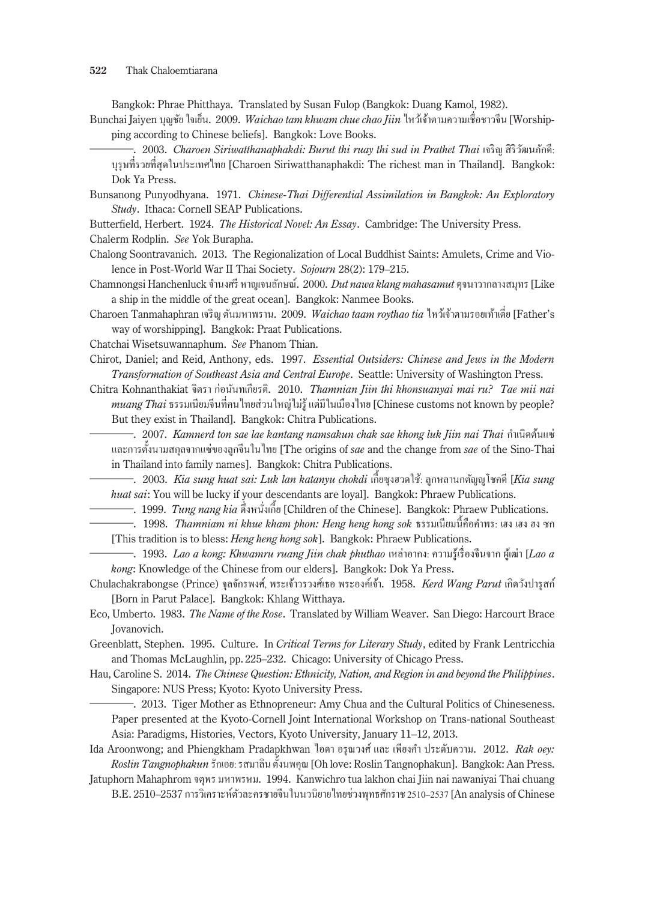Bangkok: Phrae Phitthaya. Translated by Susan Fulop (Bangkok: Duang Kamol, 1982).

- Bunchai Jaiyen บุญชัย ใจเย็น. 2009. *Waichao tam khwam chue chao Jiin* ไหว้เจ้าตามความเชื่อชาวจีน [Worshipping according to Chinese beliefs]. Bangkok: Love Books.
	- ―. 2003. *Charoen Siriwatthanaphakdi: Burut thi ruay thi sud in Prathet Thai* เจริญ สิริวัฒนภักดี: บุรุษที่รวยที่สุดในประเทศไทย [Charoen Siriwatthanaphakdi: The richest man in Thailand]. Bangkok: Dok Ya Press.
- Bunsanong Punyodhyana. 1971. *Chinese-Thai Differential Assimilation in Bangkok: An Exploratory Study*. Ithaca: Cornell SEAP Publications.
- Butterfield, Herbert. 1924. *The Historical Novel: An Essay*. Cambridge: The University Press.
- Chalerm Rodplin. *See* Yok Burapha.
- Chalong Soontravanich. 2013. The Regionalization of Local Buddhist Saints: Amulets, Crime and Violence in Post-World War II Thai Society. *Sojourn* 28(2): 179–215.
- Chamnongsi Hanchenluck จ�ำนงศรี หาญเจนลักษณ์. 2000. *Dut nawa klang mahasamut* ดุจนาวากลางสมุทร [Like a ship in the middle of the great ocean]. Bangkok: Nanmee Books.
- Charoen Tanmahaphran เจริญ ตันมหาพราน. 2009. *Waichao taam roythao tia* ไหว้เจ้าตามรอยเท้าเตี่ย [Father's way of worshipping]. Bangkok: Praat Publications.
- Chatchai Wisetsuwannaphum. *See* Phanom Thian.
- Chirot, Daniel; and Reid, Anthony, eds. 1997. *Essential Outsiders: Chinese and Jews in the Modern Transformation of Southeast Asia and Central Europe*. Seattle: University of Washington Press.
- Chitra Kohnanthakiat จิตรา ก่อนันทเกียรติ. 2010. *Thamnian Jiin thi khonsuanyai mai ru? Tae mii nai muang Thai*ธรรมเนียมจีนที่คนไทยส่วนใหญ่ไม่รู้ แต่มีในเมืองไทย [Chinese customs not known by people? But they exist in Thailand]. Bangkok: Chitra Publications.
	- <del>-</del>. 2007. *Kamnerd ton sae lae kantang namsakun chak sae khong luk Jiin nai Thai กำเนิดต้นแซ่* และการตั้ งนามสกุลจากแซ่ของลูกจีนในไทย [The origins of *sae* and the change from *sae* of the Sino-Thai in Thailand into family names]. Bangkok: Chitra Publications.
- ―. 2003. *Kia sung huat sai: Luk lan katanyu chokdi* เก้ียซุงฮวดใช้: ลูกหลานกตัญญูโชคดี [*Kia sung huat sai*: You will be lucky if your descendants are loyal]. Bangkok: Phraew Publications. ―. 1999. *Tung nang kia* ตึ่งหนังเก่ ้ีย [Children of the Chinese]. Bangkok: Phraew Publications.
	- —. 1999*. Tung nang kia จึ*งหนังเกีย [Children of the Chinese]. Bangkok: Phraew Publications.<br>—. 1998. *Thamniam ni khue kham phon: Heng heng hong sok ธรรม*เนียมนี้คือคำพร: เฮง เฮง ฮง ซก
- [This tradition is to bless: *Heng heng hong sok*]. Bangkok: Phraew Publications.
- ―. 1993. *Lao a kong: Khwamru ruang Jiin chak phuthao* เหล่าอากง: ความรู้เรื่องจีนจาก ผู้เฒ่า [*Lao a kong*: Knowledge of the Chinese from our elders]. Bangkok: Dok Ya Press.
- Chulachakrabongse (Prince) จุลจักรพงศ์, พระเจ้าวรวงศ์เธอ พระองค์เจ้า. 1958. *Kerd Wang Parut* เกิดวังปารุสก์ [Born in Parut Palace]. Bangkok: Khlang Witthaya.
- Eco, Umberto. 1983. *The Name of the Rose*. Translated by William Weaver. San Diego: Harcourt Brace Jovanovich.
- Greenblatt, Stephen. 1995. Culture. In *Critical Terms for Literary Study*, edited by Frank Lentricchia and Thomas McLaughlin, pp. 225–232. Chicago: University of Chicago Press.
- Hau, Caroline S. 2014. *The Chinese Question: Ethnicity, Nation, and Region in and beyond the Philippines*. Singapore: NUS Press; Kyoto: Kyoto University Press.
	- ―. 2013. Tiger Mother as Ethnopreneur: Amy Chua and the Cultural Politics of Chineseness. Paper presented at the Kyoto-Cornell Joint International Workshop on Trans-national Southeast Asia: Paradigms, Histories, Vectors, Kyoto University, January 11–12, 2013.
- Ida Aroonwong; and Phiengkham Pradapkhwan ไอดา อรุณวงศ์ และ เพียงค�ำ ประดับความ. 2012. *Rak oey:*   $\it Roslin Tangnophakun$  รักเอย: รสมาลิน ตั้งนพคุณ [Oh love: Roslin Tangnophakun]. Bangkok: Aan Press.
- Jatuphorn Mahaphrom จตุพร มหาพรหม. 1994. Kanwichro tua lakhon chai Jiin nai nawaniyai Thai chuang B.E. 2510–2537 การวิเคราะห์ตัวละครชายจีนในนวนิยายไทยช่วงพุทธศักราช 2510–2537 [An analysis of Chinese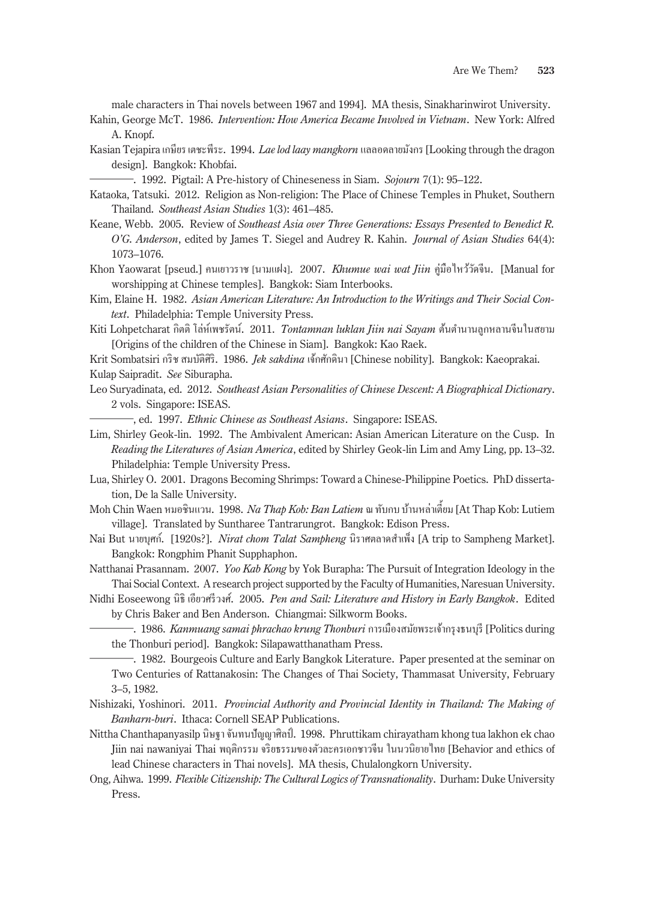male characters in Thai novels between 1967 and 1994]. MA thesis, Sinakharinwirot University.

- Kahin, George McT. 1986. *Intervention: How America Became Involved in Vietnam*. New York: Alfred A. Knopf.
- Kasian Tejapira เกษียร เตชะพีระ. 1994. *Lae lod laay mangkorn* แลลอดลายมังกร [Looking through the dragon design]. Bangkok: Khobfai.
	- ―. 1992. Pigtail: A Pre-history of Chineseness in Siam. *Sojourn* 7(1): 95–122.
- Kataoka, Tatsuki. 2012. Religion as Non-religion: The Place of Chinese Temples in Phuket, Southern Thailand. *Southeast Asian Studies* 1(3): 461–485.
- Keane, Webb. 2005. Review of *Southeast Asia over Three Generations: Essays Presented to Benedict R. O'G. Anderson*, edited by James T. Siegel and Audrey R. Kahin. *Journal of Asian Studies* 64(4): 1073–1076.
- Khon Yaowarat [pseud.] คนเยาวราช [นามแฝง]. 2007. *Khumue wai wat Jiin* คู่มือไหว้วัดจีน. [Manual for worshipping at Chinese temples]. Bangkok: Siam Interbooks.
- Kim, Elaine H. 1982. *Asian American Literature: An Introduction to the Writings and Their Social Context*. Philadelphia: Temple University Press.
- Kiti Lohpetcharat กิตติ โล่ห์เพชรัตน์. 2011. *Tontamnan luklan Jiin nai Sayam* ต้นต�ำนานลูกหลานจีนในสยาม [Origins of the children of the Chinese in Siam]. Bangkok: Kao Raek.
- Krit Sombatsiri กริช สมบัติศิริ. 1986. *Jek sakdina* เจ้กศักดินา [Chinese nobility]. Bangkok: Kaeoprakai. Kulap Saipradit. *See* Siburapha.
- Leo Suryadinata, ed. 2012. *Southeast Asian Personalities of Chinese Descent: A Biographical Dictionary*. 2 vols. Singapore: ISEAS.
- ―, ed. 1997. *Ethnic Chinese as Southeast Asians*. Singapore: ISEAS.
- Lim, Shirley Geok-lin. 1992. The Ambivalent American: Asian American Literature on the Cusp. In *Reading the Literatures of Asian America*, edited by Shirley Geok-lin Lim and Amy Ling, pp. 13–32. Philadelphia: Temple University Press.
- Lua, Shirley O. 2001. Dragons Becoming Shrimps: Toward a Chinese-Philippine Poetics. PhD dissertation, De la Salle University.
- Moh Chin Waen หมอชินแวน. 1998. *Na Thap Kob: Ban Latiem* ณ ทับกบ บ้านหล่าเตี้ยม [At Thap Kob: Lutiem village]. Translated by Suntharee Tantrarungrot. Bangkok: Edison Press.
- Nai But นายบุศก. [1920s?]. ์ *Nirat chom Talat Sampheng* นิราศตลาดส�ำเพ็ง [A trip to Sampheng Market]. Bangkok: Rongphim Phanit Supphaphon.

Natthanai Prasannam. 2007. *Yoo Kab Kong* by Yok Burapha: The Pursuit of Integration Ideology in the Thai Social Context. A research project supported by the Faculty of Humanities, Naresuan University.

Nidhi Eoseewong นิธิ เอียวศรีวงศ์. 2005. *Pen and Sail: Literature and History in Early Bangkok*. Edited by Chris Baker and Ben Anderson. Chiangmai: Silkworm Books.

―. 1986. *Kanmuang samai phrachao krung Thonburi*การเมืองสมัยพระเจ้ากรุงธนบุรี [Politics during the Thonburi period]. Bangkok: Silapawatthanatham Press.

- ―. 1982. Bourgeois Culture and Early Bangkok Literature. Paper presented at the seminar on Two Centuries of Rattanakosin: The Changes of Thai Society, Thammasat University, February 3–5, 1982.
- Nishizaki, Yoshinori. 2011. *Provincial Authority and Provincial Identity in Thailand: The Making of Banharn-buri*. Ithaca: Cornell SEAP Publications.
- Nittha Chanthapanyasilp นิษฐา จันทนปัญญาศิลป์. 1998. Phruttikam chirayatham khong tua lakhon ek chao Jiin nai nawaniyai Thai พฤติกรรม จริยธรรมของตัวละครเอกชาวจีน ในนวนิยายไทย [Behavior and ethics of lead Chinese characters in Thai novels]. MA thesis, Chulalongkorn University.
- Ong, Aihwa. 1999. *Flexible Citizenship: The Cultural Logics of Transnationality*. Durham: Duke University Press.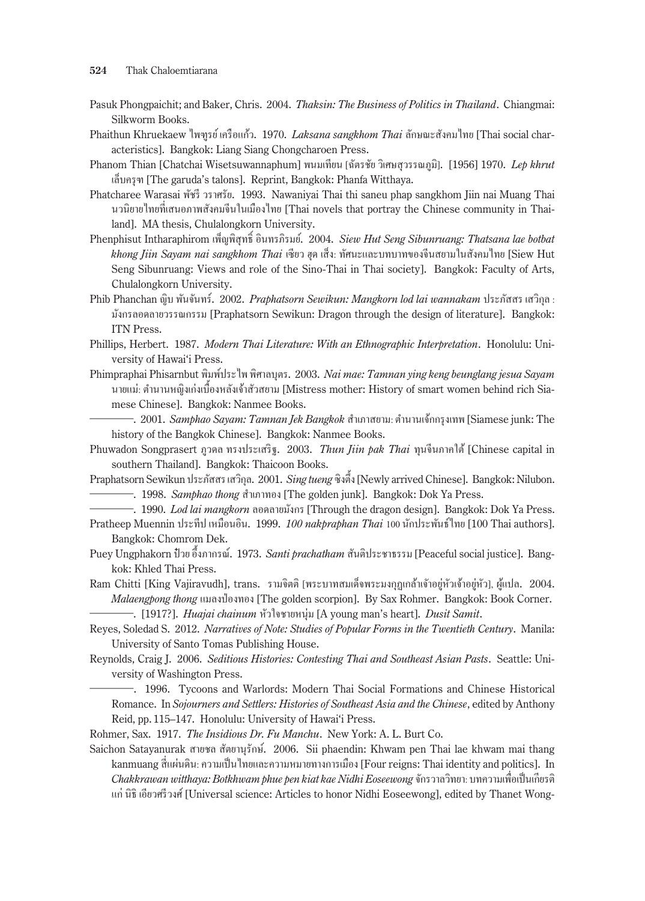- Pasuk Phongpaichit; and Baker, Chris. 2004. *Thaksin: The Business of Politics in Thailand*. Chiangmai: Silkworm Books.
- Phaithun Khruekaew ไพฑูรย์ เครือแกว้. 1970. *Laksana sangkhom Thai*ลักษณะสังคมไทย [Thai social characteristics]. Bangkok: Liang Siang Chongcharoen Press.
- Phanom Thian [Chatchai Wisetsuwannaphum] พนมเทียน [ฉัตรชัย วิเศษสุวรรณภูมิ]. [1956] 1970. *Lep khrut* เล็บครุฑ [The garuda's talons]. Reprint, Bangkok: Phanfa Witthaya.
- Phatcharee Warasai พัชรี วราศรัย. 1993. Nawaniyai Thai thi saneu phap sangkhom Jiin nai Muang Thai นวนิยายไทยที่เสนอภาพสังคมจีนในเมืองไทย [Thai novels that portray the Chinese community in Thailand]. MA thesis, Chulalongkorn University.
- Phenphisut Intharaphirom เพ็ญพิสุทธิ์ อินทรภิรมย์. 2004. *Siew Hut Seng Sibunruang: Thatsana lae botbat khong Jiin Sayam nai sangkhom Thai* เซียว ฮุด เส็ง: ทัศนะและบทบาทของจีนสยามในสังคมไทย [Siew Hut Seng Sibunruang: Views and role of the Sino-Thai in Thai society]. Bangkok: Faculty of Arts, Chulalongkorn University.
- Phib Phanchan ญิบ พันจันทร์. 2002. *Praphatsorn Sewikun: Mangkorn lod lai wannakam* ประภัสสร เสวิกุล : มังกรลอดลายวรรณกรรม [Praphatsorn Sewikun: Dragon through the design of literature]. Bangkok: ITN Press.
- Phillips, Herbert. 1987. *Modern Thai Literature: With an Ethnographic Interpretation*. Honolulu: University of Hawai'i Press.
- Phimpraphai Phisarnbut พิมพ์ประไพ พิศาลบุตร. 2003. *Nai mae: Tamnan ying keng beunglang jesua Sayam* นายแม่: ต�ำนานหญิงเก่งเบื้องหลังเจ้าสัวสยาม [Mistress mother: History of smart women behind rich Siamese Chinese]. Bangkok: Nanmee Books.
- ―. 2001. *Samphao Sayam: Tamnan Jek Bangkok* ส�ำเภาสยาม: ต�ำนานเจ้กกรุงเทพ [Siamese junk: The history of the Bangkok Chinese]. Bangkok: Nanmee Books.
- Phuwadon Songprasert ภูวดล ทรงประเสริฐ. 2003. *Thun Jiin pak Thai* ทุนจีนภาคใต้ [Chinese capital in southern Thailand]. Bangkok: Thaicoon Books.
- Praphatsorn Sewikun ประภัสสร เสวิกุล. 2001. *Sing tueng* ซิงตึ้ง [Newly arrived Chinese]. Bangkok: Nilubon. ―. 1998. *Samphao thong* ส�ำเภาทอง [The golden junk]. Bangkok: Dok Ya Press. —. 1998. *Samphao thong ส*ำเภาทอง [The golden junk]. Bangkok: Dok Ya Press.<br>—. 1990. *Lod lai mangkorn* ลอดลายมังกร [Through the dragon design]. Bangkok: Dok Ya Press.
	-
- Pratheep Muennin ประทีป เหมือนอิน. 1999. *100 nakpraphan Thai* 100 นักประพันธ์ไทย [100 Thai authors]. Bangkok: Chomrom Dek.
- Puey Ungphakorn ป๋ วย อึ้งภากรณ์. 1973. *Santi prachatham* สันติประชาธรรม [Peaceful social justice]. Bangkok: Khled Thai Press.
- Ram Chitti [King Vajiravudh], trans. รามจิตติ [พระบาทสมเด็จพระมงกุฎเกล้าเจ้าอยู่หัวเจ้าอยู่หัว], ผู้แปล. 2004. *Malaengpong thong แ*มลงป่องทอง [The golden scorpion]. By Sax Rohmer. Bangkok: Book Corner. ―. [1917?]. *Huajai chainum* หัวใจชายหนุ่ม [A young man's heart]. *Dusit Samit*.
	-
- Reyes, Soledad S. 2012. *Narratives of Note: Studies of Popular Forms in the Twentieth Century*. Manila: University of Santo Tomas Publishing House.
- Reynolds, Craig J. 2006. *Seditious Histories: Contesting Thai and Southeast Asian Pasts*. Seattle: University of Washington Press.
	- ―. 1996. Tycoons and Warlords: Modern Thai Social Formations and Chinese Historical Romance. In *Sojourners and Settlers: Histories of Southeast Asia and the Chinese*, edited by Anthony Reid, pp. 115–147. Honolulu: University of Hawai'i Press.
- Rohmer, Sax. 1917. *The Insidious Dr. Fu Manchu*. New York: A. L. Burt Co.
- Saichon Satayanurak สายชล สัตยานุรักษ์. 2006. Sii phaendin: Khwam pen Thai lae khwam mai thang kanmuang สี่แผ่นดิน: ความเป็นไทยและความหมายทางการเมือง [Four reigns: Thai identity and politics]. In *Chakkrawan witthaya: Botkhwam phue pen kiat kae Nidhi Eoseewong* จักรวาลวิทยา: บทความเพื่อเป็ นเกียรติ แก่ นิธิ เอียวศรีวงศ์ [Universal science: Articles to honor Nidhi Eoseewong], edited by Thanet Wong-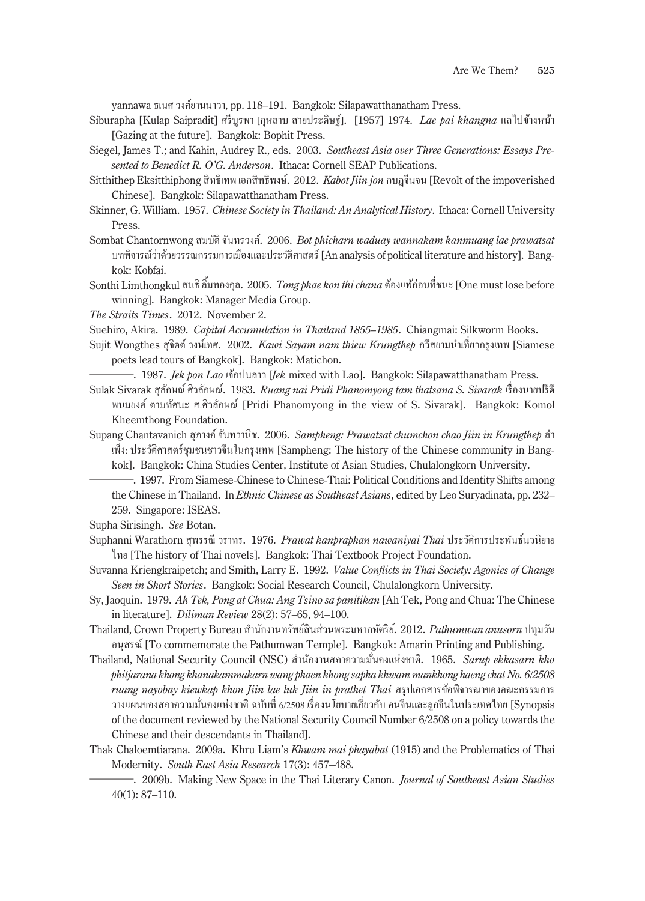yannawa ธเนศ วงศ์ยานนาวา, pp. 118–191. Bangkok: Silapawatthanatham Press.

- Siburapha [Kulap Saipradit] ศรีบูรพา [กุหลาบ สายประดิษฐ์]. [1957] 1974. *Lae pai khangna* แลไปข้างหน้า [Gazing at the future]. Bangkok: Bophit Press.
- Siegel, James T.; and Kahin, Audrey R., eds. 2003. *Southeast Asia over Three Generations: Essays Presented to Benedict R. O'G. Anderson*. Ithaca: Cornell SEAP Publications.
- Sitthithep Eksitthiphong สิทธิเทพ เอกสิทธิพงษ์. 2012. *Kabot Jiin jon* กบฎจีนจน [Revolt of the impoverished Chinese]. Bangkok: Silapawatthanatham Press.
- Skinner, G. William. 1957. *Chinese Society in Thailand: An Analytical History*. Ithaca: Cornell University Press.
- Sombat Chantornwong สมบัติ จันทรวงศ์. 2006. *Bot phicharn waduay wannakam kanmuang lae prawatsat* บทพิจารณ์วาด้วยวรรณกรรมการเมืองและประวัติศาสตร์ ่ [An analysis of political literature and history]. Bangkok: Kobfai.
- Sonthi Limthongkul สนธิ ลิ้ มทองกุล. 2005. *Tong phae kon thi chana* ต้องแพ้ก่อนที่ชนะ [One must lose before winning]. Bangkok: Manager Media Group.
- *The Straits Times*. 2012. November 2.

Suehiro, Akira. 1989. *Capital Accumulation in Thailand 1855–1985*. Chiangmai: Silkworm Books.

- Sujit Wongthes สุจิตต์ วงษ์เทศ. 2002. *Kawi Sayam nam thiew Krungthep* กวีสยามน�ำเที่ยวกรุงเทพ [Siamese poets lead tours of Bangkok]. Bangkok: Matichon.
	- ―. 1987. *Jek pon Lao* เจ้กปนลาว [*Jek* mixed with Lao]. Bangkok: Silapawatthanatham Press.
- Sulak Sivarak สุลักษณ์ ศิวลักษณ์. 1983. *Ruang nai Pridi Phanomyong tam thatsana S. Sivarak* เรื่องนายปรีดี พนมยงค์ ตามทัศนะ ส.ศิวลักษณ์ [Pridi Phanomyong in the view of S. Sivarak]. Bangkok: Komol Kheemthong Foundation.
- Supang Chantavanich สุภางค์ จันทวานิช. 2006. *Sampheng: Prawatsat chumchon chao Jiin in Krungthep* ส�ำ เพ็ง: ประวัติศาสตร์ชุมชนชาวจีนในกรุงเทพ [Sampheng: The history of the Chinese community in Bangkok]. Bangkok: China Studies Center, Institute of Asian Studies, Chulalongkorn University.
	- ―. 1997. From Siamese-Chinese to Chinese-Thai: Political Conditions and Identity Shifts among the Chinese in Thailand. In *Ethnic Chinese as Southeast Asians*, edited by Leo Suryadinata, pp. 232– 259. Singapore: ISEAS.

Supha Sirisingh. *See* Botan.

- Suphanni Warathorn สุพรรณี วราทร. 1976. *Prawat kanpraphan nawaniyai Thai* ประวัติการประพันธ์นวนิยาย ไทย [The history of Thai novels]. Bangkok: Thai Textbook Project Foundation.
- Suvanna Kriengkraipetch; and Smith, Larry E. 1992. *Value Conflicts in Thai Society: Agonies of Change Seen in Short Stories*. Bangkok: Social Research Council, Chulalongkorn University.
- Sy, Jaoquin. 1979. *Ah Tek, Pong at Chua: Ang Tsino sa panitikan* [Ah Tek, Pong and Chua: The Chinese in literature]. *Diliman Review* 28(2): 57–65, 94–100.
- Thailand, Crown Property Bureau ส�ำนักงานทรัพย์สินส่วนพระมหากษัตริย์. 2012. *Pathumwan anusorn* ปทุมวัน อนุสรณ์ [To commemorate the Pathumwan Temple]. Bangkok: Amarin Printing and Publishing.
- Thailand, National Security Council (NSC) ส�ำนักงานสภาความมันคงแห ่ ่งชาติ. 1965. *Sarup ekkasarn kho phitjarana khong khanakammakarn wang phaen khong sapha khwam mankhong haeng chat No. 6/2508 ruang nayobay kiewkap khon Jiin lae luk Jiin in prathet Thai* สรุปเอกสารข้อพิจารณาของคณะกรรมการ วางแผนของสภาความมั่นคงแห่งชาติ ฉบับที่ 6/2508 เรื่องนโยบายเกี่ยวกับ คนจีนและลูกจีนในประเทศไทย [Synopsis of the document reviewed by the National Security Council Number 6/2508 on a policy towards the Chinese and their descendants in Thailand].
- Thak Chaloemtiarana. 2009a. Khru Liam's *Khwam mai phayabat* (1915) and the Problematics of Thai Modernity. *South East Asia Research* 17(3): 457–488.
	- ―. 2009b. Making New Space in the Thai Literary Canon. *Journal of Southeast Asian Studies* 40(1): 87–110.